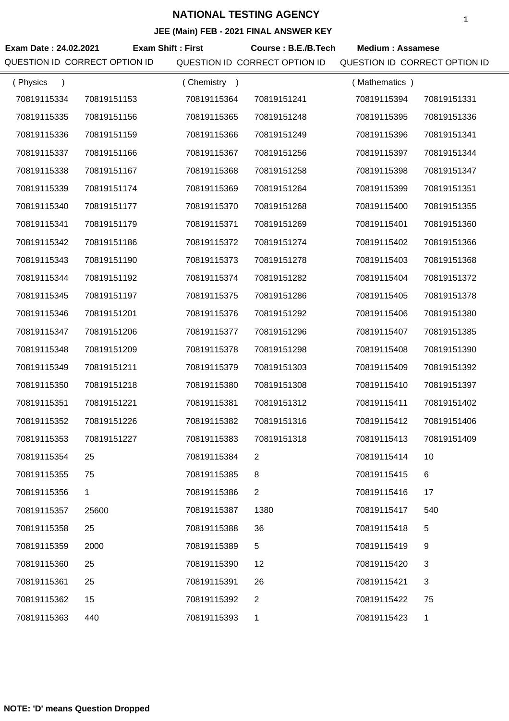|                               |                          |             | $\overline{C}$ (main) $\overline{C}$ = 2021 The ANOWER KET |                               |              |
|-------------------------------|--------------------------|-------------|------------------------------------------------------------|-------------------------------|--------------|
| Exam Date: 24.02.2021         | <b>Exam Shift: First</b> |             | Course: B.E./B.Tech                                        | <b>Medium: Assamese</b>       |              |
| QUESTION ID CORRECT OPTION ID |                          |             | QUESTION ID CORRECT OPTION ID                              | QUESTION ID CORRECT OPTION ID |              |
| (Physics<br>$\lambda$         |                          | (Chemistry) |                                                            | (Mathematics)                 |              |
| 70819115334                   | 70819151153              | 70819115364 | 70819151241                                                | 70819115394                   | 70819151331  |
| 70819115335                   | 70819151156              | 70819115365 | 70819151248                                                | 70819115395                   | 70819151336  |
| 70819115336                   | 70819151159              | 70819115366 | 70819151249                                                | 70819115396                   | 70819151341  |
| 70819115337                   | 70819151166              | 70819115367 | 70819151256                                                | 70819115397                   | 70819151344  |
| 70819115338                   | 70819151167              | 70819115368 | 70819151258                                                | 70819115398                   | 70819151347  |
| 70819115339                   | 70819151174              | 70819115369 | 70819151264                                                | 70819115399                   | 70819151351  |
| 70819115340                   | 70819151177              | 70819115370 | 70819151268                                                | 70819115400                   | 70819151355  |
| 70819115341                   | 70819151179              | 70819115371 | 70819151269                                                | 70819115401                   | 70819151360  |
| 70819115342                   | 70819151186              | 70819115372 | 70819151274                                                | 70819115402                   | 70819151366  |
| 70819115343                   | 70819151190              | 70819115373 | 70819151278                                                | 70819115403                   | 70819151368  |
| 70819115344                   | 70819151192              | 70819115374 | 70819151282                                                | 70819115404                   | 70819151372  |
| 70819115345                   | 70819151197              | 70819115375 | 70819151286                                                | 70819115405                   | 70819151378  |
| 70819115346                   | 70819151201              | 70819115376 | 70819151292                                                | 70819115406                   | 70819151380  |
| 70819115347                   | 70819151206              | 70819115377 | 70819151296                                                | 70819115407                   | 70819151385  |
| 70819115348                   | 70819151209              | 70819115378 | 70819151298                                                | 70819115408                   | 70819151390  |
| 70819115349                   | 70819151211              | 70819115379 | 70819151303                                                | 70819115409                   | 70819151392  |
| 70819115350                   | 70819151218              | 70819115380 | 70819151308                                                | 70819115410                   | 70819151397  |
| 70819115351                   | 70819151221              | 70819115381 | 70819151312                                                | 70819115411                   | 70819151402  |
| 70819115352                   | 70819151226              | 70819115382 | 70819151316                                                | 70819115412                   | 70819151406  |
| 70819115353                   | 70819151227              | 70819115383 | 70819151318                                                | 70819115413                   | 70819151409  |
| 70819115354                   | 25                       | 70819115384 | 2                                                          | 70819115414                   | 10           |
| 70819115355                   | 75                       | 70819115385 | 8                                                          | 70819115415                   | 6            |
| 70819115356                   | $\mathbf 1$              | 70819115386 | 2                                                          | 70819115416                   | 17           |
| 70819115357                   | 25600                    | 70819115387 | 1380                                                       | 70819115417                   | 540          |
| 70819115358                   | 25                       | 70819115388 | 36                                                         | 70819115418                   | 5            |
| 70819115359                   | 2000                     | 70819115389 | 5                                                          | 70819115419                   | 9            |
| 70819115360                   | 25                       | 70819115390 | 12                                                         | 70819115420                   | 3            |
| 70819115361                   | 25                       | 70819115391 | 26                                                         | 70819115421                   | 3            |
| 70819115362                   | 15                       | 70819115392 | 2                                                          | 70819115422                   | 75           |
| 70819115363                   | 440                      | 70819115393 | 1                                                          | 70819115423                   | $\mathbf{1}$ |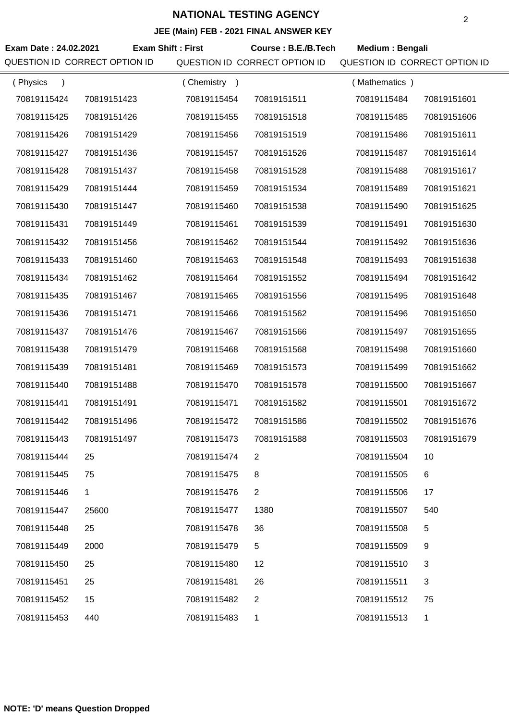| Exam Date: 24.02.2021<br>QUESTION ID CORRECT OPTION ID | <b>Exam Shift: First</b> |             | Course: B.E./B.Tech<br>QUESTION ID CORRECT OPTION ID | Medium: Bengali<br>QUESTION ID CORRECT OPTION ID |             |
|--------------------------------------------------------|--------------------------|-------------|------------------------------------------------------|--------------------------------------------------|-------------|
| (Physics<br>$\rightarrow$                              |                          | (Chemistry) |                                                      | (Mathematics)                                    |             |
| 70819115424                                            | 70819151423              | 70819115454 | 70819151511                                          | 70819115484                                      | 70819151601 |
| 70819115425                                            | 70819151426              | 70819115455 | 70819151518                                          | 70819115485                                      | 70819151606 |
| 70819115426                                            | 70819151429              | 70819115456 | 70819151519                                          | 70819115486                                      | 70819151611 |
| 70819115427                                            | 70819151436              | 70819115457 | 70819151526                                          | 70819115487                                      | 70819151614 |
| 70819115428                                            | 70819151437              | 70819115458 | 70819151528                                          | 70819115488                                      | 70819151617 |
| 70819115429                                            | 70819151444              | 70819115459 | 70819151534                                          | 70819115489                                      | 70819151621 |
| 70819115430                                            | 70819151447              | 70819115460 | 70819151538                                          | 70819115490                                      | 70819151625 |
| 70819115431                                            | 70819151449              | 70819115461 | 70819151539                                          | 70819115491                                      | 70819151630 |
| 70819115432                                            | 70819151456              | 70819115462 | 70819151544                                          | 70819115492                                      | 70819151636 |
| 70819115433                                            | 70819151460              | 70819115463 | 70819151548                                          | 70819115493                                      | 70819151638 |
| 70819115434                                            | 70819151462              | 70819115464 | 70819151552                                          | 70819115494                                      | 70819151642 |
| 70819115435                                            | 70819151467              | 70819115465 | 70819151556                                          | 70819115495                                      | 70819151648 |
| 70819115436                                            | 70819151471              | 70819115466 | 70819151562                                          | 70819115496                                      | 70819151650 |
| 70819115437                                            | 70819151476              | 70819115467 | 70819151566                                          | 70819115497                                      | 70819151655 |
| 70819115438                                            | 70819151479              | 70819115468 | 70819151568                                          | 70819115498                                      | 70819151660 |
| 70819115439                                            | 70819151481              | 70819115469 | 70819151573                                          | 70819115499                                      | 70819151662 |
| 70819115440                                            | 70819151488              | 70819115470 | 70819151578                                          | 70819115500                                      | 70819151667 |
| 70819115441                                            | 70819151491              | 70819115471 | 70819151582                                          | 70819115501                                      | 70819151672 |
| 70819115442                                            | 70819151496              | 70819115472 | 70819151586                                          | 70819115502                                      | 70819151676 |
| 70819115443                                            | 70819151497              | 70819115473 | 70819151588                                          | 70819115503                                      | 70819151679 |
| 70819115444                                            | 25                       | 70819115474 | 2                                                    | 70819115504                                      | 10          |
| 70819115445                                            | 75                       | 70819115475 | 8                                                    | 70819115505                                      | 6           |
| 70819115446                                            | 1                        | 70819115476 | $\overline{2}$                                       | 70819115506                                      | 17          |
| 70819115447                                            | 25600                    | 70819115477 | 1380                                                 | 70819115507                                      | 540         |
| 70819115448                                            | 25                       | 70819115478 | 36                                                   | 70819115508                                      | 5           |
| 70819115449                                            | 2000                     | 70819115479 | 5                                                    | 70819115509                                      | 9           |
| 70819115450                                            | 25                       | 70819115480 | 12                                                   | 70819115510                                      | 3           |
| 70819115451                                            | 25                       | 70819115481 | 26                                                   | 70819115511                                      | 3           |
| 70819115452                                            | 15                       | 70819115482 | 2                                                    | 70819115512                                      | 75          |
| 70819115453                                            | 440                      | 70819115483 | 1                                                    | 70819115513                                      | 1           |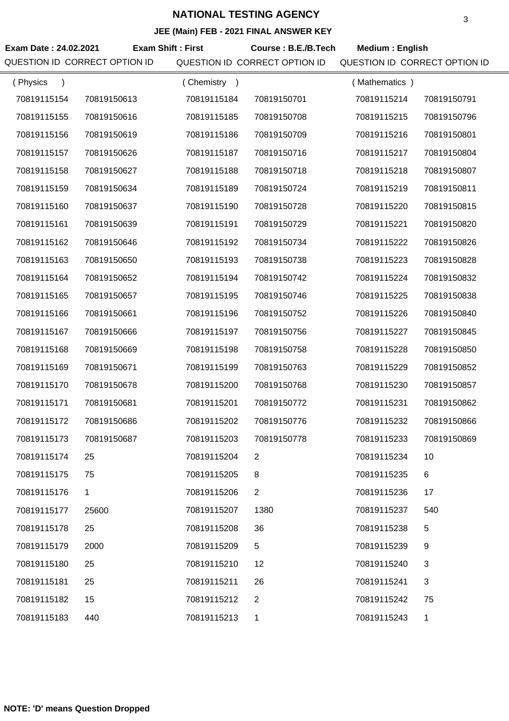## **JEE (Main) FEB - 2021 FINAL ANSWER KEY**

| Exam Date: 24.02.2021<br>QUESTION ID CORRECT OPTION ID | <b>Exam Shift: First</b> |             | Course: B.E./B.Tech<br>QUESTION ID CORRECT OPTION ID | <b>Medium: English</b><br>QUESTION ID CORRECT OPTION ID |             |
|--------------------------------------------------------|--------------------------|-------------|------------------------------------------------------|---------------------------------------------------------|-------------|
| (Physics<br>$\lambda$                                  |                          | (Chemistry) |                                                      | (Mathematics)                                           |             |
| 70819115154                                            | 70819150613              | 70819115184 | 70819150701                                          | 70819115214                                             | 70819150791 |
| 70819115155                                            | 70819150616              | 70819115185 | 70819150708                                          | 70819115215                                             | 70819150796 |
| 70819115156                                            | 70819150619              | 70819115186 | 70819150709                                          | 70819115216                                             | 70819150801 |
| 70819115157                                            | 70819150626              | 70819115187 | 70819150716                                          | 70819115217                                             | 70819150804 |
| 70819115158                                            | 70819150627              | 70819115188 | 70819150718                                          | 70819115218                                             | 70819150807 |
| 70819115159                                            | 70819150634              | 70819115189 | 70819150724                                          | 70819115219                                             | 70819150811 |
| 70819115160                                            | 70819150637              | 70819115190 | 70819150728                                          | 70819115220                                             | 70819150815 |
| 70819115161                                            | 70819150639              | 70819115191 | 70819150729                                          | 70819115221                                             | 70819150820 |
| 70819115162                                            | 70819150646              | 70819115192 | 70819150734                                          | 70819115222                                             | 70819150826 |
| 70819115163                                            | 70819150650              | 70819115193 | 70819150738                                          | 70819115223                                             | 70819150828 |
| 70819115164                                            | 70819150652              | 70819115194 | 70819150742                                          | 70819115224                                             | 70819150832 |
| 70819115165                                            | 70819150657              | 70819115195 | 70819150746                                          | 70819115225                                             | 70819150838 |
| 70819115166                                            | 70819150661              | 70819115196 | 70819150752                                          | 70819115226                                             | 70819150840 |
| 70819115167                                            | 70819150666              | 70819115197 | 70819150756                                          | 70819115227                                             | 70819150845 |
| 70819115168                                            | 70819150669              | 70819115198 | 70819150758                                          | 70819115228                                             | 70819150850 |
| 70819115169                                            | 70819150671              | 70819115199 | 70819150763                                          | 70819115229                                             | 70819150852 |
| 70819115170                                            | 70819150678              | 70819115200 | 70819150768                                          | 70819115230                                             | 70819150857 |
| 70819115171                                            | 70819150681              | 70819115201 | 70819150772                                          | 70819115231                                             | 70819150862 |
| 70819115172                                            | 70819150686              | 70819115202 | 70819150776                                          | 70819115232                                             | 70819150866 |
| 70819115173                                            | 70819150687              | 70819115203 | 70819150778                                          | 70819115233                                             | 70819150869 |
| 70819115174                                            | 25                       | 70819115204 | 2                                                    | 70819115234                                             | 10          |
| 70819115175                                            | 75                       | 70819115205 | 8                                                    | 70819115235                                             | 6           |
| 70819115176                                            | 1                        | 70819115206 | $\overline{2}$                                       | 70819115236                                             | 17          |
| 70819115177                                            | 25600                    | 70819115207 | 1380                                                 | 70819115237                                             | 540         |
| 70819115178                                            | 25                       | 70819115208 | 36                                                   | 70819115238                                             | 5           |
| 70819115179                                            | 2000                     | 70819115209 | 5                                                    | 70819115239                                             | 9           |
| 70819115180                                            | 25                       | 70819115210 | 12                                                   | 70819115240                                             | 3           |
| 70819115181                                            | 25                       | 70819115211 | 26                                                   | 70819115241                                             | 3           |
| 70819115182                                            | 15                       | 70819115212 | 2                                                    | 70819115242                                             | 75          |
| 70819115183                                            | 440                      | 70819115213 | 1                                                    | 70819115243                                             | 1           |

**NOTE: 'D' means Question Dropped**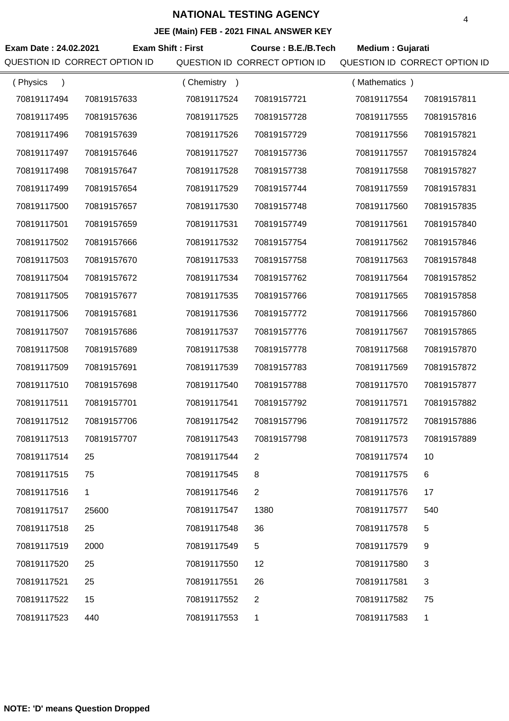| Exam Date: 24.02.2021<br>QUESTION ID CORRECT OPTION ID |             | <b>Exam Shift: First</b> | Course: B.E./B.Tech<br>QUESTION ID CORRECT OPTION ID | Medium: Gujarati<br>QUESTION ID CORRECT OPTION ID |             |
|--------------------------------------------------------|-------------|--------------------------|------------------------------------------------------|---------------------------------------------------|-------------|
| (Physics<br>$\lambda$                                  |             | (Chemistry)              |                                                      | (Mathematics)                                     |             |
| 70819117494                                            | 70819157633 | 70819117524              | 70819157721                                          | 70819117554                                       | 70819157811 |
| 70819117495                                            | 70819157636 | 70819117525              | 70819157728                                          | 70819117555                                       | 70819157816 |
| 70819117496                                            | 70819157639 | 70819117526              | 70819157729                                          | 70819117556                                       | 70819157821 |
| 70819117497                                            | 70819157646 | 70819117527              | 70819157736                                          | 70819117557                                       | 70819157824 |
| 70819117498                                            | 70819157647 | 70819117528              | 70819157738                                          | 70819117558                                       | 70819157827 |
| 70819117499                                            | 70819157654 | 70819117529              | 70819157744                                          | 70819117559                                       | 70819157831 |
| 70819117500                                            | 70819157657 | 70819117530              | 70819157748                                          | 70819117560                                       | 70819157835 |
| 70819117501                                            | 70819157659 | 70819117531              | 70819157749                                          | 70819117561                                       | 70819157840 |
| 70819117502                                            | 70819157666 | 70819117532              | 70819157754                                          | 70819117562                                       | 70819157846 |
| 70819117503                                            | 70819157670 | 70819117533              | 70819157758                                          | 70819117563                                       | 70819157848 |
| 70819117504                                            | 70819157672 | 70819117534              | 70819157762                                          | 70819117564                                       | 70819157852 |
| 70819117505                                            | 70819157677 | 70819117535              | 70819157766                                          | 70819117565                                       | 70819157858 |
| 70819117506                                            | 70819157681 | 70819117536              | 70819157772                                          | 70819117566                                       | 70819157860 |
| 70819117507                                            | 70819157686 | 70819117537              | 70819157776                                          | 70819117567                                       | 70819157865 |
| 70819117508                                            | 70819157689 | 70819117538              | 70819157778                                          | 70819117568                                       | 70819157870 |
| 70819117509                                            | 70819157691 | 70819117539              | 70819157783                                          | 70819117569                                       | 70819157872 |
| 70819117510                                            | 70819157698 | 70819117540              | 70819157788                                          | 70819117570                                       | 70819157877 |
| 70819117511                                            | 70819157701 | 70819117541              | 70819157792                                          | 70819117571                                       | 70819157882 |
| 70819117512                                            | 70819157706 | 70819117542              | 70819157796                                          | 70819117572                                       | 70819157886 |
| 70819117513                                            | 70819157707 | 70819117543              | 70819157798                                          | 70819117573                                       | 70819157889 |
| 70819117514                                            | 25          | 70819117544              | 2                                                    | 70819117574                                       | 10          |
| 70819117515                                            | 75          | 70819117545              | 8                                                    | 70819117575                                       | 6           |
| 70819117516                                            | 1           | 70819117546              | 2                                                    | 70819117576                                       | 17          |
| 70819117517                                            | 25600       | 70819117547              | 1380                                                 | 70819117577                                       | 540         |
| 70819117518                                            | 25          | 70819117548              | 36                                                   | 70819117578                                       | 5           |
| 70819117519                                            | 2000        | 70819117549              | 5                                                    | 70819117579                                       | 9           |
| 70819117520                                            | 25          | 70819117550              | 12                                                   | 70819117580                                       | 3           |
| 70819117521                                            | 25          | 70819117551              | 26                                                   | 70819117581                                       | 3           |
| 70819117522                                            | 15          | 70819117552              | 2                                                    | 70819117582                                       | 75          |
| 70819117523                                            | 440         | 70819117553              | 1                                                    | 70819117583                                       | 1           |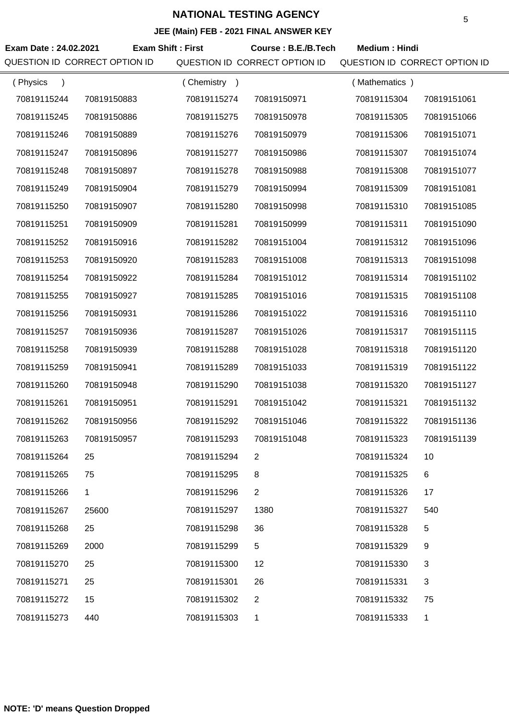| Exam Date: 24.02.2021         | <b>Exam Shift: First</b> |             | Course: B.E./B.Tech           | <b>Medium: Hindi</b>          |             |
|-------------------------------|--------------------------|-------------|-------------------------------|-------------------------------|-------------|
| QUESTION ID CORRECT OPTION ID |                          |             | QUESTION ID CORRECT OPTION ID | QUESTION ID CORRECT OPTION ID |             |
| (Physics<br>$\lambda$         |                          | (Chemistry) |                               | (Mathematics)                 |             |
| 70819115244                   | 70819150883              | 70819115274 | 70819150971                   | 70819115304                   | 70819151061 |
| 70819115245                   | 70819150886              | 70819115275 | 70819150978                   | 70819115305                   | 70819151066 |
| 70819115246                   | 70819150889              | 70819115276 | 70819150979                   | 70819115306                   | 70819151071 |
| 70819115247                   | 70819150896              | 70819115277 | 70819150986                   | 70819115307                   | 70819151074 |
| 70819115248                   | 70819150897              | 70819115278 | 70819150988                   | 70819115308                   | 70819151077 |
| 70819115249                   | 70819150904              | 70819115279 | 70819150994                   | 70819115309                   | 70819151081 |
| 70819115250                   | 70819150907              | 70819115280 | 70819150998                   | 70819115310                   | 70819151085 |
| 70819115251                   | 70819150909              | 70819115281 | 70819150999                   | 70819115311                   | 70819151090 |
| 70819115252                   | 70819150916              | 70819115282 | 70819151004                   | 70819115312                   | 70819151096 |
| 70819115253                   | 70819150920              | 70819115283 | 70819151008                   | 70819115313                   | 70819151098 |
| 70819115254                   | 70819150922              | 70819115284 | 70819151012                   | 70819115314                   | 70819151102 |
| 70819115255                   | 70819150927              | 70819115285 | 70819151016                   | 70819115315                   | 70819151108 |
| 70819115256                   | 70819150931              | 70819115286 | 70819151022                   | 70819115316                   | 70819151110 |
| 70819115257                   | 70819150936              | 70819115287 | 70819151026                   | 70819115317                   | 70819151115 |
| 70819115258                   | 70819150939              | 70819115288 | 70819151028                   | 70819115318                   | 70819151120 |
| 70819115259                   | 70819150941              | 70819115289 | 70819151033                   | 70819115319                   | 70819151122 |
| 70819115260                   | 70819150948              | 70819115290 | 70819151038                   | 70819115320                   | 70819151127 |
| 70819115261                   | 70819150951              | 70819115291 | 70819151042                   | 70819115321                   | 70819151132 |
| 70819115262                   | 70819150956              | 70819115292 | 70819151046                   | 70819115322                   | 70819151136 |
| 70819115263                   | 70819150957              | 70819115293 | 70819151048                   | 70819115323                   | 70819151139 |
| 70819115264                   | 25                       | 70819115294 | 2                             | 70819115324                   | 10          |
| 70819115265                   | 75                       | 70819115295 | 8                             | 70819115325                   | 6           |
| 70819115266                   | 1                        | 70819115296 | 2                             | 70819115326                   | 17          |
| 70819115267                   | 25600                    | 70819115297 | 1380                          | 70819115327                   | 540         |
| 70819115268                   | 25                       | 70819115298 | 36                            | 70819115328                   | 5           |
| 70819115269                   | 2000                     | 70819115299 | 5                             | 70819115329                   | 9           |
| 70819115270                   | 25                       | 70819115300 | 12                            | 70819115330                   | 3           |
| 70819115271                   | 25                       | 70819115301 | 26                            | 70819115331                   | 3           |
| 70819115272                   | 15                       | 70819115302 | 2                             | 70819115332                   | 75          |
| 70819115273                   | 440                      | 70819115303 | 1                             | 70819115333                   | 1           |
|                               |                          |             |                               |                               |             |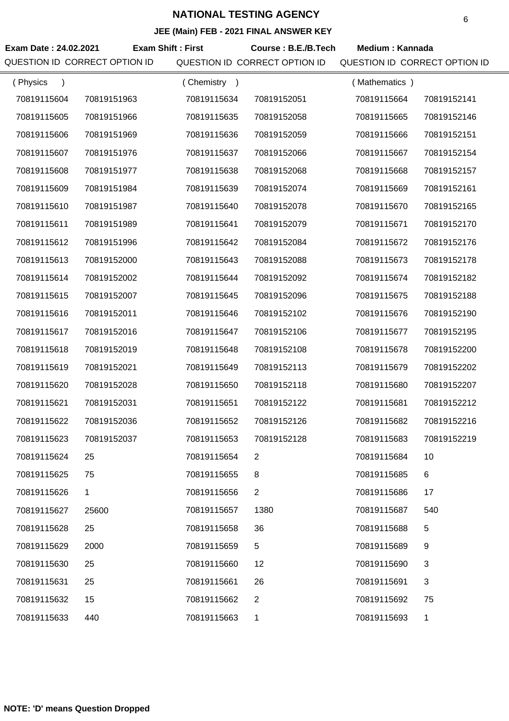| Exam Date: 24.02.2021 | QUESTION ID CORRECT OPTION ID | <b>Exam Shift: First</b> | Course: B.E./B.Tech<br>QUESTION ID CORRECT OPTION ID | <b>Medium: Kannada</b><br>QUESTION ID CORRECT OPTION ID |             |
|-----------------------|-------------------------------|--------------------------|------------------------------------------------------|---------------------------------------------------------|-------------|
| (Physics<br>$\lambda$ |                               | (Chemistry)              |                                                      | (Mathematics)                                           |             |
| 70819115604           | 70819151963                   | 70819115634              | 70819152051                                          | 70819115664                                             | 70819152141 |
| 70819115605           | 70819151966                   | 70819115635              | 70819152058                                          | 70819115665                                             | 70819152146 |
| 70819115606           | 70819151969                   | 70819115636              | 70819152059                                          | 70819115666                                             | 70819152151 |
| 70819115607           | 70819151976                   | 70819115637              | 70819152066                                          | 70819115667                                             | 70819152154 |
| 70819115608           | 70819151977                   | 70819115638              | 70819152068                                          | 70819115668                                             | 70819152157 |
| 70819115609           | 70819151984                   | 70819115639              | 70819152074                                          | 70819115669                                             | 70819152161 |
| 70819115610           | 70819151987                   | 70819115640              | 70819152078                                          | 70819115670                                             | 70819152165 |
| 70819115611           | 70819151989                   | 70819115641              | 70819152079                                          | 70819115671                                             | 70819152170 |
| 70819115612           | 70819151996                   | 70819115642              | 70819152084                                          | 70819115672                                             | 70819152176 |
| 70819115613           | 70819152000                   | 70819115643              | 70819152088                                          | 70819115673                                             | 70819152178 |
| 70819115614           | 70819152002                   | 70819115644              | 70819152092                                          | 70819115674                                             | 70819152182 |
| 70819115615           | 70819152007                   | 70819115645              | 70819152096                                          | 70819115675                                             | 70819152188 |
| 70819115616           | 70819152011                   | 70819115646              | 70819152102                                          | 70819115676                                             | 70819152190 |
| 70819115617           | 70819152016                   | 70819115647              | 70819152106                                          | 70819115677                                             | 70819152195 |
| 70819115618           | 70819152019                   | 70819115648              | 70819152108                                          | 70819115678                                             | 70819152200 |
| 70819115619           | 70819152021                   | 70819115649              | 70819152113                                          | 70819115679                                             | 70819152202 |
| 70819115620           | 70819152028                   | 70819115650              | 70819152118                                          | 70819115680                                             | 70819152207 |
| 70819115621           | 70819152031                   | 70819115651              | 70819152122                                          | 70819115681                                             | 70819152212 |
| 70819115622           | 70819152036                   | 70819115652              | 70819152126                                          | 70819115682                                             | 70819152216 |
| 70819115623           | 70819152037                   | 70819115653              | 70819152128                                          | 70819115683                                             | 70819152219 |
| 70819115624           | 25                            | 70819115654              | 2                                                    | 70819115684                                             | 10          |
| 70819115625           | 75                            | 70819115655              | 8                                                    | 70819115685                                             | 6           |
| 70819115626           | 1                             | 70819115656              | $\overline{2}$                                       | 70819115686                                             | 17          |
| 70819115627           | 25600                         | 70819115657              | 1380                                                 | 70819115687                                             | 540         |
| 70819115628           | 25                            | 70819115658              | 36                                                   | 70819115688                                             | 5           |
| 70819115629           | 2000                          | 70819115659              | 5                                                    | 70819115689                                             | 9           |
| 70819115630           | 25                            | 70819115660              | 12                                                   | 70819115690                                             | 3           |
| 70819115631           | 25                            | 70819115661              | 26                                                   | 70819115691                                             | 3           |
| 70819115632           | 15                            | 70819115662              | 2                                                    | 70819115692                                             | 75          |
| 70819115633           | 440                           | 70819115663              | 1                                                    | 70819115693                                             | 1           |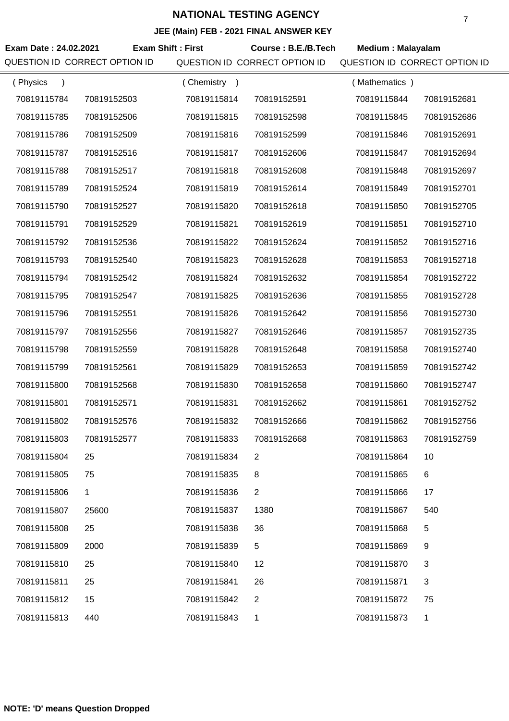## **JEE (Main) FEB - 2021 FINAL ANSWER KEY**

| Exam Date: 24.02.2021<br>QUESTION ID CORRECT OPTION ID | <b>Exam Shift: First</b> |             | Course: B.E./B.Tech<br>QUESTION ID CORRECT OPTION ID | <b>Medium: Malayalam</b><br>QUESTION ID CORRECT OPTION ID |             |
|--------------------------------------------------------|--------------------------|-------------|------------------------------------------------------|-----------------------------------------------------------|-------------|
| (Physics<br>$\lambda$                                  |                          | (Chemistry) |                                                      | (Mathematics)                                             |             |
| 70819115784                                            | 70819152503              | 70819115814 | 70819152591                                          | 70819115844                                               | 70819152681 |
| 70819115785                                            | 70819152506              | 70819115815 | 70819152598                                          | 70819115845                                               | 70819152686 |
| 70819115786                                            | 70819152509              | 70819115816 | 70819152599                                          | 70819115846                                               | 70819152691 |
| 70819115787                                            | 70819152516              | 70819115817 | 70819152606                                          | 70819115847                                               | 70819152694 |
| 70819115788                                            | 70819152517              | 70819115818 | 70819152608                                          | 70819115848                                               | 70819152697 |
| 70819115789                                            | 70819152524              | 70819115819 | 70819152614                                          | 70819115849                                               | 70819152701 |
| 70819115790                                            | 70819152527              | 70819115820 | 70819152618                                          | 70819115850                                               | 70819152705 |
| 70819115791                                            | 70819152529              | 70819115821 | 70819152619                                          | 70819115851                                               | 70819152710 |
| 70819115792                                            | 70819152536              | 70819115822 | 70819152624                                          | 70819115852                                               | 70819152716 |
| 70819115793                                            | 70819152540              | 70819115823 | 70819152628                                          | 70819115853                                               | 70819152718 |
| 70819115794                                            | 70819152542              | 70819115824 | 70819152632                                          | 70819115854                                               | 70819152722 |
| 70819115795                                            | 70819152547              | 70819115825 | 70819152636                                          | 70819115855                                               | 70819152728 |
| 70819115796                                            | 70819152551              | 70819115826 | 70819152642                                          | 70819115856                                               | 70819152730 |
| 70819115797                                            | 70819152556              | 70819115827 | 70819152646                                          | 70819115857                                               | 70819152735 |
| 70819115798                                            | 70819152559              | 70819115828 | 70819152648                                          | 70819115858                                               | 70819152740 |
| 70819115799                                            | 70819152561              | 70819115829 | 70819152653                                          | 70819115859                                               | 70819152742 |
| 70819115800                                            | 70819152568              | 70819115830 | 70819152658                                          | 70819115860                                               | 70819152747 |
| 70819115801                                            | 70819152571              | 70819115831 | 70819152662                                          | 70819115861                                               | 70819152752 |
| 70819115802                                            | 70819152576              | 70819115832 | 70819152666                                          | 70819115862                                               | 70819152756 |
| 70819115803                                            | 70819152577              | 70819115833 | 70819152668                                          | 70819115863                                               | 70819152759 |
| 70819115804                                            | 25                       | 70819115834 | 2                                                    | 70819115864                                               | 10          |
| 70819115805                                            | 75                       | 70819115835 | 8                                                    | 70819115865                                               | 6           |
| 70819115806                                            | 1                        | 70819115836 | $\overline{2}$                                       | 70819115866                                               | 17          |
| 70819115807                                            | 25600                    | 70819115837 | 1380                                                 | 70819115867                                               | 540         |
| 70819115808                                            | 25                       | 70819115838 | 36                                                   | 70819115868                                               | 5           |
| 70819115809                                            | 2000                     | 70819115839 | 5                                                    | 70819115869                                               | 9           |
| 70819115810                                            | 25                       | 70819115840 | 12                                                   | 70819115870                                               | 3           |
| 70819115811                                            | 25                       | 70819115841 | 26                                                   | 70819115871                                               | 3           |
| 70819115812                                            | 15                       | 70819115842 | 2                                                    | 70819115872                                               | 75          |
| 70819115813                                            | 440                      | 70819115843 | 1                                                    | 70819115873                                               | 1           |

7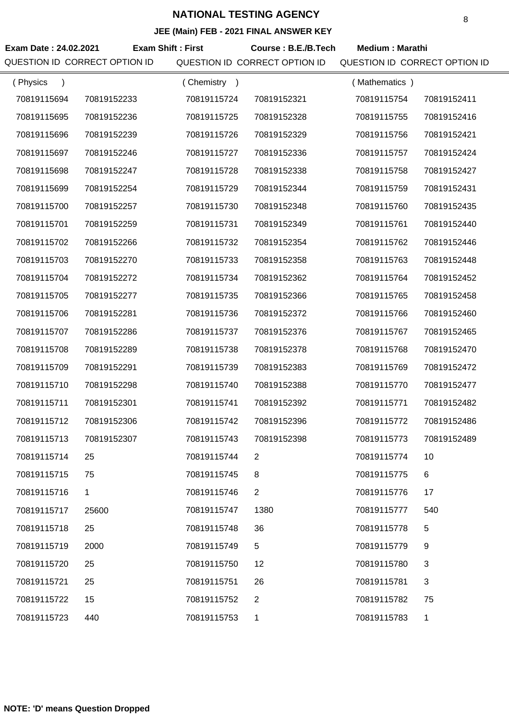| Exam Date: 24.02.2021<br>QUESTION ID CORRECT OPTION ID | <b>Exam Shift: First</b> |             | Course: B.E./B.Tech<br>QUESTION ID CORRECT OPTION ID | <b>Medium: Marathi</b><br>QUESTION ID CORRECT OPTION ID |             |
|--------------------------------------------------------|--------------------------|-------------|------------------------------------------------------|---------------------------------------------------------|-------------|
| (Physics<br>$\lambda$                                  |                          | (Chemistry) |                                                      | (Mathematics)                                           |             |
| 70819115694                                            | 70819152233              | 70819115724 | 70819152321                                          | 70819115754                                             | 70819152411 |
| 70819115695                                            | 70819152236              | 70819115725 | 70819152328                                          | 70819115755                                             | 70819152416 |
| 70819115696                                            | 70819152239              | 70819115726 | 70819152329                                          | 70819115756                                             | 70819152421 |
| 70819115697                                            | 70819152246              | 70819115727 | 70819152336                                          | 70819115757                                             | 70819152424 |
| 70819115698                                            | 70819152247              | 70819115728 | 70819152338                                          | 70819115758                                             | 70819152427 |
| 70819115699                                            | 70819152254              | 70819115729 | 70819152344                                          | 70819115759                                             | 70819152431 |
| 70819115700                                            | 70819152257              | 70819115730 | 70819152348                                          | 70819115760                                             | 70819152435 |
| 70819115701                                            | 70819152259              | 70819115731 | 70819152349                                          | 70819115761                                             | 70819152440 |
| 70819115702                                            | 70819152266              | 70819115732 | 70819152354                                          | 70819115762                                             | 70819152446 |
| 70819115703                                            | 70819152270              | 70819115733 | 70819152358                                          | 70819115763                                             | 70819152448 |
| 70819115704                                            | 70819152272              | 70819115734 | 70819152362                                          | 70819115764                                             | 70819152452 |
| 70819115705                                            | 70819152277              | 70819115735 | 70819152366                                          | 70819115765                                             | 70819152458 |
| 70819115706                                            | 70819152281              | 70819115736 | 70819152372                                          | 70819115766                                             | 70819152460 |
| 70819115707                                            | 70819152286              | 70819115737 | 70819152376                                          | 70819115767                                             | 70819152465 |
| 70819115708                                            | 70819152289              | 70819115738 | 70819152378                                          | 70819115768                                             | 70819152470 |
| 70819115709                                            | 70819152291              | 70819115739 | 70819152383                                          | 70819115769                                             | 70819152472 |
| 70819115710                                            | 70819152298              | 70819115740 | 70819152388                                          | 70819115770                                             | 70819152477 |
| 70819115711                                            | 70819152301              | 70819115741 | 70819152392                                          | 70819115771                                             | 70819152482 |
| 70819115712                                            | 70819152306              | 70819115742 | 70819152396                                          | 70819115772                                             | 70819152486 |
| 70819115713                                            | 70819152307              | 70819115743 | 70819152398                                          | 70819115773                                             | 70819152489 |
| 70819115714                                            | 25                       | 70819115744 | 2                                                    | 70819115774                                             | 10          |
| 70819115715                                            | 75                       | 70819115745 | 8                                                    | 70819115775                                             | 6           |
| 70819115716                                            | 1                        | 70819115746 | $\overline{2}$                                       | 70819115776                                             | 17          |
| 70819115717                                            | 25600                    | 70819115747 | 1380                                                 | 70819115777                                             | 540         |
| 70819115718                                            | 25                       | 70819115748 | 36                                                   | 70819115778                                             | 5           |
| 70819115719                                            | 2000                     | 70819115749 | 5                                                    | 70819115779                                             | 9           |
| 70819115720                                            | 25                       | 70819115750 | 12                                                   | 70819115780                                             | 3           |
| 70819115721                                            | 25                       | 70819115751 | 26                                                   | 70819115781                                             | 3           |
| 70819115722                                            | 15                       | 70819115752 | 2                                                    | 70819115782                                             | 75          |
| 70819115723                                            | 440                      | 70819115753 | 1                                                    | 70819115783                                             | 1           |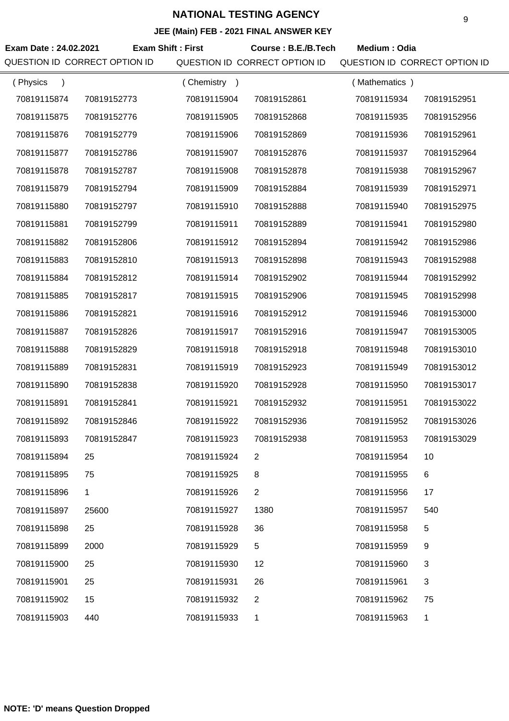## **JEE (Main) FEB - 2021 FINAL ANSWER KEY**

| Exam Date: 24.02.2021<br>QUESTION ID CORRECT OPTION ID | <b>Exam Shift: First</b> |             | Course: B.E./B.Tech<br>QUESTION ID CORRECT OPTION ID | Medium: Odia<br>QUESTION ID CORRECT OPTION ID |             |
|--------------------------------------------------------|--------------------------|-------------|------------------------------------------------------|-----------------------------------------------|-------------|
| (Physics<br>$\lambda$                                  |                          | (Chemistry) |                                                      | (Mathematics)                                 |             |
| 70819115874                                            | 70819152773              | 70819115904 | 70819152861                                          | 70819115934                                   | 70819152951 |
| 70819115875                                            | 70819152776              | 70819115905 | 70819152868                                          | 70819115935                                   | 70819152956 |
| 70819115876                                            | 70819152779              | 70819115906 | 70819152869                                          | 70819115936                                   | 70819152961 |
| 70819115877                                            | 70819152786              | 70819115907 | 70819152876                                          | 70819115937                                   | 70819152964 |
| 70819115878                                            | 70819152787              | 70819115908 | 70819152878                                          | 70819115938                                   | 70819152967 |
| 70819115879                                            | 70819152794              | 70819115909 | 70819152884                                          | 70819115939                                   | 70819152971 |
| 70819115880                                            | 70819152797              | 70819115910 | 70819152888                                          | 70819115940                                   | 70819152975 |
| 70819115881                                            | 70819152799              | 70819115911 | 70819152889                                          | 70819115941                                   | 70819152980 |
| 70819115882                                            | 70819152806              | 70819115912 | 70819152894                                          | 70819115942                                   | 70819152986 |
| 70819115883                                            | 70819152810              | 70819115913 | 70819152898                                          | 70819115943                                   | 70819152988 |
| 70819115884                                            | 70819152812              | 70819115914 | 70819152902                                          | 70819115944                                   | 70819152992 |
| 70819115885                                            | 70819152817              | 70819115915 | 70819152906                                          | 70819115945                                   | 70819152998 |
| 70819115886                                            | 70819152821              | 70819115916 | 70819152912                                          | 70819115946                                   | 70819153000 |
| 70819115887                                            | 70819152826              | 70819115917 | 70819152916                                          | 70819115947                                   | 70819153005 |
| 70819115888                                            | 70819152829              | 70819115918 | 70819152918                                          | 70819115948                                   | 70819153010 |
| 70819115889                                            | 70819152831              | 70819115919 | 70819152923                                          | 70819115949                                   | 70819153012 |
| 70819115890                                            | 70819152838              | 70819115920 | 70819152928                                          | 70819115950                                   | 70819153017 |
| 70819115891                                            | 70819152841              | 70819115921 | 70819152932                                          | 70819115951                                   | 70819153022 |
| 70819115892                                            | 70819152846              | 70819115922 | 70819152936                                          | 70819115952                                   | 70819153026 |
| 70819115893                                            | 70819152847              | 70819115923 | 70819152938                                          | 70819115953                                   | 70819153029 |
| 70819115894                                            | 25                       | 70819115924 | 2                                                    | 70819115954                                   | 10          |
| 70819115895                                            | 75                       | 70819115925 | 8                                                    | 70819115955                                   | 6           |
| 70819115896                                            | 1                        | 70819115926 | 2                                                    | 70819115956                                   | 17          |
| 70819115897                                            | 25600                    | 70819115927 | 1380                                                 | 70819115957                                   | 540         |
| 70819115898                                            | 25                       | 70819115928 | 36                                                   | 70819115958                                   | 5           |
| 70819115899                                            | 2000                     | 70819115929 | 5                                                    | 70819115959                                   | 9           |
| 70819115900                                            | 25                       | 70819115930 | 12                                                   | 70819115960                                   | 3           |
| 70819115901                                            | 25                       | 70819115931 | 26                                                   | 70819115961                                   | 3           |
| 70819115902                                            | 15                       | 70819115932 | 2                                                    | 70819115962                                   | 75          |
| 70819115903                                            | 440                      | 70819115933 | 1                                                    | 70819115963                                   | 1           |

**NOTE: 'D' means Question Dropped**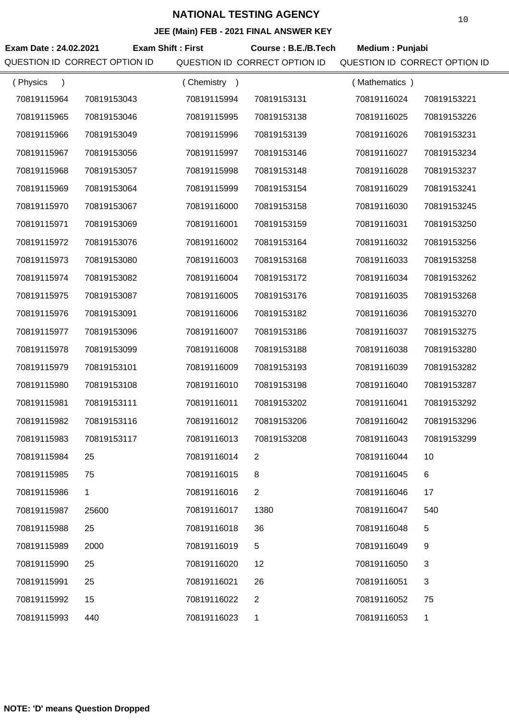| Exam Date: 24.02.2021<br>QUESTION ID CORRECT OPTION ID | <b>Exam Shift: First</b> |             | Course: B.E./B.Tech<br>QUESTION ID CORRECT OPTION ID | Medium: Punjabi<br>QUESTION ID CORRECT OPTION ID |             |
|--------------------------------------------------------|--------------------------|-------------|------------------------------------------------------|--------------------------------------------------|-------------|
| (Physics<br>$\lambda$                                  |                          | (Chemistry) |                                                      | (Mathematics)                                    |             |
| 70819115964                                            | 70819153043              | 70819115994 | 70819153131                                          | 70819116024                                      | 70819153221 |
| 70819115965                                            | 70819153046              | 70819115995 | 70819153138                                          | 70819116025                                      | 70819153226 |
| 70819115966                                            | 70819153049              | 70819115996 | 70819153139                                          | 70819116026                                      | 70819153231 |
| 70819115967                                            | 70819153056              | 70819115997 | 70819153146                                          | 70819116027                                      | 70819153234 |
| 70819115968                                            | 70819153057              | 70819115998 | 70819153148                                          | 70819116028                                      | 70819153237 |
| 70819115969                                            | 70819153064              | 70819115999 | 70819153154                                          | 70819116029                                      | 70819153241 |
| 70819115970                                            | 70819153067              | 70819116000 | 70819153158                                          | 70819116030                                      | 70819153245 |
| 70819115971                                            | 70819153069              | 70819116001 | 70819153159                                          | 70819116031                                      | 70819153250 |
| 70819115972                                            | 70819153076              | 70819116002 | 70819153164                                          | 70819116032                                      | 70819153256 |
| 70819115973                                            | 70819153080              | 70819116003 | 70819153168                                          | 70819116033                                      | 70819153258 |
| 70819115974                                            | 70819153082              | 70819116004 | 70819153172                                          | 70819116034                                      | 70819153262 |
| 70819115975                                            | 70819153087              | 70819116005 | 70819153176                                          | 70819116035                                      | 70819153268 |
| 70819115976                                            | 70819153091              | 70819116006 | 70819153182                                          | 70819116036                                      | 70819153270 |
| 70819115977                                            | 70819153096              | 70819116007 | 70819153186                                          | 70819116037                                      | 70819153275 |
| 70819115978                                            | 70819153099              | 70819116008 | 70819153188                                          | 70819116038                                      | 70819153280 |
| 70819115979                                            | 70819153101              | 70819116009 | 70819153193                                          | 70819116039                                      | 70819153282 |
| 70819115980                                            | 70819153108              | 70819116010 | 70819153198                                          | 70819116040                                      | 70819153287 |
| 70819115981                                            | 70819153111              | 70819116011 | 70819153202                                          | 70819116041                                      | 70819153292 |
| 70819115982                                            | 70819153116              | 70819116012 | 70819153206                                          | 70819116042                                      | 70819153296 |
| 70819115983                                            | 70819153117              | 70819116013 | 70819153208                                          | 70819116043                                      | 70819153299 |
| 70819115984                                            | 25                       | 70819116014 | 2                                                    | 70819116044                                      | 10          |
| 70819115985                                            | 75                       | 70819116015 | 8                                                    | 70819116045                                      | 6           |
| 70819115986                                            | 1                        | 70819116016 | $\overline{2}$                                       | 70819116046                                      | 17          |
| 70819115987                                            | 25600                    | 70819116017 | 1380                                                 | 70819116047                                      | 540         |
| 70819115988                                            | 25                       | 70819116018 | 36                                                   | 70819116048                                      | 5           |
| 70819115989                                            | 2000                     | 70819116019 | 5                                                    | 70819116049                                      | 9           |
| 70819115990                                            | 25                       | 70819116020 | 12                                                   | 70819116050                                      | 3           |
| 70819115991                                            | 25                       | 70819116021 | 26                                                   | 70819116051                                      | 3           |
| 70819115992                                            | 15                       | 70819116022 | 2                                                    | 70819116052                                      | 75          |
| 70819115993                                            | 440                      | 70819116023 | 1                                                    | 70819116053                                      | 1           |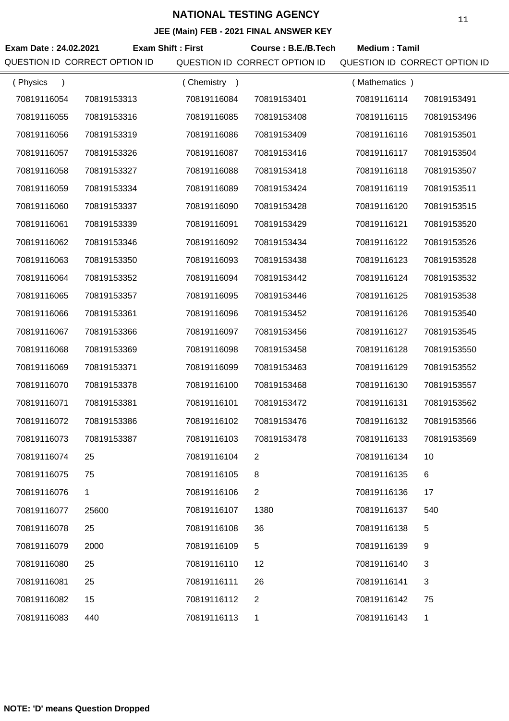| Exam Date: 24.02.2021         | <b>Exam Shift: First</b> |             | Course: B.E./B.Tech           | <b>Medium: Tamil</b>          |             |
|-------------------------------|--------------------------|-------------|-------------------------------|-------------------------------|-------------|
| QUESTION ID CORRECT OPTION ID |                          |             | QUESTION ID CORRECT OPTION ID | QUESTION ID CORRECT OPTION ID |             |
| (Physics<br>$\lambda$         |                          | (Chemistry) |                               | (Mathematics)                 |             |
| 70819116054                   | 70819153313              | 70819116084 | 70819153401                   | 70819116114                   | 70819153491 |
| 70819116055                   | 70819153316              | 70819116085 | 70819153408                   | 70819116115                   | 70819153496 |
| 70819116056                   | 70819153319              | 70819116086 | 70819153409                   | 70819116116                   | 70819153501 |
| 70819116057                   | 70819153326              | 70819116087 | 70819153416                   | 70819116117                   | 70819153504 |
| 70819116058                   | 70819153327              | 70819116088 | 70819153418                   | 70819116118                   | 70819153507 |
| 70819116059                   | 70819153334              | 70819116089 | 70819153424                   | 70819116119                   | 70819153511 |
| 70819116060                   | 70819153337              | 70819116090 | 70819153428                   | 70819116120                   | 70819153515 |
| 70819116061                   | 70819153339              | 70819116091 | 70819153429                   | 70819116121                   | 70819153520 |
| 70819116062                   | 70819153346              | 70819116092 | 70819153434                   | 70819116122                   | 70819153526 |
| 70819116063                   | 70819153350              | 70819116093 | 70819153438                   | 70819116123                   | 70819153528 |
| 70819116064                   | 70819153352              | 70819116094 | 70819153442                   | 70819116124                   | 70819153532 |
| 70819116065                   | 70819153357              | 70819116095 | 70819153446                   | 70819116125                   | 70819153538 |
| 70819116066                   | 70819153361              | 70819116096 | 70819153452                   | 70819116126                   | 70819153540 |
| 70819116067                   | 70819153366              | 70819116097 | 70819153456                   | 70819116127                   | 70819153545 |
| 70819116068                   | 70819153369              | 70819116098 | 70819153458                   | 70819116128                   | 70819153550 |
| 70819116069                   | 70819153371              | 70819116099 | 70819153463                   | 70819116129                   | 70819153552 |
| 70819116070                   | 70819153378              | 70819116100 | 70819153468                   | 70819116130                   | 70819153557 |
| 70819116071                   | 70819153381              | 70819116101 | 70819153472                   | 70819116131                   | 70819153562 |
| 70819116072                   | 70819153386              | 70819116102 | 70819153476                   | 70819116132                   | 70819153566 |
| 70819116073                   | 70819153387              | 70819116103 | 70819153478                   | 70819116133                   | 70819153569 |
| 70819116074                   | 25                       | 70819116104 | 2                             | 70819116134                   | 10          |
| 70819116075                   | 75                       | 70819116105 | 8                             | 70819116135                   | 6           |
| 70819116076                   | $\mathbf 1$              | 70819116106 | $\overline{2}$                | 70819116136                   | 17          |
| 70819116077                   | 25600                    | 70819116107 | 1380                          | 70819116137                   | 540         |
| 70819116078                   | 25                       | 70819116108 | 36                            | 70819116138                   | 5           |
| 70819116079                   | 2000                     | 70819116109 | 5                             | 70819116139                   | 9           |
| 70819116080                   | 25                       | 70819116110 | 12                            | 70819116140                   | 3           |
| 70819116081                   | 25                       | 70819116111 | 26                            | 70819116141                   | 3           |
| 70819116082                   | 15                       | 70819116112 | $\overline{2}$                | 70819116142                   | 75          |
| 70819116083                   | 440                      | 70819116113 | 1                             | 70819116143                   | 1           |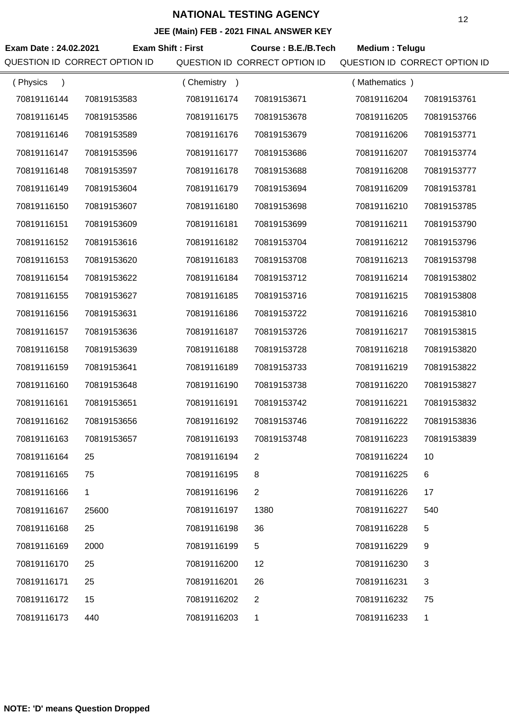#### **JEE (Main) FEB - 2021 FINAL ANSWER KEY**

| Exam Date: 24.02.2021<br>QUESTION ID CORRECT OPTION ID | <b>Exam Shift: First</b> |             | Course: B.E./B.Tech<br>QUESTION ID CORRECT OPTION ID | Medium: Telugu<br>QUESTION ID CORRECT OPTION ID |             |
|--------------------------------------------------------|--------------------------|-------------|------------------------------------------------------|-------------------------------------------------|-------------|
| (Physics<br>$\lambda$                                  |                          | (Chemistry) |                                                      | (Mathematics)                                   |             |
| 70819116144                                            | 70819153583              | 70819116174 | 70819153671                                          | 70819116204                                     | 70819153761 |
| 70819116145                                            | 70819153586              | 70819116175 | 70819153678                                          | 70819116205                                     | 70819153766 |
| 70819116146                                            | 70819153589              | 70819116176 | 70819153679                                          | 70819116206                                     | 70819153771 |
| 70819116147                                            | 70819153596              | 70819116177 | 70819153686                                          | 70819116207                                     | 70819153774 |
| 70819116148                                            | 70819153597              | 70819116178 | 70819153688                                          | 70819116208                                     | 70819153777 |
| 70819116149                                            | 70819153604              | 70819116179 | 70819153694                                          | 70819116209                                     | 70819153781 |
| 70819116150                                            | 70819153607              | 70819116180 | 70819153698                                          | 70819116210                                     | 70819153785 |
| 70819116151                                            | 70819153609              | 70819116181 | 70819153699                                          | 70819116211                                     | 70819153790 |
| 70819116152                                            | 70819153616              | 70819116182 | 70819153704                                          | 70819116212                                     | 70819153796 |
| 70819116153                                            | 70819153620              | 70819116183 | 70819153708                                          | 70819116213                                     | 70819153798 |
| 70819116154                                            | 70819153622              | 70819116184 | 70819153712                                          | 70819116214                                     | 70819153802 |
| 70819116155                                            | 70819153627              | 70819116185 | 70819153716                                          | 70819116215                                     | 70819153808 |
| 70819116156                                            | 70819153631              | 70819116186 | 70819153722                                          | 70819116216                                     | 70819153810 |
| 70819116157                                            | 70819153636              | 70819116187 | 70819153726                                          | 70819116217                                     | 70819153815 |
| 70819116158                                            | 70819153639              | 70819116188 | 70819153728                                          | 70819116218                                     | 70819153820 |
| 70819116159                                            | 70819153641              | 70819116189 | 70819153733                                          | 70819116219                                     | 70819153822 |
| 70819116160                                            | 70819153648              | 70819116190 | 70819153738                                          | 70819116220                                     | 70819153827 |
| 70819116161                                            | 70819153651              | 70819116191 | 70819153742                                          | 70819116221                                     | 70819153832 |
| 70819116162                                            | 70819153656              | 70819116192 | 70819153746                                          | 70819116222                                     | 70819153836 |
| 70819116163                                            | 70819153657              | 70819116193 | 70819153748                                          | 70819116223                                     | 70819153839 |
| 70819116164                                            | 25                       | 70819116194 | 2                                                    | 70819116224                                     | 10          |
| 70819116165                                            | 75                       | 70819116195 | 8                                                    | 70819116225                                     | 6           |
| 70819116166                                            | 1                        | 70819116196 | $\overline{2}$                                       | 70819116226                                     | 17          |
| 70819116167                                            | 25600                    | 70819116197 | 1380                                                 | 70819116227                                     | 540         |
| 70819116168                                            | 25                       | 70819116198 | 36                                                   | 70819116228                                     | 5           |
| 70819116169                                            | 2000                     | 70819116199 | 5                                                    | 70819116229                                     | 9           |
| 70819116170                                            | 25                       | 70819116200 | 12                                                   | 70819116230                                     | 3           |
| 70819116171                                            | 25                       | 70819116201 | 26                                                   | 70819116231                                     | 3           |
| 70819116172                                            | 15                       | 70819116202 | $\overline{2}$                                       | 70819116232                                     | 75          |
| 70819116173                                            | 440                      | 70819116203 | 1                                                    | 70819116233                                     | 1           |

12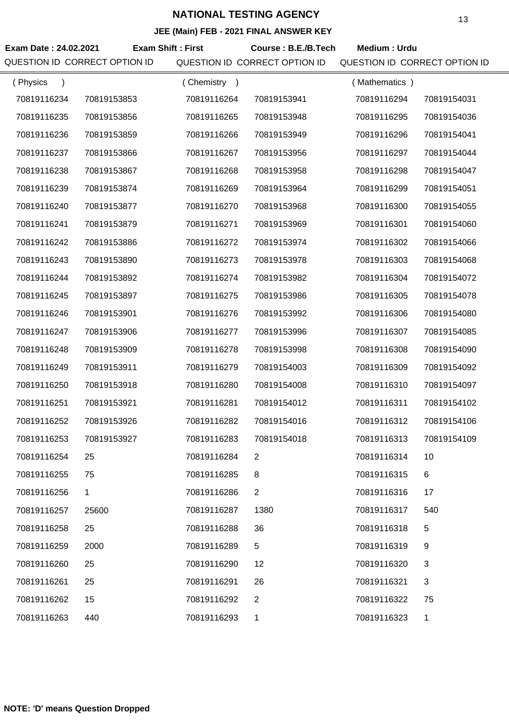| Exam Date: 24.02.2021<br>QUESTION ID CORRECT OPTION ID | <b>Exam Shift: First</b> |             | Course: B.E./B.Tech<br>QUESTION ID CORRECT OPTION ID | Medium: Urdu<br>QUESTION ID CORRECT OPTION ID |             |
|--------------------------------------------------------|--------------------------|-------------|------------------------------------------------------|-----------------------------------------------|-------------|
| (Physics<br>$\lambda$                                  |                          | (Chemistry) |                                                      | (Mathematics)                                 |             |
| 70819116234                                            | 70819153853              | 70819116264 | 70819153941                                          | 70819116294                                   | 70819154031 |
| 70819116235                                            | 70819153856              | 70819116265 | 70819153948                                          | 70819116295                                   | 70819154036 |
| 70819116236                                            | 70819153859              | 70819116266 | 70819153949                                          | 70819116296                                   | 70819154041 |
| 70819116237                                            | 70819153866              | 70819116267 | 70819153956                                          | 70819116297                                   | 70819154044 |
| 70819116238                                            | 70819153867              | 70819116268 | 70819153958                                          | 70819116298                                   | 70819154047 |
| 70819116239                                            | 70819153874              | 70819116269 | 70819153964                                          | 70819116299                                   | 70819154051 |
| 70819116240                                            | 70819153877              | 70819116270 | 70819153968                                          | 70819116300                                   | 70819154055 |
| 70819116241                                            | 70819153879              | 70819116271 | 70819153969                                          | 70819116301                                   | 70819154060 |
| 70819116242                                            | 70819153886              | 70819116272 | 70819153974                                          | 70819116302                                   | 70819154066 |
| 70819116243                                            | 70819153890              | 70819116273 | 70819153978                                          | 70819116303                                   | 70819154068 |
| 70819116244                                            | 70819153892              | 70819116274 | 70819153982                                          | 70819116304                                   | 70819154072 |
| 70819116245                                            | 70819153897              | 70819116275 | 70819153986                                          | 70819116305                                   | 70819154078 |
| 70819116246                                            | 70819153901              | 70819116276 | 70819153992                                          | 70819116306                                   | 70819154080 |
| 70819116247                                            | 70819153906              | 70819116277 | 70819153996                                          | 70819116307                                   | 70819154085 |
| 70819116248                                            | 70819153909              | 70819116278 | 70819153998                                          | 70819116308                                   | 70819154090 |
| 70819116249                                            | 70819153911              | 70819116279 | 70819154003                                          | 70819116309                                   | 70819154092 |
| 70819116250                                            | 70819153918              | 70819116280 | 70819154008                                          | 70819116310                                   | 70819154097 |
| 70819116251                                            | 70819153921              | 70819116281 | 70819154012                                          | 70819116311                                   | 70819154102 |
| 70819116252                                            | 70819153926              | 70819116282 | 70819154016                                          | 70819116312                                   | 70819154106 |
| 70819116253                                            | 70819153927              | 70819116283 | 70819154018                                          | 70819116313                                   | 70819154109 |
| 70819116254                                            | 25                       | 70819116284 | 2                                                    | 70819116314                                   | 10          |
| 70819116255                                            | 75                       | 70819116285 | 8                                                    | 70819116315                                   | 6           |
| 70819116256                                            | 1                        | 70819116286 | $\overline{2}$                                       | 70819116316                                   | 17          |
| 70819116257                                            | 25600                    | 70819116287 | 1380                                                 | 70819116317                                   | 540         |
| 70819116258                                            | 25                       | 70819116288 | 36                                                   | 70819116318                                   | 5           |
| 70819116259                                            | 2000                     | 70819116289 | 5                                                    | 70819116319                                   | 9           |
| 70819116260                                            | 25                       | 70819116290 | 12                                                   | 70819116320                                   | 3           |
| 70819116261                                            | 25                       | 70819116291 | 26                                                   | 70819116321                                   | 3           |
| 70819116262                                            | 15                       | 70819116292 | 2                                                    | 70819116322                                   | 75          |
| 70819116263                                            | 440                      | 70819116293 | 1                                                    | 70819116323                                   | 1           |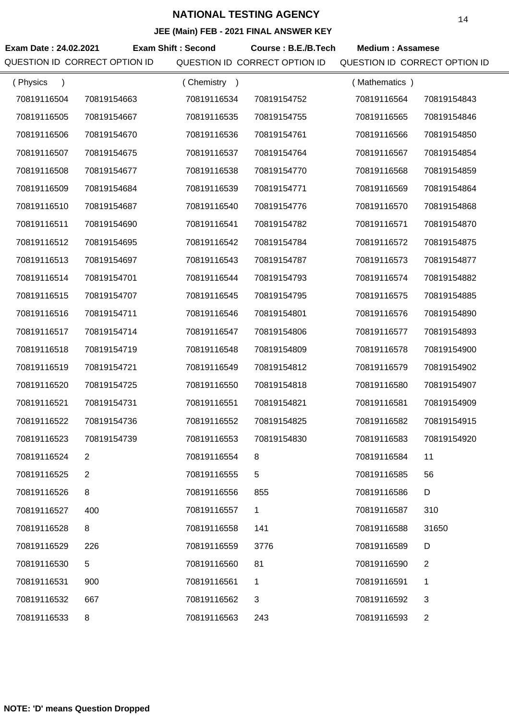**JEE (Main) FEB - 2021 FINAL ANSWER KEY**

|                               |                |                           | $\overline{C}$ (mail) $\overline{C}$ = $\overline{C}$ = $\overline{C}$ = $\overline{C}$ = $\overline{C}$ = $\overline{C}$ = $\overline{C}$ = $\overline{C}$ = $\overline{C}$ = $\overline{C}$ = $\overline{C}$ = $\overline{C}$ = $\overline{C}$ = $\overline{C}$ = $\overline{C}$ = $\overline{C}$ = $\overline{C}$ = $\overline{C}$ = $\overline{C}$ |                               |                |
|-------------------------------|----------------|---------------------------|--------------------------------------------------------------------------------------------------------------------------------------------------------------------------------------------------------------------------------------------------------------------------------------------------------------------------------------------------------|-------------------------------|----------------|
| Exam Date: 24.02.2021         |                | <b>Exam Shift: Second</b> | Course: B.E./B.Tech                                                                                                                                                                                                                                                                                                                                    | <b>Medium: Assamese</b>       |                |
| QUESTION ID CORRECT OPTION ID |                |                           | QUESTION ID CORRECT OPTION ID                                                                                                                                                                                                                                                                                                                          | QUESTION ID CORRECT OPTION ID |                |
| (Physics<br>$\lambda$         |                | (Chemistry)               |                                                                                                                                                                                                                                                                                                                                                        | (Mathematics)                 |                |
| 70819116504                   | 70819154663    | 70819116534               | 70819154752                                                                                                                                                                                                                                                                                                                                            | 70819116564                   | 70819154843    |
| 70819116505                   | 70819154667    | 70819116535               | 70819154755                                                                                                                                                                                                                                                                                                                                            | 70819116565                   | 70819154846    |
| 70819116506                   | 70819154670    | 70819116536               | 70819154761                                                                                                                                                                                                                                                                                                                                            | 70819116566                   | 70819154850    |
| 70819116507                   | 70819154675    | 70819116537               | 70819154764                                                                                                                                                                                                                                                                                                                                            | 70819116567                   | 70819154854    |
| 70819116508                   | 70819154677    | 70819116538               | 70819154770                                                                                                                                                                                                                                                                                                                                            | 70819116568                   | 70819154859    |
| 70819116509                   | 70819154684    | 70819116539               | 70819154771                                                                                                                                                                                                                                                                                                                                            | 70819116569                   | 70819154864    |
| 70819116510                   | 70819154687    | 70819116540               | 70819154776                                                                                                                                                                                                                                                                                                                                            | 70819116570                   | 70819154868    |
| 70819116511                   | 70819154690    | 70819116541               | 70819154782                                                                                                                                                                                                                                                                                                                                            | 70819116571                   | 70819154870    |
| 70819116512                   | 70819154695    | 70819116542               | 70819154784                                                                                                                                                                                                                                                                                                                                            | 70819116572                   | 70819154875    |
| 70819116513                   | 70819154697    | 70819116543               | 70819154787                                                                                                                                                                                                                                                                                                                                            | 70819116573                   | 70819154877    |
| 70819116514                   | 70819154701    | 70819116544               | 70819154793                                                                                                                                                                                                                                                                                                                                            | 70819116574                   | 70819154882    |
| 70819116515                   | 70819154707    | 70819116545               | 70819154795                                                                                                                                                                                                                                                                                                                                            | 70819116575                   | 70819154885    |
| 70819116516                   | 70819154711    | 70819116546               | 70819154801                                                                                                                                                                                                                                                                                                                                            | 70819116576                   | 70819154890    |
| 70819116517                   | 70819154714    | 70819116547               | 70819154806                                                                                                                                                                                                                                                                                                                                            | 70819116577                   | 70819154893    |
| 70819116518                   | 70819154719    | 70819116548               | 70819154809                                                                                                                                                                                                                                                                                                                                            | 70819116578                   | 70819154900    |
| 70819116519                   | 70819154721    | 70819116549               | 70819154812                                                                                                                                                                                                                                                                                                                                            | 70819116579                   | 70819154902    |
| 70819116520                   | 70819154725    | 70819116550               | 70819154818                                                                                                                                                                                                                                                                                                                                            | 70819116580                   | 70819154907    |
| 70819116521                   | 70819154731    | 70819116551               | 70819154821                                                                                                                                                                                                                                                                                                                                            | 70819116581                   | 70819154909    |
| 70819116522                   | 70819154736    | 70819116552               | 70819154825                                                                                                                                                                                                                                                                                                                                            | 70819116582                   | 70819154915    |
| 70819116523                   | 70819154739    | 70819116553               | 70819154830                                                                                                                                                                                                                                                                                                                                            | 70819116583                   | 70819154920    |
| 70819116524                   | $\overline{2}$ | 70819116554               | 8                                                                                                                                                                                                                                                                                                                                                      | 70819116584                   | 11             |
| 70819116525                   | $\overline{2}$ | 70819116555               | 5                                                                                                                                                                                                                                                                                                                                                      | 70819116585                   | 56             |
| 70819116526                   | 8              | 70819116556               | 855                                                                                                                                                                                                                                                                                                                                                    | 70819116586                   | D              |
| 70819116527                   | 400            | 70819116557               | 1                                                                                                                                                                                                                                                                                                                                                      | 70819116587                   | 310            |
| 70819116528                   | 8              | 70819116558               | 141                                                                                                                                                                                                                                                                                                                                                    | 70819116588                   | 31650          |
| 70819116529                   | 226            | 70819116559               | 3776                                                                                                                                                                                                                                                                                                                                                   | 70819116589                   | D              |
| 70819116530                   | 5              | 70819116560               | 81                                                                                                                                                                                                                                                                                                                                                     | 70819116590                   | $\overline{2}$ |
| 70819116531                   | 900            | 70819116561               | 1                                                                                                                                                                                                                                                                                                                                                      | 70819116591                   | 1              |
| 70819116532                   | 667            | 70819116562               | 3                                                                                                                                                                                                                                                                                                                                                      | 70819116592                   | 3              |
| 70819116533                   | 8              | 70819116563               | 243                                                                                                                                                                                                                                                                                                                                                    | 70819116593                   | $\mathbf{2}$   |
|                               |                |                           |                                                                                                                                                                                                                                                                                                                                                        |                               |                |

**NOTE: 'D' means Question Dropped**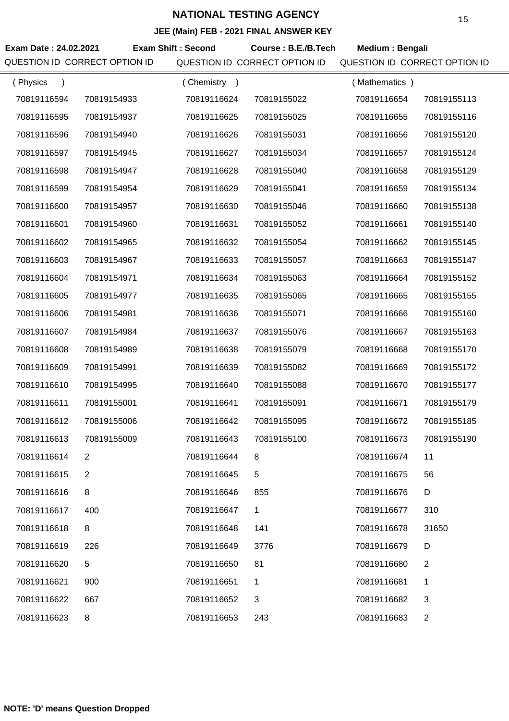| Exam Date: 24.02.2021         | <b>Exam Shift: Second</b> | VLL (MANI) I LD LVL I INAL ARVILITILE I | Course: B.E./B.Tech | Medium: Bengali               |
|-------------------------------|---------------------------|-----------------------------------------|---------------------|-------------------------------|
| QUESTION ID CORRECT OPTION ID |                           | QUESTION ID CORRECT OPTION ID           |                     | QUESTION ID CORRECT OPTION ID |
| (Physics<br>$\lambda$         | (Chemistry)               |                                         | (Mathematics)       |                               |
| 70819116594<br>70819154933    | 70819116624               | 70819155022                             | 70819116654         | 70819155113                   |
| 70819116595<br>70819154937    | 70819116625               | 70819155025                             | 70819116655         | 70819155116                   |
| 70819116596<br>70819154940    | 70819116626               | 70819155031                             | 70819116656         | 70819155120                   |
| 70819116597<br>70819154945    | 70819116627               | 70819155034                             | 70819116657         | 70819155124                   |
| 70819116598<br>70819154947    | 70819116628               | 70819155040                             | 70819116658         | 70819155129                   |
| 70819116599<br>70819154954    | 70819116629               | 70819155041                             | 70819116659         | 70819155134                   |
| 70819116600<br>70819154957    | 70819116630               | 70819155046                             | 70819116660         | 70819155138                   |
| 70819116601<br>70819154960    | 70819116631               | 70819155052                             | 70819116661         | 70819155140                   |
| 70819116602<br>70819154965    | 70819116632               | 70819155054                             | 70819116662         | 70819155145                   |
| 70819116603<br>70819154967    | 70819116633               | 70819155057                             | 70819116663         | 70819155147                   |
| 70819116604<br>70819154971    | 70819116634               | 70819155063                             | 70819116664         | 70819155152                   |
| 70819116605<br>70819154977    | 70819116635               | 70819155065                             | 70819116665         | 70819155155                   |
| 70819116606<br>70819154981    | 70819116636               | 70819155071                             | 70819116666         | 70819155160                   |
| 70819116607<br>70819154984    | 70819116637               | 70819155076                             | 70819116667         | 70819155163                   |
| 70819116608<br>70819154989    | 70819116638               | 70819155079                             | 70819116668         | 70819155170                   |
| 70819116609<br>70819154991    | 70819116639               | 70819155082                             | 70819116669         | 70819155172                   |
| 70819116610<br>70819154995    | 70819116640               | 70819155088                             | 70819116670         | 70819155177                   |
| 70819116611<br>70819155001    | 70819116641               | 70819155091                             | 70819116671         | 70819155179                   |
| 70819116612<br>70819155006    | 70819116642               | 70819155095                             | 70819116672         | 70819155185                   |
| 70819116613<br>70819155009    | 70819116643               | 70819155100                             | 70819116673         | 70819155190                   |
| 70819116614<br>$\overline{2}$ | 70819116644               | 8                                       | 70819116674         | 11                            |
| 70819116615<br>2              | 70819116645               | 5                                       | 70819116675         | 56                            |
| 70819116616<br>8              | 70819116646               | 855                                     | 70819116676         | D                             |
| 70819116617<br>400            | 70819116647               | 1                                       | 70819116677         | 310                           |
| 70819116618<br>8              | 70819116648               | 141                                     | 70819116678         | 31650                         |
| 70819116619<br>226            | 70819116649               | 3776                                    | 70819116679         | D                             |
| 5<br>70819116620              | 70819116650               | 81                                      | 70819116680         | $\overline{2}$                |
| 70819116621<br>900            | 70819116651               | 1                                       | 70819116681         | 1                             |
| 70819116622<br>667            | 70819116652               | 3                                       | 70819116682         | 3                             |
| 70819116623<br>8              | 70819116653               | 243                                     | 70819116683         | $\overline{2}$                |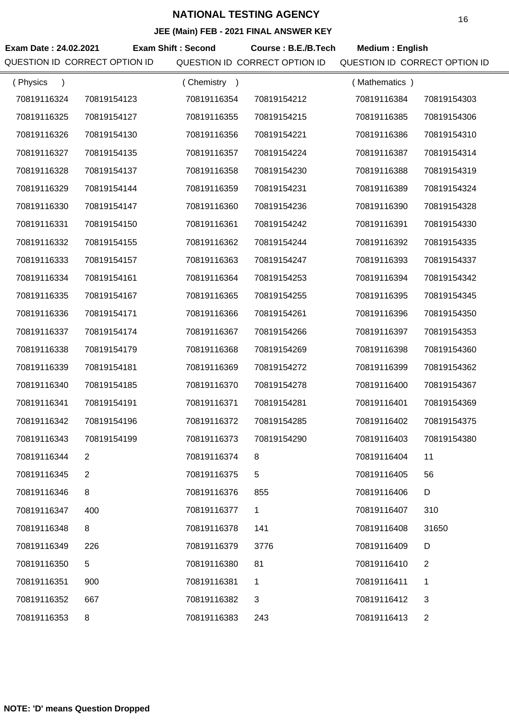| Exam Date: 24.02.2021         | <b>Exam Shift: Second</b> |                               |                               |                |
|-------------------------------|---------------------------|-------------------------------|-------------------------------|----------------|
|                               |                           | Course: B.E./B.Tech           | <b>Medium: English</b>        |                |
| QUESTION ID CORRECT OPTION ID |                           | QUESTION ID CORRECT OPTION ID | QUESTION ID CORRECT OPTION ID |                |
| (Physics<br>$\lambda$         | (Chemistry)               |                               | (Mathematics)                 |                |
| 70819116324<br>70819154123    | 70819116354               | 70819154212                   | 70819116384                   | 70819154303    |
| 70819116325<br>70819154127    | 70819116355               | 70819154215                   | 70819116385                   | 70819154306    |
| 70819116326<br>70819154130    | 70819116356               | 70819154221                   | 70819116386                   | 70819154310    |
| 70819116327<br>70819154135    | 70819116357               | 70819154224                   | 70819116387                   | 70819154314    |
| 70819116328<br>70819154137    | 70819116358               | 70819154230                   | 70819116388                   | 70819154319    |
| 70819116329<br>70819154144    | 70819116359               | 70819154231                   | 70819116389                   | 70819154324    |
| 70819116330<br>70819154147    | 70819116360               | 70819154236                   | 70819116390                   | 70819154328    |
| 70819116331<br>70819154150    | 70819116361               | 70819154242                   | 70819116391                   | 70819154330    |
| 70819116332<br>70819154155    | 70819116362               | 70819154244                   | 70819116392                   | 70819154335    |
| 70819116333<br>70819154157    | 70819116363               | 70819154247                   | 70819116393                   | 70819154337    |
| 70819116334<br>70819154161    | 70819116364               | 70819154253                   | 70819116394                   | 70819154342    |
| 70819116335<br>70819154167    | 70819116365               | 70819154255                   | 70819116395                   | 70819154345    |
| 70819116336<br>70819154171    | 70819116366               | 70819154261                   | 70819116396                   | 70819154350    |
| 70819116337<br>70819154174    | 70819116367               | 70819154266                   | 70819116397                   | 70819154353    |
| 70819116338<br>70819154179    | 70819116368               | 70819154269                   | 70819116398                   | 70819154360    |
| 70819116339<br>70819154181    | 70819116369               | 70819154272                   | 70819116399                   | 70819154362    |
| 70819116340<br>70819154185    | 70819116370               | 70819154278                   | 70819116400                   | 70819154367    |
| 70819116341<br>70819154191    | 70819116371               | 70819154281                   | 70819116401                   | 70819154369    |
| 70819116342<br>70819154196    | 70819116372               | 70819154285                   | 70819116402                   | 70819154375    |
| 70819116343<br>70819154199    | 70819116373               | 70819154290                   | 70819116403                   | 70819154380    |
| 70819116344<br>$\overline{2}$ | 70819116374               | 8                             | 70819116404                   | 11             |
| 70819116345<br>2              | 70819116375               | 5                             | 70819116405                   | 56             |
| 8<br>70819116346              | 70819116376               | 855                           | 70819116406                   | D              |
| 70819116347<br>400            | 70819116377               | 1                             | 70819116407                   | 310            |
| 70819116348<br>8              | 70819116378               | 141                           | 70819116408                   | 31650          |
| 70819116349<br>226            | 70819116379               | 3776                          | 70819116409                   | D              |
| 5<br>70819116350              | 70819116380               | 81                            | 70819116410                   | $\overline{2}$ |
| 70819116351<br>900            | 70819116381               | 1                             | 70819116411                   | 1              |
| 70819116352<br>667            | 70819116382               | 3                             | 70819116412                   | 3              |
| 70819116353<br>8              | 70819116383               | 243                           | 70819116413                   | $\overline{2}$ |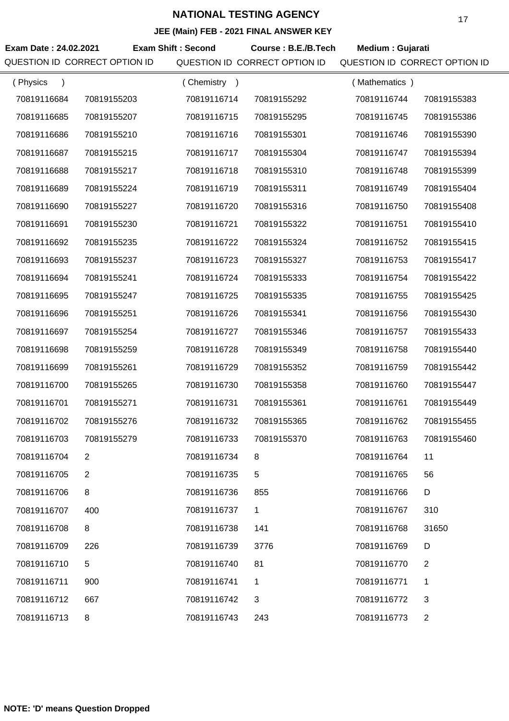|                               |                |                           | JEE (MAIN) FEB - 2021 FINAL ANSWER KEY |                               |                |
|-------------------------------|----------------|---------------------------|----------------------------------------|-------------------------------|----------------|
| Exam Date: 24.02.2021         |                | <b>Exam Shift: Second</b> | Course: B.E./B.Tech                    | Medium: Gujarati              |                |
| QUESTION ID CORRECT OPTION ID |                |                           | QUESTION ID CORRECT OPTION ID          | QUESTION ID CORRECT OPTION ID |                |
| (Physics<br>$\mathcal{E}$     |                | (Chemistry)               |                                        | (Mathematics)                 |                |
| 70819116684                   | 70819155203    | 70819116714               | 70819155292                            | 70819116744                   | 70819155383    |
| 70819116685                   | 70819155207    | 70819116715               | 70819155295                            | 70819116745                   | 70819155386    |
| 70819116686                   | 70819155210    | 70819116716               | 70819155301                            | 70819116746                   | 70819155390    |
| 70819116687                   | 70819155215    | 70819116717               | 70819155304                            | 70819116747                   | 70819155394    |
| 70819116688                   | 70819155217    | 70819116718               | 70819155310                            | 70819116748                   | 70819155399    |
| 70819116689                   | 70819155224    | 70819116719               | 70819155311                            | 70819116749                   | 70819155404    |
| 70819116690                   | 70819155227    | 70819116720               | 70819155316                            | 70819116750                   | 70819155408    |
| 70819116691                   | 70819155230    | 70819116721               | 70819155322                            | 70819116751                   | 70819155410    |
| 70819116692                   | 70819155235    | 70819116722               | 70819155324                            | 70819116752                   | 70819155415    |
| 70819116693                   | 70819155237    | 70819116723               | 70819155327                            | 70819116753                   | 70819155417    |
| 70819116694                   | 70819155241    | 70819116724               | 70819155333                            | 70819116754                   | 70819155422    |
| 70819116695                   | 70819155247    | 70819116725               | 70819155335                            | 70819116755                   | 70819155425    |
| 70819116696                   | 70819155251    | 70819116726               | 70819155341                            | 70819116756                   | 70819155430    |
| 70819116697                   | 70819155254    | 70819116727               | 70819155346                            | 70819116757                   | 70819155433    |
| 70819116698                   | 70819155259    | 70819116728               | 70819155349                            | 70819116758                   | 70819155440    |
| 70819116699                   | 70819155261    | 70819116729               | 70819155352                            | 70819116759                   | 70819155442    |
| 70819116700                   | 70819155265    | 70819116730               | 70819155358                            | 70819116760                   | 70819155447    |
| 70819116701                   | 70819155271    | 70819116731               | 70819155361                            | 70819116761                   | 70819155449    |
| 70819116702                   | 70819155276    | 70819116732               | 70819155365                            | 70819116762                   | 70819155455    |
| 70819116703                   | 70819155279    | 70819116733               | 70819155370                            | 70819116763                   | 70819155460    |
| 70819116704                   | $\overline{2}$ | 70819116734               | 8                                      | 70819116764                   | 11             |
| 70819116705                   | 2              | 70819116735               | 5                                      | 70819116765                   | 56             |
| 70819116706                   | 8              | 70819116736               | 855                                    | 70819116766                   | D              |
| 70819116707                   | 400            | 70819116737               | 1                                      | 70819116767                   | 310            |
| 70819116708                   | 8              | 70819116738               | 141                                    | 70819116768                   | 31650          |
| 70819116709                   | 226            | 70819116739               | 3776                                   | 70819116769                   | D              |
| 70819116710                   | 5              | 70819116740               | 81                                     | 70819116770                   | $\overline{2}$ |
| 70819116711                   | 900            | 70819116741               | 1                                      | 70819116771                   | 1              |
| 70819116712                   | 667            | 70819116742               | 3                                      | 70819116772                   | $\mathfrak{S}$ |
| 70819116713                   | 8              | 70819116743               | 243                                    | 70819116773                   | $\overline{2}$ |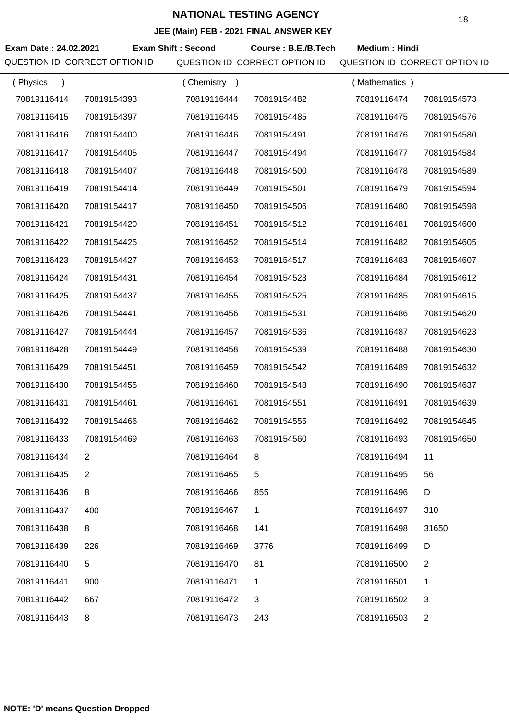|                                                        | JEE (Main) FEB - 2021 FINAL ANSWER KEY |                                                      |                                                       |                |
|--------------------------------------------------------|----------------------------------------|------------------------------------------------------|-------------------------------------------------------|----------------|
| Exam Date: 24.02.2021<br>QUESTION ID CORRECT OPTION ID | <b>Exam Shift: Second</b>              | Course: B.E./B.Tech<br>QUESTION ID CORRECT OPTION ID | <b>Medium: Hindi</b><br>QUESTION ID CORRECT OPTION ID |                |
| (Physics                                               | (Chemistry)                            |                                                      | (Mathematics)                                         |                |
| 70819116414<br>70819154393                             | 70819116444                            | 70819154482                                          | 70819116474                                           | 70819154573    |
| 70819116415<br>70819154397                             | 70819116445                            | 70819154485                                          | 70819116475                                           | 70819154576    |
| 70819116416<br>70819154400                             | 70819116446                            | 70819154491                                          | 70819116476                                           | 70819154580    |
| 70819116417<br>70819154405                             | 70819116447                            | 70819154494                                          | 70819116477                                           | 70819154584    |
| 70819116418<br>70819154407                             | 70819116448                            | 70819154500                                          | 70819116478                                           | 70819154589    |
| 70819116419<br>70819154414                             | 70819116449                            | 70819154501                                          | 70819116479                                           | 70819154594    |
| 70819116420<br>70819154417                             | 70819116450                            | 70819154506                                          | 70819116480                                           | 70819154598    |
| 70819116421<br>70819154420                             | 70819116451                            | 70819154512                                          | 70819116481                                           | 70819154600    |
| 70819116422<br>70819154425                             | 70819116452                            | 70819154514                                          | 70819116482                                           | 70819154605    |
| 70819116423<br>70819154427                             | 70819116453                            | 70819154517                                          | 70819116483                                           | 70819154607    |
| 70819116424<br>70819154431                             | 70819116454                            | 70819154523                                          | 70819116484                                           | 70819154612    |
| 70819116425<br>70819154437                             | 70819116455                            | 70819154525                                          | 70819116485                                           | 70819154615    |
| 70819116426<br>70819154441                             | 70819116456                            | 70819154531                                          | 70819116486                                           | 70819154620    |
| 70819116427<br>70819154444                             | 70819116457                            | 70819154536                                          | 70819116487                                           | 70819154623    |
| 70819116428<br>70819154449                             | 70819116458                            | 70819154539                                          | 70819116488                                           | 70819154630    |
| 70819116429<br>70819154451                             | 70819116459                            | 70819154542                                          | 70819116489                                           | 70819154632    |
| 70819116430<br>70819154455                             | 70819116460                            | 70819154548                                          | 70819116490                                           | 70819154637    |
| 70819116431<br>70819154461                             | 70819116461                            | 70819154551                                          | 70819116491                                           | 70819154639    |
| 70819116432<br>70819154466                             | 70819116462                            | 70819154555                                          | 70819116492                                           | 70819154645    |
| 70819116433<br>70819154469                             | 70819116463                            | 70819154560                                          | 70819116493                                           | 70819154650    |
| 70819116434<br>$\overline{2}$                          | 70819116464                            | 8                                                    | 70819116494                                           | 11             |
| 70819116435<br>$\overline{2}$                          | 70819116465                            | 5                                                    | 70819116495                                           | 56             |
| 70819116436<br>8                                       | 70819116466                            | 855                                                  | 70819116496                                           | D              |
| 70819116437<br>400                                     | 70819116467                            | $\mathbf{1}$                                         | 70819116497                                           | 310            |
| 70819116438<br>8                                       | 70819116468                            | 141                                                  | 70819116498                                           | 31650          |
| 70819116439<br>226                                     | 70819116469                            | 3776                                                 | 70819116499                                           | D              |
| 70819116440<br>5                                       | 70819116470                            | 81                                                   | 70819116500                                           | $\overline{2}$ |
| 70819116441<br>900                                     | 70819116471                            | 1                                                    | 70819116501                                           | 1              |
| 70819116442<br>667                                     | 70819116472                            | 3                                                    | 70819116502                                           | 3              |
| 70819116443<br>8                                       | 70819116473                            | 243                                                  | 70819116503                                           | $\overline{2}$ |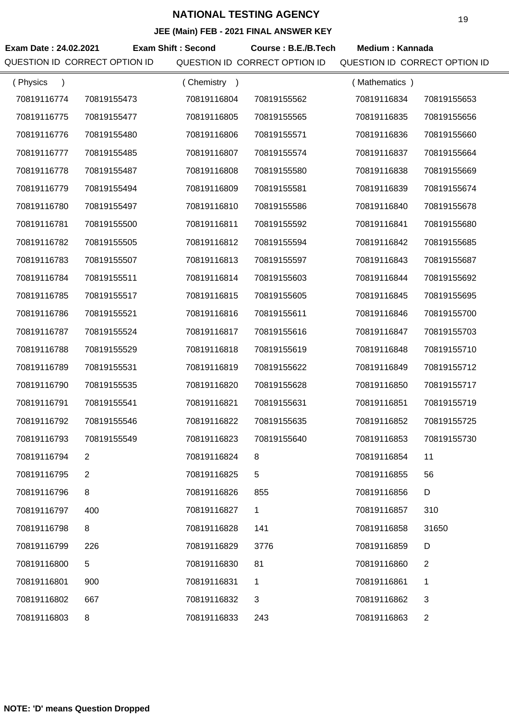**JEE (Main) FEB - 2021 FINAL ANSWER KEY**

|                               |                |                           | JEE (MAIN) FEB - 2021 FINAL ANSWER KET |                               |                |
|-------------------------------|----------------|---------------------------|----------------------------------------|-------------------------------|----------------|
| Exam Date: 24.02.2021         |                | <b>Exam Shift: Second</b> | Course: B.E./B.Tech                    | <b>Medium: Kannada</b>        |                |
| QUESTION ID CORRECT OPTION ID |                |                           | QUESTION ID CORRECT OPTION ID          | QUESTION ID CORRECT OPTION ID |                |
| (Physics                      |                | Chemistry )               |                                        | (Mathematics)                 |                |
| 70819116774                   | 70819155473    | 70819116804               | 70819155562                            | 70819116834                   | 70819155653    |
| 70819116775                   | 70819155477    | 70819116805               | 70819155565                            | 70819116835                   | 70819155656    |
| 70819116776                   | 70819155480    | 70819116806               | 70819155571                            | 70819116836                   | 70819155660    |
| 70819116777                   | 70819155485    | 70819116807               | 70819155574                            | 70819116837                   | 70819155664    |
| 70819116778                   | 70819155487    | 70819116808               | 70819155580                            | 70819116838                   | 70819155669    |
| 70819116779                   | 70819155494    | 70819116809               | 70819155581                            | 70819116839                   | 70819155674    |
| 70819116780                   | 70819155497    | 70819116810               | 70819155586                            | 70819116840                   | 70819155678    |
| 70819116781                   | 70819155500    | 70819116811               | 70819155592                            | 70819116841                   | 70819155680    |
| 70819116782                   | 70819155505    | 70819116812               | 70819155594                            | 70819116842                   | 70819155685    |
| 70819116783                   | 70819155507    | 70819116813               | 70819155597                            | 70819116843                   | 70819155687    |
| 70819116784                   | 70819155511    | 70819116814               | 70819155603                            | 70819116844                   | 70819155692    |
| 70819116785                   | 70819155517    | 70819116815               | 70819155605                            | 70819116845                   | 70819155695    |
| 70819116786                   | 70819155521    | 70819116816               | 70819155611                            | 70819116846                   | 70819155700    |
| 70819116787                   | 70819155524    | 70819116817               | 70819155616                            | 70819116847                   | 70819155703    |
| 70819116788                   | 70819155529    | 70819116818               | 70819155619                            | 70819116848                   | 70819155710    |
| 70819116789                   | 70819155531    | 70819116819               | 70819155622                            | 70819116849                   | 70819155712    |
| 70819116790                   | 70819155535    | 70819116820               | 70819155628                            | 70819116850                   | 70819155717    |
| 70819116791                   | 70819155541    | 70819116821               | 70819155631                            | 70819116851                   | 70819155719    |
| 70819116792                   | 70819155546    | 70819116822               | 70819155635                            | 70819116852                   | 70819155725    |
| 70819116793                   | 70819155549    | 70819116823               | 70819155640                            | 70819116853                   | 70819155730    |
| 70819116794                   | $\overline{2}$ | 70819116824               | 8                                      | 70819116854                   | 11             |
| 70819116795                   | 2              | 70819116825               | 5                                      | 70819116855                   | 56             |
| 70819116796                   | 8              | 70819116826               | 855                                    | 70819116856                   | D              |
| 70819116797                   | 400            | 70819116827               | $\mathbf 1$                            | 70819116857                   | 310            |
| 70819116798                   | 8              | 70819116828               | 141                                    | 70819116858                   | 31650          |
| 70819116799                   | 226            | 70819116829               | 3776                                   | 70819116859                   | D              |
| 70819116800                   | $\,$ 5 $\,$    | 70819116830               | 81                                     | 70819116860                   | 2              |
| 70819116801                   | 900            | 70819116831               | 1                                      | 70819116861                   | 1              |
| 70819116802                   | 667            | 70819116832               | $\sqrt{3}$                             | 70819116862                   | 3              |
| 70819116803                   | 8              | 70819116833               | 243                                    | 70819116863                   | $\overline{2}$ |

÷,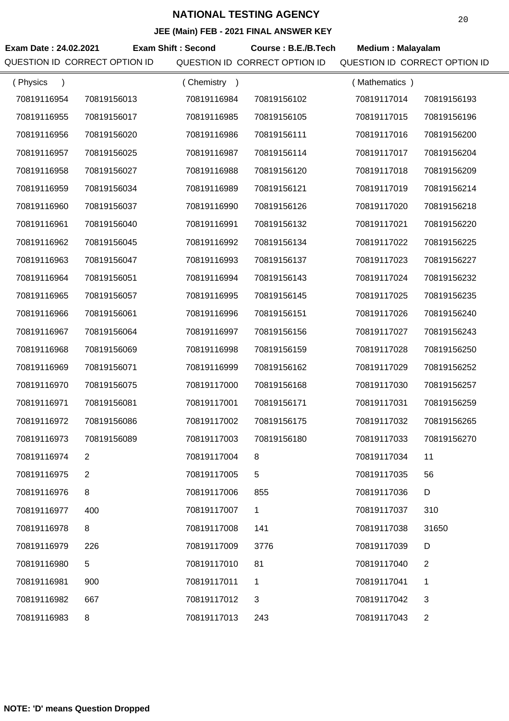**JEE (Main) FEB - 2021 FINAL ANSWER KEY**

| Exam Date: 24.02.2021 |                               | <b>Exam Shift: Second</b> | <b>EVEL LIBRAL AROWER REP</b><br>Course: B.E./B.Tech | <b>Medium: Malayalam</b>      |                |
|-----------------------|-------------------------------|---------------------------|------------------------------------------------------|-------------------------------|----------------|
|                       | QUESTION ID CORRECT OPTION ID |                           | QUESTION ID CORRECT OPTION ID                        | QUESTION ID CORRECT OPTION ID |                |
| (Physics<br>$\lambda$ |                               | (Chemistry)               |                                                      | (Mathematics)                 |                |
| 70819116954           | 70819156013                   | 70819116984               | 70819156102                                          | 70819117014                   | 70819156193    |
| 70819116955           | 70819156017                   | 70819116985               | 70819156105                                          | 70819117015                   | 70819156196    |
| 70819116956           | 70819156020                   | 70819116986               | 70819156111                                          | 70819117016                   | 70819156200    |
| 70819116957           | 70819156025                   | 70819116987               | 70819156114                                          | 70819117017                   | 70819156204    |
| 70819116958           | 70819156027                   | 70819116988               | 70819156120                                          | 70819117018                   | 70819156209    |
| 70819116959           | 70819156034                   | 70819116989               | 70819156121                                          | 70819117019                   | 70819156214    |
| 70819116960           | 70819156037                   | 70819116990               | 70819156126                                          | 70819117020                   | 70819156218    |
| 70819116961           | 70819156040                   | 70819116991               | 70819156132                                          | 70819117021                   | 70819156220    |
| 70819116962           | 70819156045                   | 70819116992               | 70819156134                                          | 70819117022                   | 70819156225    |
| 70819116963           | 70819156047                   | 70819116993               | 70819156137                                          | 70819117023                   | 70819156227    |
| 70819116964           | 70819156051                   | 70819116994               | 70819156143                                          | 70819117024                   | 70819156232    |
| 70819116965           | 70819156057                   | 70819116995               | 70819156145                                          | 70819117025                   | 70819156235    |
| 70819116966           | 70819156061                   | 70819116996               | 70819156151                                          | 70819117026                   | 70819156240    |
| 70819116967           | 70819156064                   | 70819116997               | 70819156156                                          | 70819117027                   | 70819156243    |
| 70819116968           | 70819156069                   | 70819116998               | 70819156159                                          | 70819117028                   | 70819156250    |
| 70819116969           | 70819156071                   | 70819116999               | 70819156162                                          | 70819117029                   | 70819156252    |
| 70819116970           | 70819156075                   | 70819117000               | 70819156168                                          | 70819117030                   | 70819156257    |
| 70819116971           | 70819156081                   | 70819117001               | 70819156171                                          | 70819117031                   | 70819156259    |
| 70819116972           | 70819156086                   | 70819117002               | 70819156175                                          | 70819117032                   | 70819156265    |
| 70819116973           | 70819156089                   | 70819117003               | 70819156180                                          | 70819117033                   | 70819156270    |
| 70819116974           | $\overline{2}$                | 70819117004               | 8                                                    | 70819117034                   | 11             |
| 70819116975           | 2                             | 70819117005               | $5\phantom{.0}$                                      | 70819117035                   | 56             |
| 70819116976           | 8                             | 70819117006               | 855                                                  | 70819117036                   | D              |
| 70819116977           | 400                           | 70819117007               | 1                                                    | 70819117037                   | 310            |
| 70819116978           | 8                             | 70819117008               | 141                                                  | 70819117038                   | 31650          |
| 70819116979           | 226                           | 70819117009               | 3776                                                 | 70819117039                   | D              |
| 70819116980           | 5                             | 70819117010               | 81                                                   | 70819117040                   | $\overline{2}$ |
| 70819116981           | 900                           | 70819117011               | 1                                                    | 70819117041                   | 1              |
| 70819116982           | 667                           | 70819117012               | 3                                                    | 70819117042                   | 3              |
| 70819116983           | 8                             | 70819117013               | 243                                                  | 70819117043                   | 2              |
|                       |                               |                           |                                                      |                               |                |

**NOTE: 'D' means Question Dropped**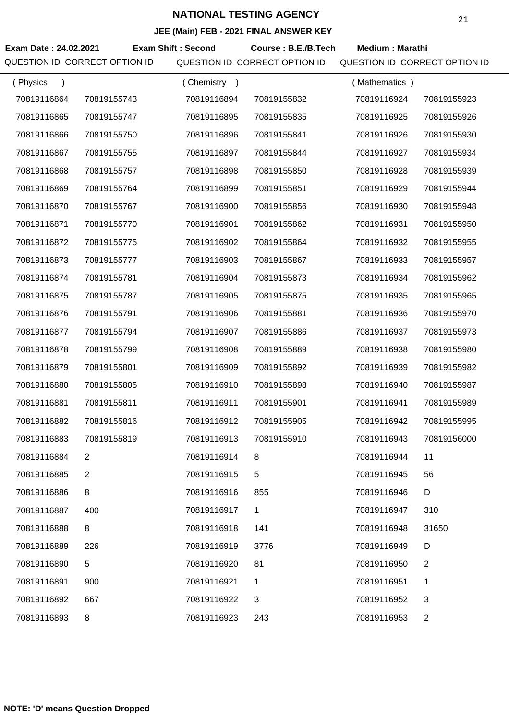**JEE (Main) FEB - 2021 FINAL ANSWER KEY**

|                               |                           |             | $\overline{C}$ (main) $\overline{C}$ = 2021 The ANOWER KET |                               |                |
|-------------------------------|---------------------------|-------------|------------------------------------------------------------|-------------------------------|----------------|
| Exam Date: 24.02.2021         | <b>Exam Shift: Second</b> |             | Course: B.E./B.Tech                                        | <b>Medium: Marathi</b>        |                |
| QUESTION ID CORRECT OPTION ID |                           |             | QUESTION ID CORRECT OPTION ID                              | QUESTION ID CORRECT OPTION ID |                |
| (Physics<br>$\lambda$         |                           | (Chemistry) |                                                            | (Mathematics)                 |                |
| 70819116864                   | 70819155743               | 70819116894 | 70819155832                                                | 70819116924                   | 70819155923    |
| 70819116865                   | 70819155747               | 70819116895 | 70819155835                                                | 70819116925                   | 70819155926    |
| 70819116866                   | 70819155750               | 70819116896 | 70819155841                                                | 70819116926                   | 70819155930    |
| 70819116867                   | 70819155755               | 70819116897 | 70819155844                                                | 70819116927                   | 70819155934    |
| 70819116868                   | 70819155757               | 70819116898 | 70819155850                                                | 70819116928                   | 70819155939    |
| 70819116869                   | 70819155764               | 70819116899 | 70819155851                                                | 70819116929                   | 70819155944    |
| 70819116870                   | 70819155767               | 70819116900 | 70819155856                                                | 70819116930                   | 70819155948    |
| 70819116871                   | 70819155770               | 70819116901 | 70819155862                                                | 70819116931                   | 70819155950    |
| 70819116872                   | 70819155775               | 70819116902 | 70819155864                                                | 70819116932                   | 70819155955    |
| 70819116873                   | 70819155777               | 70819116903 | 70819155867                                                | 70819116933                   | 70819155957    |
| 70819116874                   | 70819155781               | 70819116904 | 70819155873                                                | 70819116934                   | 70819155962    |
| 70819116875                   | 70819155787               | 70819116905 | 70819155875                                                | 70819116935                   | 70819155965    |
| 70819116876                   | 70819155791               | 70819116906 | 70819155881                                                | 70819116936                   | 70819155970    |
| 70819116877                   | 70819155794               | 70819116907 | 70819155886                                                | 70819116937                   | 70819155973    |
| 70819116878                   | 70819155799               | 70819116908 | 70819155889                                                | 70819116938                   | 70819155980    |
| 70819116879                   | 70819155801               | 70819116909 | 70819155892                                                | 70819116939                   | 70819155982    |
| 70819116880                   | 70819155805               | 70819116910 | 70819155898                                                | 70819116940                   | 70819155987    |
| 70819116881                   | 70819155811               | 70819116911 | 70819155901                                                | 70819116941                   | 70819155989    |
| 70819116882                   | 70819155816               | 70819116912 | 70819155905                                                | 70819116942                   | 70819155995    |
| 70819116883                   | 70819155819               | 70819116913 | 70819155910                                                | 70819116943                   | 70819156000    |
| 70819116884                   | $\overline{2}$            | 70819116914 | 8                                                          | 70819116944                   | 11             |
| 70819116885                   | 2                         | 70819116915 | 5                                                          | 70819116945                   | 56             |
| 70819116886                   | 8                         | 70819116916 | 855                                                        | 70819116946                   | D              |
| 70819116887                   | 400                       | 70819116917 | 1                                                          | 70819116947                   | 310            |
| 70819116888                   | 8                         | 70819116918 | 141                                                        | 70819116948                   | 31650          |
| 70819116889                   | 226                       | 70819116919 | 3776                                                       | 70819116949                   | D              |
| 70819116890                   | 5                         | 70819116920 | 81                                                         | 70819116950                   | $\overline{2}$ |
| 70819116891                   | 900                       | 70819116921 | 1                                                          | 70819116951                   | 1              |
| 70819116892                   | 667                       | 70819116922 | 3                                                          | 70819116952                   | 3              |
| 70819116893                   | 8                         | 70819116923 | 243                                                        | 70819116953                   | $\overline{2}$ |

**NOTE: 'D' means Question Dropped**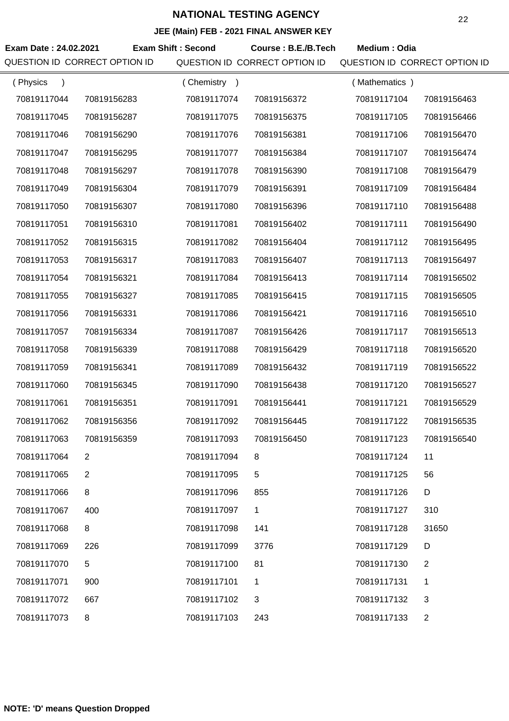| Exam Date: 24.02.2021 | QUESTION ID CORRECT OPTION ID | <b>Exam Shift: Second</b> | Course: B.E./B.Tech<br>QUESTION ID CORRECT OPTION ID | Medium: Odia<br>QUESTION ID CORRECT OPTION ID |                |
|-----------------------|-------------------------------|---------------------------|------------------------------------------------------|-----------------------------------------------|----------------|
| (Physics<br>$\lambda$ |                               | (Chemistry)               |                                                      | (Mathematics)                                 |                |
| 70819117044           | 70819156283                   | 70819117074               | 70819156372                                          | 70819117104                                   | 70819156463    |
| 70819117045           | 70819156287                   | 70819117075               | 70819156375                                          | 70819117105                                   | 70819156466    |
| 70819117046           | 70819156290                   | 70819117076               | 70819156381                                          | 70819117106                                   | 70819156470    |
| 70819117047           | 70819156295                   | 70819117077               | 70819156384                                          | 70819117107                                   | 70819156474    |
| 70819117048           | 70819156297                   | 70819117078               | 70819156390                                          | 70819117108                                   | 70819156479    |
| 70819117049           | 70819156304                   | 70819117079               | 70819156391                                          | 70819117109                                   | 70819156484    |
| 70819117050           | 70819156307                   | 70819117080               | 70819156396                                          | 70819117110                                   | 70819156488    |
| 70819117051           | 70819156310                   | 70819117081               | 70819156402                                          | 70819117111                                   | 70819156490    |
| 70819117052           | 70819156315                   | 70819117082               | 70819156404                                          | 70819117112                                   | 70819156495    |
| 70819117053           | 70819156317                   | 70819117083               | 70819156407                                          | 70819117113                                   | 70819156497    |
| 70819117054           | 70819156321                   | 70819117084               | 70819156413                                          | 70819117114                                   | 70819156502    |
| 70819117055           | 70819156327                   | 70819117085               | 70819156415                                          | 70819117115                                   | 70819156505    |
| 70819117056           | 70819156331                   | 70819117086               | 70819156421                                          | 70819117116                                   | 70819156510    |
| 70819117057           | 70819156334                   | 70819117087               | 70819156426                                          | 70819117117                                   | 70819156513    |
| 70819117058           | 70819156339                   | 70819117088               | 70819156429                                          | 70819117118                                   | 70819156520    |
| 70819117059           | 70819156341                   | 70819117089               | 70819156432                                          | 70819117119                                   | 70819156522    |
| 70819117060           | 70819156345                   | 70819117090               | 70819156438                                          | 70819117120                                   | 70819156527    |
| 70819117061           | 70819156351                   | 70819117091               | 70819156441                                          | 70819117121                                   | 70819156529    |
| 70819117062           | 70819156356                   | 70819117092               | 70819156445                                          | 70819117122                                   | 70819156535    |
| 70819117063           | 70819156359                   | 70819117093               | 70819156450                                          | 70819117123                                   | 70819156540    |
| 70819117064           | 2                             | 70819117094               | 8                                                    | 70819117124                                   | 11             |
| 70819117065           | 2                             | 70819117095               | 5                                                    | 70819117125                                   | 56             |
| 70819117066           | 8                             | 70819117096               | 855                                                  | 70819117126                                   | D              |
| 70819117067           | 400                           | 70819117097               | $\mathbf{1}$                                         | 70819117127                                   | 310            |
| 70819117068           | 8                             | 70819117098               | 141                                                  | 70819117128                                   | 31650          |
| 70819117069           | 226                           | 70819117099               | 3776                                                 | 70819117129                                   | D              |
| 70819117070           | 5                             | 70819117100               | 81                                                   | 70819117130                                   | $\overline{2}$ |
| 70819117071           | 900                           | 70819117101               | 1                                                    | 70819117131                                   | 1              |
| 70819117072           | 667                           | 70819117102               | 3                                                    | 70819117132                                   | 3              |
| 70819117073           | 8                             | 70819117103               | 243                                                  | 70819117133                                   | 2              |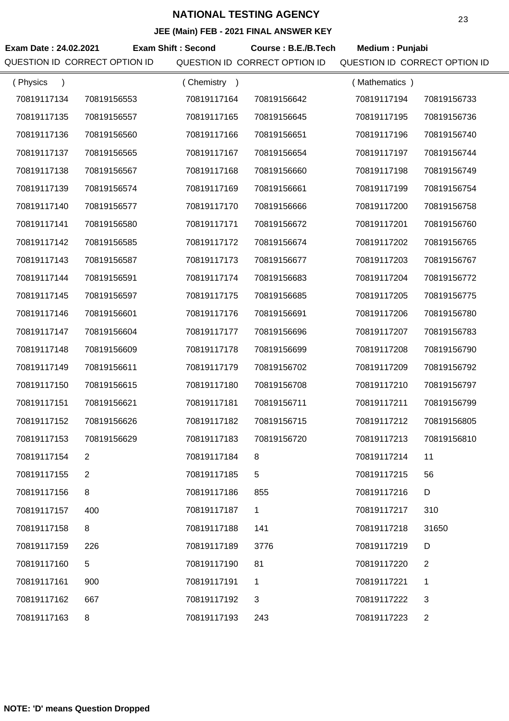|                               |                |                           | JEE (MAIN) FEB - 2021 FINAL ANSWER KEY |                               |                |
|-------------------------------|----------------|---------------------------|----------------------------------------|-------------------------------|----------------|
| Exam Date: 24.02.2021         |                | <b>Exam Shift: Second</b> | Course: B.E./B.Tech                    | Medium: Punjabi               |                |
| QUESTION ID CORRECT OPTION ID |                |                           | QUESTION ID CORRECT OPTION ID          | QUESTION ID CORRECT OPTION ID |                |
| (Physics<br>$\lambda$         |                | (Chemistry)               |                                        | (Mathematics)                 |                |
| 70819117134                   | 70819156553    | 70819117164               | 70819156642                            | 70819117194                   | 70819156733    |
| 70819117135                   | 70819156557    | 70819117165               | 70819156645                            | 70819117195                   | 70819156736    |
| 70819117136                   | 70819156560    | 70819117166               | 70819156651                            | 70819117196                   | 70819156740    |
| 70819117137                   | 70819156565    | 70819117167               | 70819156654                            | 70819117197                   | 70819156744    |
| 70819117138                   | 70819156567    | 70819117168               | 70819156660                            | 70819117198                   | 70819156749    |
| 70819117139                   | 70819156574    | 70819117169               | 70819156661                            | 70819117199                   | 70819156754    |
| 70819117140                   | 70819156577    | 70819117170               | 70819156666                            | 70819117200                   | 70819156758    |
| 70819117141                   | 70819156580    | 70819117171               | 70819156672                            | 70819117201                   | 70819156760    |
| 70819117142                   | 70819156585    | 70819117172               | 70819156674                            | 70819117202                   | 70819156765    |
| 70819117143                   | 70819156587    | 70819117173               | 70819156677                            | 70819117203                   | 70819156767    |
| 70819117144                   | 70819156591    | 70819117174               | 70819156683                            | 70819117204                   | 70819156772    |
| 70819117145                   | 70819156597    | 70819117175               | 70819156685                            | 70819117205                   | 70819156775    |
| 70819117146                   | 70819156601    | 70819117176               | 70819156691                            | 70819117206                   | 70819156780    |
| 70819117147                   | 70819156604    | 70819117177               | 70819156696                            | 70819117207                   | 70819156783    |
| 70819117148                   | 70819156609    | 70819117178               | 70819156699                            | 70819117208                   | 70819156790    |
| 70819117149                   | 70819156611    | 70819117179               | 70819156702                            | 70819117209                   | 70819156792    |
| 70819117150                   | 70819156615    | 70819117180               | 70819156708                            | 70819117210                   | 70819156797    |
| 70819117151                   | 70819156621    | 70819117181               | 70819156711                            | 70819117211                   | 70819156799    |
| 70819117152                   | 70819156626    | 70819117182               | 70819156715                            | 70819117212                   | 70819156805    |
| 70819117153                   | 70819156629    | 70819117183               | 70819156720                            | 70819117213                   | 70819156810    |
| 70819117154                   | $\overline{2}$ | 70819117184               | 8                                      | 70819117214                   | 11             |
| 70819117155                   | 2              | 70819117185               | 5                                      | 70819117215                   | 56             |
| 70819117156                   | 8              | 70819117186               | 855                                    | 70819117216                   | D              |
| 70819117157                   | 400            | 70819117187               | 1                                      | 70819117217                   | 310            |
| 70819117158                   | 8              | 70819117188               | 141                                    | 70819117218                   | 31650          |
| 70819117159                   | 226            | 70819117189               | 3776                                   | 70819117219                   | D              |
| 70819117160                   | 5              | 70819117190               | 81                                     | 70819117220                   | $\overline{2}$ |
| 70819117161                   | 900            | 70819117191               | 1                                      | 70819117221                   | 1              |
| 70819117162                   | 667            | 70819117192               | 3                                      | 70819117222                   | 3              |
| 70819117163                   | 8              | 70819117193               | 243                                    | 70819117223                   | $\overline{2}$ |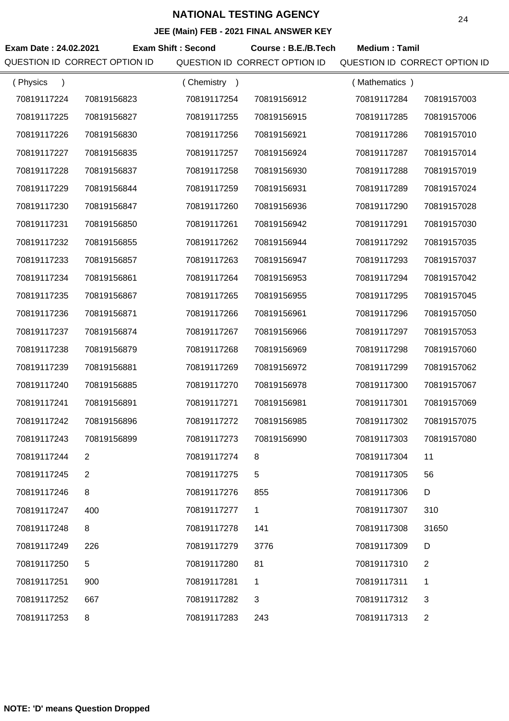|                       |                               |                           | <b>JLL (Maill) I LD - 2021 I INAL ANOWLN RET</b> |                               |                |
|-----------------------|-------------------------------|---------------------------|--------------------------------------------------|-------------------------------|----------------|
| Exam Date: 24.02.2021 |                               | <b>Exam Shift: Second</b> | Course: B.E./B.Tech                              | <b>Medium: Tamil</b>          |                |
|                       | QUESTION ID CORRECT OPTION ID |                           | QUESTION ID CORRECT OPTION ID                    | QUESTION ID CORRECT OPTION ID |                |
| (Physics<br>$\lambda$ |                               | (Chemistry)               |                                                  | (Mathematics)                 |                |
| 70819117224           | 70819156823                   | 70819117254               | 70819156912                                      | 70819117284                   | 70819157003    |
| 70819117225           | 70819156827                   | 70819117255               | 70819156915                                      | 70819117285                   | 70819157006    |
| 70819117226           | 70819156830                   | 70819117256               | 70819156921                                      | 70819117286                   | 70819157010    |
| 70819117227           | 70819156835                   | 70819117257               | 70819156924                                      | 70819117287                   | 70819157014    |
| 70819117228           | 70819156837                   | 70819117258               | 70819156930                                      | 70819117288                   | 70819157019    |
| 70819117229           | 70819156844                   | 70819117259               | 70819156931                                      | 70819117289                   | 70819157024    |
| 70819117230           | 70819156847                   | 70819117260               | 70819156936                                      | 70819117290                   | 70819157028    |
| 70819117231           | 70819156850                   | 70819117261               | 70819156942                                      | 70819117291                   | 70819157030    |
| 70819117232           | 70819156855                   | 70819117262               | 70819156944                                      | 70819117292                   | 70819157035    |
| 70819117233           | 70819156857                   | 70819117263               | 70819156947                                      | 70819117293                   | 70819157037    |
| 70819117234           | 70819156861                   | 70819117264               | 70819156953                                      | 70819117294                   | 70819157042    |
| 70819117235           | 70819156867                   | 70819117265               | 70819156955                                      | 70819117295                   | 70819157045    |
| 70819117236           | 70819156871                   | 70819117266               | 70819156961                                      | 70819117296                   | 70819157050    |
| 70819117237           | 70819156874                   | 70819117267               | 70819156966                                      | 70819117297                   | 70819157053    |
| 70819117238           | 70819156879                   | 70819117268               | 70819156969                                      | 70819117298                   | 70819157060    |
| 70819117239           | 70819156881                   | 70819117269               | 70819156972                                      | 70819117299                   | 70819157062    |
| 70819117240           | 70819156885                   | 70819117270               | 70819156978                                      | 70819117300                   | 70819157067    |
| 70819117241           | 70819156891                   | 70819117271               | 70819156981                                      | 70819117301                   | 70819157069    |
| 70819117242           | 70819156896                   | 70819117272               | 70819156985                                      | 70819117302                   | 70819157075    |
| 70819117243           | 70819156899                   | 70819117273               | 70819156990                                      | 70819117303                   | 70819157080    |
| 70819117244           | $\overline{2}$                | 70819117274               | 8                                                | 70819117304                   | 11             |
| 70819117245           | 2                             | 70819117275               | 5                                                | 70819117305                   | 56             |
| 70819117246           | 8                             | 70819117276               | 855                                              | 70819117306                   | D              |
| 70819117247           | 400                           | 70819117277               | 1                                                | 70819117307                   | 310            |
| 70819117248           | 8                             | 70819117278               | 141                                              | 70819117308                   | 31650          |
| 70819117249           | 226                           | 70819117279               | 3776                                             | 70819117309                   | D              |
| 70819117250           | 5                             | 70819117280               | 81                                               | 70819117310                   | $\overline{2}$ |
| 70819117251           | 900                           | 70819117281               | 1                                                | 70819117311                   | 1              |
| 70819117252           | 667                           | 70819117282               | 3                                                | 70819117312                   | 3              |
| 70819117253           | 8                             | 70819117283               | 243                                              | 70819117313                   | $\overline{2}$ |
|                       |                               |                           |                                                  |                               |                |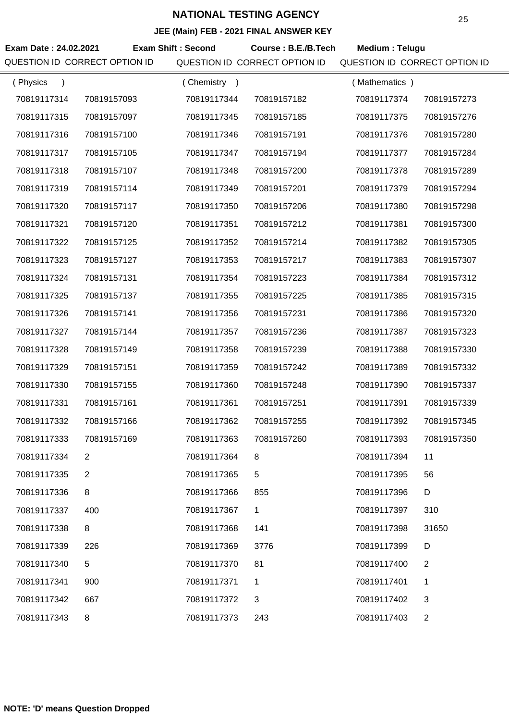| Exam Date: 24.02.2021<br>QUESTION ID CORRECT OPTION ID |                           |                               |                |                               |
|--------------------------------------------------------|---------------------------|-------------------------------|----------------|-------------------------------|
|                                                        | <b>Exam Shift: Second</b> | Course: B.E./B.Tech           | Medium: Telugu |                               |
|                                                        |                           | QUESTION ID CORRECT OPTION ID |                | QUESTION ID CORRECT OPTION ID |
| (Physics<br>$\lambda$                                  | (Chemistry)               |                               | (Mathematics)  |                               |
| 70819117314<br>70819157093                             | 70819117344               | 70819157182                   | 70819117374    | 70819157273                   |
| 70819117315<br>70819157097                             | 70819117345               | 70819157185                   | 70819117375    | 70819157276                   |
| 70819117316<br>70819157100                             | 70819117346               | 70819157191                   | 70819117376    | 70819157280                   |
| 70819117317<br>70819157105                             | 70819117347               | 70819157194                   | 70819117377    | 70819157284                   |
| 70819117318<br>70819157107                             | 70819117348               | 70819157200                   | 70819117378    | 70819157289                   |
| 70819117319<br>70819157114                             | 70819117349               | 70819157201                   | 70819117379    | 70819157294                   |
| 70819117320<br>70819157117                             | 70819117350               | 70819157206                   | 70819117380    | 70819157298                   |
| 70819117321<br>70819157120                             | 70819117351               | 70819157212                   | 70819117381    | 70819157300                   |
| 70819117322<br>70819157125                             | 70819117352               | 70819157214                   | 70819117382    | 70819157305                   |
| 70819117323<br>70819157127                             | 70819117353               | 70819157217                   | 70819117383    | 70819157307                   |
| 70819117324<br>70819157131                             | 70819117354               | 70819157223                   | 70819117384    | 70819157312                   |
| 70819117325<br>70819157137                             | 70819117355               | 70819157225                   | 70819117385    | 70819157315                   |
| 70819117326<br>70819157141                             | 70819117356               | 70819157231                   | 70819117386    | 70819157320                   |
| 70819117327<br>70819157144                             | 70819117357               | 70819157236                   | 70819117387    | 70819157323                   |
| 70819117328<br>70819157149                             | 70819117358               | 70819157239                   | 70819117388    | 70819157330                   |
| 70819117329<br>70819157151                             | 70819117359               | 70819157242                   | 70819117389    | 70819157332                   |
| 70819117330<br>70819157155                             | 70819117360               | 70819157248                   | 70819117390    | 70819157337                   |
| 70819117331<br>70819157161                             | 70819117361               | 70819157251                   | 70819117391    | 70819157339                   |
| 70819117332<br>70819157166                             | 70819117362               | 70819157255                   | 70819117392    | 70819157345                   |
| 70819117333<br>70819157169                             | 70819117363               | 70819157260                   | 70819117393    | 70819157350                   |
| 70819117334<br>$\overline{2}$                          | 70819117364               | 8                             | 70819117394    | 11                            |
| 70819117335<br>2                                       | 70819117365               | 5                             | 70819117395    | 56                            |
| 8<br>70819117336                                       | 70819117366               | 855                           | 70819117396    | D                             |
| 70819117337<br>400                                     | 70819117367               | 1                             | 70819117397    | 310                           |
| 70819117338<br>8                                       | 70819117368               | 141                           | 70819117398    | 31650                         |
| 70819117339<br>226                                     | 70819117369               | 3776                          | 70819117399    | D                             |
| 5<br>70819117340                                       | 70819117370               | 81                            | 70819117400    | 2                             |
| 70819117341<br>900                                     | 70819117371               | 1                             | 70819117401    | 1                             |
| 70819117342<br>667                                     | 70819117372               | 3                             | 70819117402    | 3                             |
| 70819117343<br>8                                       | 70819117373               | 243                           | 70819117403    | $\overline{2}$                |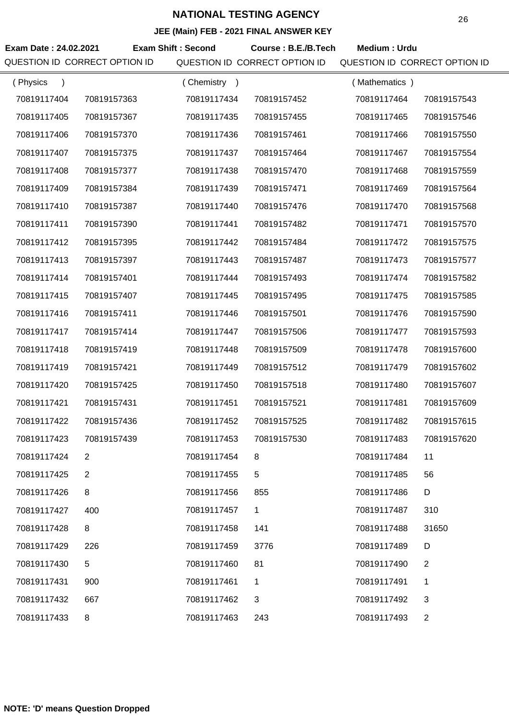|                               |                |                           | JEE (MAIII) FEB - 2021 FINAL ANSWEN NET |                               |                |
|-------------------------------|----------------|---------------------------|-----------------------------------------|-------------------------------|----------------|
| Exam Date: 24.02.2021         |                | <b>Exam Shift: Second</b> | Course: B.E./B.Tech                     | Medium: Urdu                  |                |
| QUESTION ID CORRECT OPTION ID |                |                           | QUESTION ID CORRECT OPTION ID           | QUESTION ID CORRECT OPTION ID |                |
| (Physics                      |                | (Chemistry)               |                                         | (Mathematics)                 |                |
| 70819117404                   | 70819157363    | 70819117434               | 70819157452                             | 70819117464                   | 70819157543    |
| 70819117405                   | 70819157367    | 70819117435               | 70819157455                             | 70819117465                   | 70819157546    |
| 70819117406                   | 70819157370    | 70819117436               | 70819157461                             | 70819117466                   | 70819157550    |
| 70819117407                   | 70819157375    | 70819117437               | 70819157464                             | 70819117467                   | 70819157554    |
| 70819117408                   | 70819157377    | 70819117438               | 70819157470                             | 70819117468                   | 70819157559    |
| 70819117409                   | 70819157384    | 70819117439               | 70819157471                             | 70819117469                   | 70819157564    |
| 70819117410                   | 70819157387    | 70819117440               | 70819157476                             | 70819117470                   | 70819157568    |
| 70819117411                   | 70819157390    | 70819117441               | 70819157482                             | 70819117471                   | 70819157570    |
| 70819117412                   | 70819157395    | 70819117442               | 70819157484                             | 70819117472                   | 70819157575    |
| 70819117413                   | 70819157397    | 70819117443               | 70819157487                             | 70819117473                   | 70819157577    |
| 70819117414                   | 70819157401    | 70819117444               | 70819157493                             | 70819117474                   | 70819157582    |
| 70819117415                   | 70819157407    | 70819117445               | 70819157495                             | 70819117475                   | 70819157585    |
| 70819117416                   | 70819157411    | 70819117446               | 70819157501                             | 70819117476                   | 70819157590    |
| 70819117417                   | 70819157414    | 70819117447               | 70819157506                             | 70819117477                   | 70819157593    |
| 70819117418                   | 70819157419    | 70819117448               | 70819157509                             | 70819117478                   | 70819157600    |
| 70819117419                   | 70819157421    | 70819117449               | 70819157512                             | 70819117479                   | 70819157602    |
| 70819117420                   | 70819157425    | 70819117450               | 70819157518                             | 70819117480                   | 70819157607    |
| 70819117421                   | 70819157431    | 70819117451               | 70819157521                             | 70819117481                   | 70819157609    |
| 70819117422                   | 70819157436    | 70819117452               | 70819157525                             | 70819117482                   | 70819157615    |
| 70819117423                   | 70819157439    | 70819117453               | 70819157530                             | 70819117483                   | 70819157620    |
| 70819117424                   | $\overline{2}$ | 70819117454               | 8                                       | 70819117484                   | 11             |
| 70819117425                   | $\overline{2}$ | 70819117455               | 5                                       | 70819117485                   | 56             |
| 70819117426                   | 8              | 70819117456               | 855                                     | 70819117486                   | D              |
| 70819117427                   | 400            | 70819117457               | 1                                       | 70819117487                   | 310            |
| 70819117428                   | 8              | 70819117458               | 141                                     | 70819117488                   | 31650          |
| 70819117429                   | 226            | 70819117459               | 3776                                    | 70819117489                   | D              |
| 70819117430                   | 5              | 70819117460               | 81                                      | 70819117490                   | $\overline{2}$ |
| 70819117431                   | 900            | 70819117461               | 1                                       | 70819117491                   | 1              |
| 70819117432                   | 667            | 70819117462               | 3                                       | 70819117492                   | 3              |
| 70819117433                   | 8              | 70819117463               | 243                                     | 70819117493                   | $\overline{2}$ |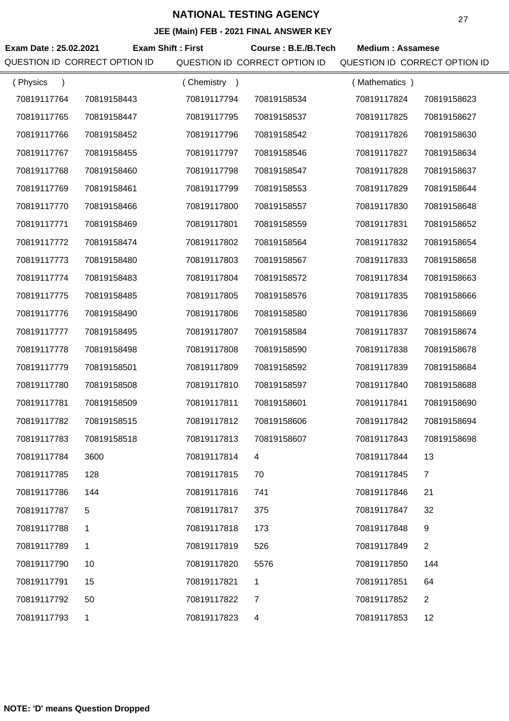| Exam Date: 25.02.2021<br>QUESTION ID CORRECT OPTION ID | <b>Exam Shift: First</b> |             | Course: B.E./B.Tech<br>QUESTION ID CORRECT OPTION ID | <b>Medium: Assamese</b><br>QUESTION ID CORRECT OPTION ID |                |
|--------------------------------------------------------|--------------------------|-------------|------------------------------------------------------|----------------------------------------------------------|----------------|
| (Physics<br>$\lambda$                                  |                          | (Chemistry) |                                                      | (Mathematics)                                            |                |
| 70819117764                                            | 70819158443              | 70819117794 | 70819158534                                          | 70819117824                                              | 70819158623    |
| 70819117765                                            | 70819158447              | 70819117795 | 70819158537                                          | 70819117825                                              | 70819158627    |
| 70819117766                                            | 70819158452              | 70819117796 | 70819158542                                          | 70819117826                                              | 70819158630    |
| 70819117767                                            | 70819158455              | 70819117797 | 70819158546                                          | 70819117827                                              | 70819158634    |
| 70819117768                                            | 70819158460              | 70819117798 | 70819158547                                          | 70819117828                                              | 70819158637    |
| 70819117769                                            | 70819158461              | 70819117799 | 70819158553                                          | 70819117829                                              | 70819158644    |
| 70819117770                                            | 70819158466              | 70819117800 | 70819158557                                          | 70819117830                                              | 70819158648    |
| 70819117771                                            | 70819158469              | 70819117801 | 70819158559                                          | 70819117831                                              | 70819158652    |
| 70819117772                                            | 70819158474              | 70819117802 | 70819158564                                          | 70819117832                                              | 70819158654    |
| 70819117773                                            | 70819158480              | 70819117803 | 70819158567                                          | 70819117833                                              | 70819158658    |
| 70819117774                                            | 70819158483              | 70819117804 | 70819158572                                          | 70819117834                                              | 70819158663    |
| 70819117775                                            | 70819158485              | 70819117805 | 70819158576                                          | 70819117835                                              | 70819158666    |
| 70819117776                                            | 70819158490              | 70819117806 | 70819158580                                          | 70819117836                                              | 70819158669    |
| 70819117777                                            | 70819158495              | 70819117807 | 70819158584                                          | 70819117837                                              | 70819158674    |
| 70819117778                                            | 70819158498              | 70819117808 | 70819158590                                          | 70819117838                                              | 70819158678    |
| 70819117779                                            | 70819158501              | 70819117809 | 70819158592                                          | 70819117839                                              | 70819158684    |
| 70819117780                                            | 70819158508              | 70819117810 | 70819158597                                          | 70819117840                                              | 70819158688    |
| 70819117781                                            | 70819158509              | 70819117811 | 70819158601                                          | 70819117841                                              | 70819158690    |
| 70819117782                                            | 70819158515              | 70819117812 | 70819158606                                          | 70819117842                                              | 70819158694    |
| 70819117783                                            | 70819158518              | 70819117813 | 70819158607                                          | 70819117843                                              | 70819158698    |
| 70819117784                                            | 3600                     | 70819117814 | 4                                                    | 70819117844                                              | 13             |
| 70819117785                                            | 128                      | 70819117815 | 70                                                   | 70819117845                                              | $\overline{7}$ |
| 70819117786                                            | 144                      | 70819117816 | 741                                                  | 70819117846                                              | 21             |
| 70819117787                                            | 5                        | 70819117817 | 375                                                  | 70819117847                                              | 32             |
| 70819117788                                            | 1                        | 70819117818 | 173                                                  | 70819117848                                              | 9              |
| 70819117789                                            | 1                        | 70819117819 | 526                                                  | 70819117849                                              | $\overline{2}$ |
| 70819117790                                            | 10                       | 70819117820 | 5576                                                 | 70819117850                                              | 144            |
| 70819117791                                            | 15                       | 70819117821 | 1                                                    | 70819117851                                              | 64             |
| 70819117792                                            | 50                       | 70819117822 | 7                                                    | 70819117852                                              | $\overline{2}$ |
| 70819117793                                            | $\mathbf 1$              | 70819117823 | 4                                                    | 70819117853                                              | 12             |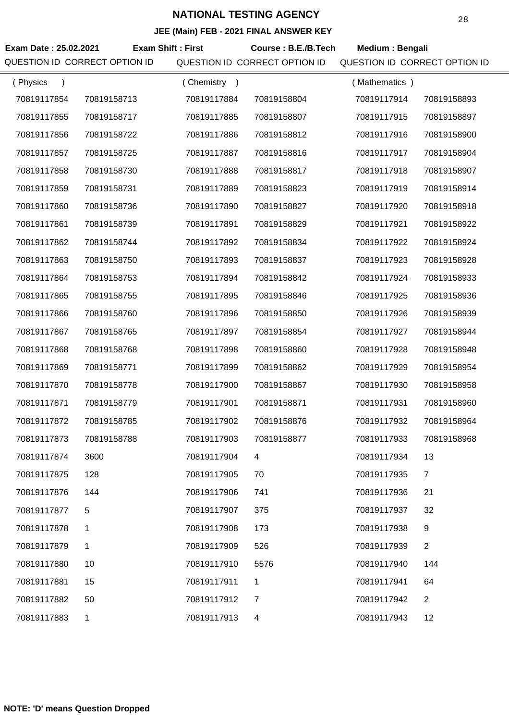|                               |                          |             | $\overline{C}$ (main) $\overline{C}$ = 2021 The ANOWER KET |                               |                |
|-------------------------------|--------------------------|-------------|------------------------------------------------------------|-------------------------------|----------------|
| Exam Date: 25.02.2021         | <b>Exam Shift: First</b> |             | Course: B.E./B.Tech                                        | Medium: Bengali               |                |
| QUESTION ID CORRECT OPTION ID |                          |             | QUESTION ID CORRECT OPTION ID                              | QUESTION ID CORRECT OPTION ID |                |
| (Physics<br>$\lambda$         |                          | (Chemistry) |                                                            | (Mathematics)                 |                |
| 70819117854                   | 70819158713              | 70819117884 | 70819158804                                                | 70819117914                   | 70819158893    |
| 70819117855                   | 70819158717              | 70819117885 | 70819158807                                                | 70819117915                   | 70819158897    |
| 70819117856                   | 70819158722              | 70819117886 | 70819158812                                                | 70819117916                   | 70819158900    |
| 70819117857                   | 70819158725              | 70819117887 | 70819158816                                                | 70819117917                   | 70819158904    |
| 70819117858                   | 70819158730              | 70819117888 | 70819158817                                                | 70819117918                   | 70819158907    |
| 70819117859                   | 70819158731              | 70819117889 | 70819158823                                                | 70819117919                   | 70819158914    |
| 70819117860                   | 70819158736              | 70819117890 | 70819158827                                                | 70819117920                   | 70819158918    |
| 70819117861                   | 70819158739              | 70819117891 | 70819158829                                                | 70819117921                   | 70819158922    |
| 70819117862                   | 70819158744              | 70819117892 | 70819158834                                                | 70819117922                   | 70819158924    |
| 70819117863                   | 70819158750              | 70819117893 | 70819158837                                                | 70819117923                   | 70819158928    |
| 70819117864                   | 70819158753              | 70819117894 | 70819158842                                                | 70819117924                   | 70819158933    |
| 70819117865                   | 70819158755              | 70819117895 | 70819158846                                                | 70819117925                   | 70819158936    |
| 70819117866                   | 70819158760              | 70819117896 | 70819158850                                                | 70819117926                   | 70819158939    |
| 70819117867                   | 70819158765              | 70819117897 | 70819158854                                                | 70819117927                   | 70819158944    |
| 70819117868                   | 70819158768              | 70819117898 | 70819158860                                                | 70819117928                   | 70819158948    |
| 70819117869                   | 70819158771              | 70819117899 | 70819158862                                                | 70819117929                   | 70819158954    |
| 70819117870                   | 70819158778              | 70819117900 | 70819158867                                                | 70819117930                   | 70819158958    |
| 70819117871                   | 70819158779              | 70819117901 | 70819158871                                                | 70819117931                   | 70819158960    |
| 70819117872                   | 70819158785              | 70819117902 | 70819158876                                                | 70819117932                   | 70819158964    |
| 70819117873                   | 70819158788              | 70819117903 | 70819158877                                                | 70819117933                   | 70819158968    |
| 70819117874                   | 3600                     | 70819117904 | 4                                                          | 70819117934                   | 13             |
| 70819117875                   | 128                      | 70819117905 | 70                                                         | 70819117935                   | $\overline{7}$ |
| 70819117876                   | 144                      | 70819117906 | 741                                                        | 70819117936                   | 21             |
| 70819117877                   | 5                        | 70819117907 | 375                                                        | 70819117937                   | 32             |
| 70819117878                   | 1.                       | 70819117908 | 173                                                        | 70819117938                   | 9              |
| 70819117879                   | 1                        | 70819117909 | 526                                                        | 70819117939                   | $\overline{2}$ |
| 70819117880                   | 10                       | 70819117910 | 5576                                                       | 70819117940                   | 144            |
| 70819117881                   | 15                       | 70819117911 | 1                                                          | 70819117941                   | 64             |
| 70819117882                   | 50                       | 70819117912 | $\overline{7}$                                             | 70819117942                   | $\overline{2}$ |
| 70819117883                   | $\mathbf{1}$             | 70819117913 | 4                                                          | 70819117943                   | 12             |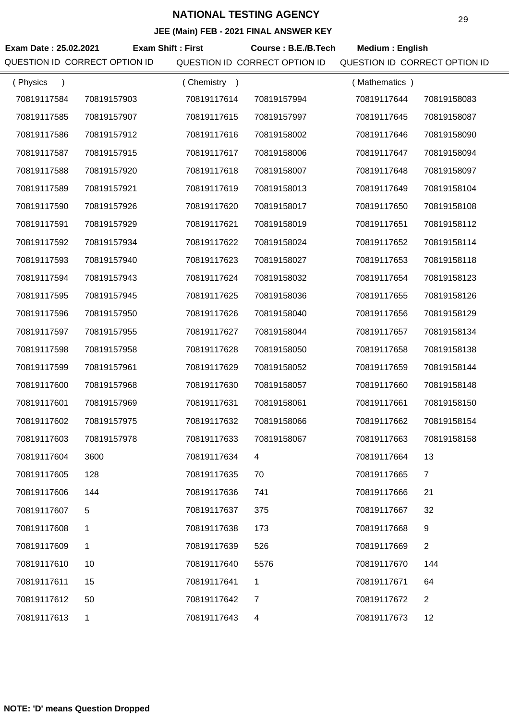|                               |                          |             | $\overline{C}$ (main) $\overline{C}$ = 2021 The ANOWER KET |                               |                |
|-------------------------------|--------------------------|-------------|------------------------------------------------------------|-------------------------------|----------------|
| Exam Date: 25.02.2021         | <b>Exam Shift: First</b> |             | Course: B.E./B.Tech                                        | <b>Medium: English</b>        |                |
| QUESTION ID CORRECT OPTION ID |                          |             | QUESTION ID CORRECT OPTION ID                              | QUESTION ID CORRECT OPTION ID |                |
| (Physics<br>$\lambda$         |                          | (Chemistry) |                                                            | (Mathematics)                 |                |
| 70819117584                   | 70819157903              | 70819117614 | 70819157994                                                | 70819117644                   | 70819158083    |
| 70819117585                   | 70819157907              | 70819117615 | 70819157997                                                | 70819117645                   | 70819158087    |
| 70819117586                   | 70819157912              | 70819117616 | 70819158002                                                | 70819117646                   | 70819158090    |
| 70819117587                   | 70819157915              | 70819117617 | 70819158006                                                | 70819117647                   | 70819158094    |
| 70819117588                   | 70819157920              | 70819117618 | 70819158007                                                | 70819117648                   | 70819158097    |
| 70819117589                   | 70819157921              | 70819117619 | 70819158013                                                | 70819117649                   | 70819158104    |
| 70819117590                   | 70819157926              | 70819117620 | 70819158017                                                | 70819117650                   | 70819158108    |
| 70819117591                   | 70819157929              | 70819117621 | 70819158019                                                | 70819117651                   | 70819158112    |
| 70819117592                   | 70819157934              | 70819117622 | 70819158024                                                | 70819117652                   | 70819158114    |
| 70819117593                   | 70819157940              | 70819117623 | 70819158027                                                | 70819117653                   | 70819158118    |
| 70819117594                   | 70819157943              | 70819117624 | 70819158032                                                | 70819117654                   | 70819158123    |
| 70819117595                   | 70819157945              | 70819117625 | 70819158036                                                | 70819117655                   | 70819158126    |
| 70819117596                   | 70819157950              | 70819117626 | 70819158040                                                | 70819117656                   | 70819158129    |
| 70819117597                   | 70819157955              | 70819117627 | 70819158044                                                | 70819117657                   | 70819158134    |
| 70819117598                   | 70819157958              | 70819117628 | 70819158050                                                | 70819117658                   | 70819158138    |
| 70819117599                   | 70819157961              | 70819117629 | 70819158052                                                | 70819117659                   | 70819158144    |
| 70819117600                   | 70819157968              | 70819117630 | 70819158057                                                | 70819117660                   | 70819158148    |
| 70819117601                   | 70819157969              | 70819117631 | 70819158061                                                | 70819117661                   | 70819158150    |
| 70819117602                   | 70819157975              | 70819117632 | 70819158066                                                | 70819117662                   | 70819158154    |
| 70819117603                   | 70819157978              | 70819117633 | 70819158067                                                | 70819117663                   | 70819158158    |
| 70819117604                   | 3600                     | 70819117634 | 4                                                          | 70819117664                   | 13             |
| 70819117605                   | 128                      | 70819117635 | 70                                                         | 70819117665                   | $\overline{7}$ |
| 70819117606                   | 144                      | 70819117636 | 741                                                        | 70819117666                   | 21             |
| 70819117607                   | 5                        | 70819117637 | 375                                                        | 70819117667                   | 32             |
| 70819117608                   | 1.                       | 70819117638 | 173                                                        | 70819117668                   | 9              |
| 70819117609                   | 1                        | 70819117639 | 526                                                        | 70819117669                   | $\overline{2}$ |
| 70819117610                   | 10                       | 70819117640 | 5576                                                       | 70819117670                   | 144            |
| 70819117611                   | 15                       | 70819117641 | 1                                                          | 70819117671                   | 64             |
| 70819117612                   | 50                       | 70819117642 | $\overline{7}$                                             | 70819117672                   | $\overline{2}$ |
| 70819117613                   | $\mathbf 1$              | 70819117643 | 4                                                          | 70819117673                   | 12             |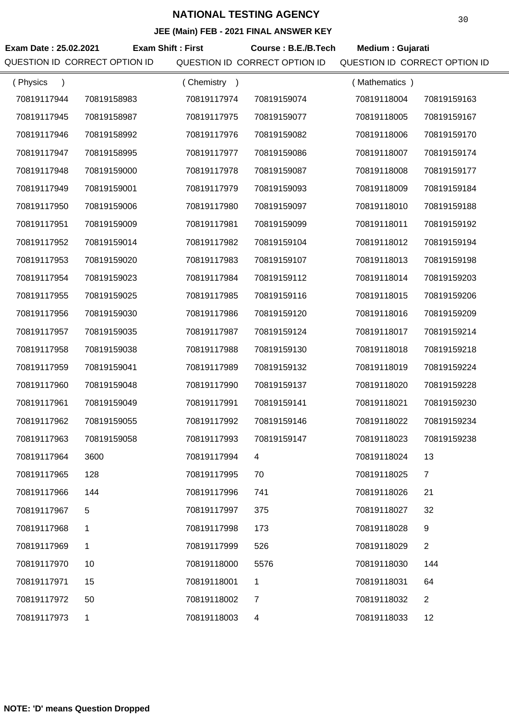| Exam Date: 25.02.2021<br>QUESTION ID CORRECT OPTION ID |              | <b>Exam Shift: First</b> | Course: B.E./B.Tech<br>QUESTION ID CORRECT OPTION ID | Medium : Gujarati<br>QUESTION ID CORRECT OPTION ID |                |
|--------------------------------------------------------|--------------|--------------------------|------------------------------------------------------|----------------------------------------------------|----------------|
| (Physics<br>$\rightarrow$                              |              | (Chemistry)              |                                                      | (Mathematics)                                      |                |
| 70819117944                                            | 70819158983  | 70819117974              | 70819159074                                          | 70819118004                                        | 70819159163    |
| 70819117945                                            | 70819158987  | 70819117975              | 70819159077                                          | 70819118005                                        | 70819159167    |
| 70819117946                                            | 70819158992  | 70819117976              | 70819159082                                          | 70819118006                                        | 70819159170    |
| 70819117947                                            | 70819158995  | 70819117977              | 70819159086                                          | 70819118007                                        | 70819159174    |
| 70819117948                                            | 70819159000  | 70819117978              | 70819159087                                          | 70819118008                                        | 70819159177    |
| 70819117949                                            | 70819159001  | 70819117979              | 70819159093                                          | 70819118009                                        | 70819159184    |
| 70819117950                                            | 70819159006  | 70819117980              | 70819159097                                          | 70819118010                                        | 70819159188    |
| 70819117951                                            | 70819159009  | 70819117981              | 70819159099                                          | 70819118011                                        | 70819159192    |
| 70819117952                                            | 70819159014  | 70819117982              | 70819159104                                          | 70819118012                                        | 70819159194    |
| 70819117953                                            | 70819159020  | 70819117983              | 70819159107                                          | 70819118013                                        | 70819159198    |
| 70819117954                                            | 70819159023  | 70819117984              | 70819159112                                          | 70819118014                                        | 70819159203    |
| 70819117955                                            | 70819159025  | 70819117985              | 70819159116                                          | 70819118015                                        | 70819159206    |
| 70819117956                                            | 70819159030  | 70819117986              | 70819159120                                          | 70819118016                                        | 70819159209    |
| 70819117957                                            | 70819159035  | 70819117987              | 70819159124                                          | 70819118017                                        | 70819159214    |
| 70819117958                                            | 70819159038  | 70819117988              | 70819159130                                          | 70819118018                                        | 70819159218    |
| 70819117959                                            | 70819159041  | 70819117989              | 70819159132                                          | 70819118019                                        | 70819159224    |
| 70819117960                                            | 70819159048  | 70819117990              | 70819159137                                          | 70819118020                                        | 70819159228    |
| 70819117961                                            | 70819159049  | 70819117991              | 70819159141                                          | 70819118021                                        | 70819159230    |
| 70819117962                                            | 70819159055  | 70819117992              | 70819159146                                          | 70819118022                                        | 70819159234    |
| 70819117963                                            | 70819159058  | 70819117993              | 70819159147                                          | 70819118023                                        | 70819159238    |
| 70819117964                                            | 3600         | 70819117994              | 4                                                    | 70819118024                                        | 13             |
| 70819117965                                            | 128          | 70819117995              | 70                                                   | 70819118025                                        | $\overline{7}$ |
| 70819117966                                            | 144          | 70819117996              | 741                                                  | 70819118026                                        | 21             |
| 70819117967                                            | 5            | 70819117997              | 375                                                  | 70819118027                                        | 32             |
| 70819117968                                            | 1            | 70819117998              | 173                                                  | 70819118028                                        | 9              |
| 70819117969                                            | 1            | 70819117999              | 526                                                  | 70819118029                                        | $\overline{2}$ |
| 70819117970                                            | 10           | 70819118000              | 5576                                                 | 70819118030                                        | 144            |
| 70819117971                                            | 15           | 70819118001              | 1                                                    | 70819118031                                        | 64             |
| 70819117972                                            | 50           | 70819118002              | $\overline{7}$                                       | 70819118032                                        | $\overline{2}$ |
| 70819117973                                            | $\mathbf{1}$ | 70819118003              | 4                                                    | 70819118033                                        | 12             |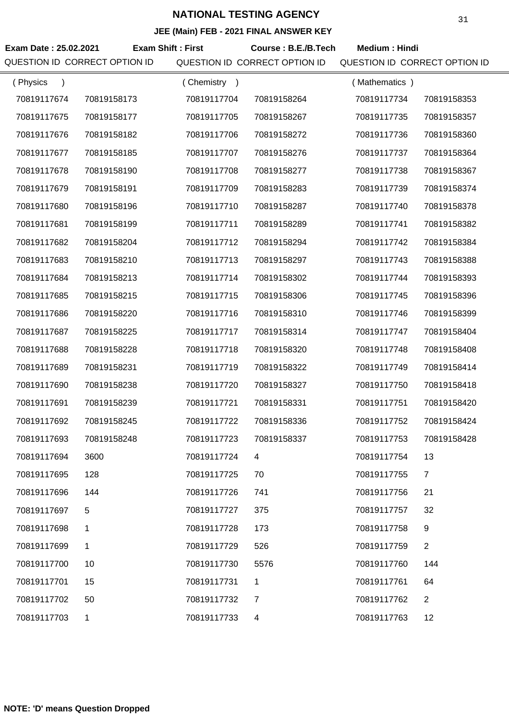| Exam Date: 25.02.2021<br>QUESTION ID CORRECT OPTION ID | <b>Exam Shift: First</b> |             | Course: B.E./B.Tech<br>QUESTION ID CORRECT OPTION ID | <b>Medium: Hindi</b><br>QUESTION ID CORRECT OPTION ID |                |
|--------------------------------------------------------|--------------------------|-------------|------------------------------------------------------|-------------------------------------------------------|----------------|
| (Physics<br>$\lambda$                                  |                          | (Chemistry) |                                                      | (Mathematics)                                         |                |
| 70819117674                                            | 70819158173              | 70819117704 | 70819158264                                          | 70819117734                                           | 70819158353    |
| 70819117675                                            | 70819158177              | 70819117705 | 70819158267                                          | 70819117735                                           | 70819158357    |
| 70819117676                                            | 70819158182              | 70819117706 | 70819158272                                          | 70819117736                                           | 70819158360    |
| 70819117677                                            | 70819158185              | 70819117707 | 70819158276                                          | 70819117737                                           | 70819158364    |
| 70819117678                                            | 70819158190              | 70819117708 | 70819158277                                          | 70819117738                                           | 70819158367    |
| 70819117679                                            | 70819158191              | 70819117709 | 70819158283                                          | 70819117739                                           | 70819158374    |
| 70819117680                                            | 70819158196              | 70819117710 | 70819158287                                          | 70819117740                                           | 70819158378    |
| 70819117681                                            | 70819158199              | 70819117711 | 70819158289                                          | 70819117741                                           | 70819158382    |
| 70819117682                                            | 70819158204              | 70819117712 | 70819158294                                          | 70819117742                                           | 70819158384    |
| 70819117683                                            | 70819158210              | 70819117713 | 70819158297                                          | 70819117743                                           | 70819158388    |
| 70819117684                                            | 70819158213              | 70819117714 | 70819158302                                          | 70819117744                                           | 70819158393    |
| 70819117685                                            | 70819158215              | 70819117715 | 70819158306                                          | 70819117745                                           | 70819158396    |
| 70819117686                                            | 70819158220              | 70819117716 | 70819158310                                          | 70819117746                                           | 70819158399    |
| 70819117687                                            | 70819158225              | 70819117717 | 70819158314                                          | 70819117747                                           | 70819158404    |
| 70819117688                                            | 70819158228              | 70819117718 | 70819158320                                          | 70819117748                                           | 70819158408    |
| 70819117689                                            | 70819158231              | 70819117719 | 70819158322                                          | 70819117749                                           | 70819158414    |
| 70819117690                                            | 70819158238              | 70819117720 | 70819158327                                          | 70819117750                                           | 70819158418    |
| 70819117691                                            | 70819158239              | 70819117721 | 70819158331                                          | 70819117751                                           | 70819158420    |
| 70819117692                                            | 70819158245              | 70819117722 | 70819158336                                          | 70819117752                                           | 70819158424    |
| 70819117693                                            | 70819158248              | 70819117723 | 70819158337                                          | 70819117753                                           | 70819158428    |
| 70819117694                                            | 3600                     | 70819117724 | 4                                                    | 70819117754                                           | 13             |
| 70819117695                                            | 128                      | 70819117725 | 70                                                   | 70819117755                                           | $\overline{7}$ |
| 70819117696                                            | 144                      | 70819117726 | 741                                                  | 70819117756                                           | 21             |
| 70819117697                                            | 5                        | 70819117727 | 375                                                  | 70819117757                                           | 32             |
| 70819117698                                            | 1                        | 70819117728 | 173                                                  | 70819117758                                           | 9              |
| 70819117699                                            | 1                        | 70819117729 | 526                                                  | 70819117759                                           | $\overline{2}$ |
| 70819117700                                            | 10                       | 70819117730 | 5576                                                 | 70819117760                                           | 144            |
| 70819117701                                            | 15                       | 70819117731 | 1                                                    | 70819117761                                           | 64             |
| 70819117702                                            | 50                       | 70819117732 | 7                                                    | 70819117762                                           | $\overline{2}$ |
| 70819117703                                            | $\mathbf{1}$             | 70819117733 | 4                                                    | 70819117763                                           | 12             |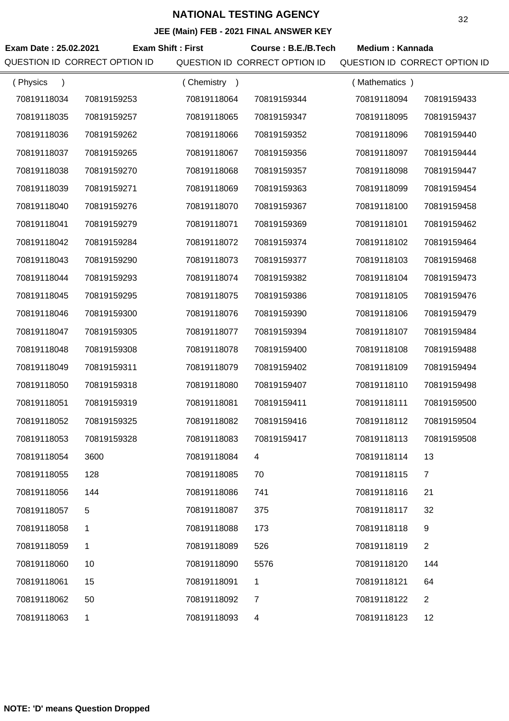| Exam Date: 25.02.2021<br>QUESTION ID CORRECT OPTION ID |             | <b>Exam Shift: First</b> | Course: B.E./B.Tech<br>QUESTION ID CORRECT OPTION ID | <b>Medium: Kannada</b><br>QUESTION ID CORRECT OPTION ID |                |
|--------------------------------------------------------|-------------|--------------------------|------------------------------------------------------|---------------------------------------------------------|----------------|
| (Physics<br>$\lambda$                                  |             | (Chemistry)              |                                                      | (Mathematics)                                           |                |
| 70819118034                                            | 70819159253 | 70819118064              | 70819159344                                          | 70819118094                                             | 70819159433    |
| 70819118035                                            | 70819159257 | 70819118065              | 70819159347                                          | 70819118095                                             | 70819159437    |
| 70819118036                                            | 70819159262 | 70819118066              | 70819159352                                          | 70819118096                                             | 70819159440    |
| 70819118037                                            | 70819159265 | 70819118067              | 70819159356                                          | 70819118097                                             | 70819159444    |
| 70819118038                                            | 70819159270 | 70819118068              | 70819159357                                          | 70819118098                                             | 70819159447    |
| 70819118039                                            | 70819159271 | 70819118069              | 70819159363                                          | 70819118099                                             | 70819159454    |
| 70819118040                                            | 70819159276 | 70819118070              | 70819159367                                          | 70819118100                                             | 70819159458    |
| 70819118041                                            | 70819159279 | 70819118071              | 70819159369                                          | 70819118101                                             | 70819159462    |
| 70819118042                                            | 70819159284 | 70819118072              | 70819159374                                          | 70819118102                                             | 70819159464    |
| 70819118043                                            | 70819159290 | 70819118073              | 70819159377                                          | 70819118103                                             | 70819159468    |
| 70819118044                                            | 70819159293 | 70819118074              | 70819159382                                          | 70819118104                                             | 70819159473    |
| 70819118045                                            | 70819159295 | 70819118075              | 70819159386                                          | 70819118105                                             | 70819159476    |
| 70819118046                                            | 70819159300 | 70819118076              | 70819159390                                          | 70819118106                                             | 70819159479    |
| 70819118047                                            | 70819159305 | 70819118077              | 70819159394                                          | 70819118107                                             | 70819159484    |
| 70819118048                                            | 70819159308 | 70819118078              | 70819159400                                          | 70819118108                                             | 70819159488    |
| 70819118049                                            | 70819159311 | 70819118079              | 70819159402                                          | 70819118109                                             | 70819159494    |
| 70819118050                                            | 70819159318 | 70819118080              | 70819159407                                          | 70819118110                                             | 70819159498    |
| 70819118051                                            | 70819159319 | 70819118081              | 70819159411                                          | 70819118111                                             | 70819159500    |
| 70819118052                                            | 70819159325 | 70819118082              | 70819159416                                          | 70819118112                                             | 70819159504    |
| 70819118053                                            | 70819159328 | 70819118083              | 70819159417                                          | 70819118113                                             | 70819159508    |
| 70819118054                                            | 3600        | 70819118084              | 4                                                    | 70819118114                                             | 13             |
| 70819118055                                            | 128         | 70819118085              | 70                                                   | 70819118115                                             | $\overline{7}$ |
| 70819118056                                            | 144         | 70819118086              | 741                                                  | 70819118116                                             | 21             |
| 70819118057                                            | 5           | 70819118087              | 375                                                  | 70819118117                                             | 32             |
| 70819118058                                            | 1           | 70819118088              | 173                                                  | 70819118118                                             | 9              |
| 70819118059                                            | 1           | 70819118089              | 526                                                  | 70819118119                                             | $\overline{2}$ |
| 70819118060                                            | 10          | 70819118090              | 5576                                                 | 70819118120                                             | 144            |
| 70819118061                                            | 15          | 70819118091              | 1                                                    | 70819118121                                             | 64             |
| 70819118062                                            | 50          | 70819118092              | $\overline{7}$                                       | 70819118122                                             | $\overline{2}$ |
| 70819118063                                            | 1           | 70819118093              | 4                                                    | 70819118123                                             | 12             |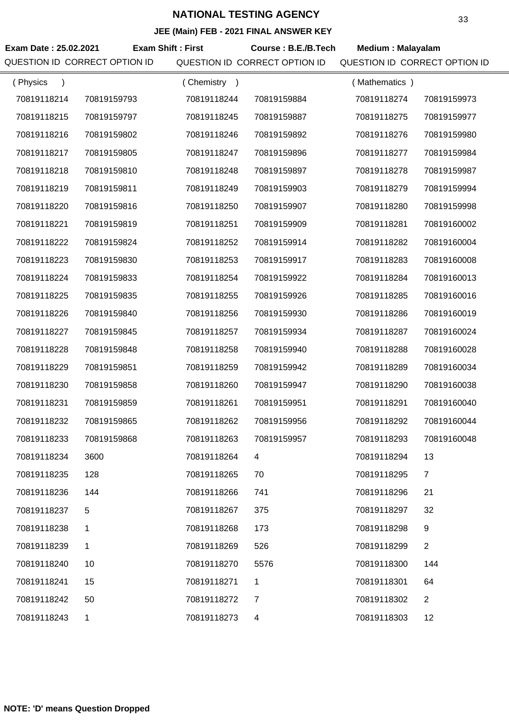| Exam Date: 25.02.2021     | QUESTION ID CORRECT OPTION ID | <b>Exam Shift: First</b> | Course: B.E./B.Tech<br>QUESTION ID CORRECT OPTION ID | <b>Medium: Malayalam</b><br>QUESTION ID CORRECT OPTION ID |                |
|---------------------------|-------------------------------|--------------------------|------------------------------------------------------|-----------------------------------------------------------|----------------|
| (Physics<br>$\rightarrow$ |                               | (Chemistry)              |                                                      | (Mathematics)                                             |                |
| 70819118214               | 70819159793                   | 70819118244              | 70819159884                                          | 70819118274                                               | 70819159973    |
| 70819118215               | 70819159797                   | 70819118245              | 70819159887                                          | 70819118275                                               | 70819159977    |
| 70819118216               | 70819159802                   | 70819118246              | 70819159892                                          | 70819118276                                               | 70819159980    |
| 70819118217               | 70819159805                   | 70819118247              | 70819159896                                          | 70819118277                                               | 70819159984    |
| 70819118218               | 70819159810                   | 70819118248              | 70819159897                                          | 70819118278                                               | 70819159987    |
| 70819118219               | 70819159811                   | 70819118249              | 70819159903                                          | 70819118279                                               | 70819159994    |
| 70819118220               | 70819159816                   | 70819118250              | 70819159907                                          | 70819118280                                               | 70819159998    |
| 70819118221               | 70819159819                   | 70819118251              | 70819159909                                          | 70819118281                                               | 70819160002    |
| 70819118222               | 70819159824                   | 70819118252              | 70819159914                                          | 70819118282                                               | 70819160004    |
| 70819118223               | 70819159830                   | 70819118253              | 70819159917                                          | 70819118283                                               | 70819160008    |
| 70819118224               | 70819159833                   | 70819118254              | 70819159922                                          | 70819118284                                               | 70819160013    |
| 70819118225               | 70819159835                   | 70819118255              | 70819159926                                          | 70819118285                                               | 70819160016    |
| 70819118226               | 70819159840                   | 70819118256              | 70819159930                                          | 70819118286                                               | 70819160019    |
| 70819118227               | 70819159845                   | 70819118257              | 70819159934                                          | 70819118287                                               | 70819160024    |
| 70819118228               | 70819159848                   | 70819118258              | 70819159940                                          | 70819118288                                               | 70819160028    |
| 70819118229               | 70819159851                   | 70819118259              | 70819159942                                          | 70819118289                                               | 70819160034    |
| 70819118230               | 70819159858                   | 70819118260              | 70819159947                                          | 70819118290                                               | 70819160038    |
| 70819118231               | 70819159859                   | 70819118261              | 70819159951                                          | 70819118291                                               | 70819160040    |
| 70819118232               | 70819159865                   | 70819118262              | 70819159956                                          | 70819118292                                               | 70819160044    |
| 70819118233               | 70819159868                   | 70819118263              | 70819159957                                          | 70819118293                                               | 70819160048    |
| 70819118234               | 3600                          | 70819118264              | $\overline{4}$                                       | 70819118294                                               | 13             |
| 70819118235               | 128                           | 70819118265              | 70                                                   | 70819118295                                               | $\overline{7}$ |
| 70819118236               | 144                           | 70819118266              | 741                                                  | 70819118296                                               | 21             |
| 70819118237               | 5                             | 70819118267              | 375                                                  | 70819118297                                               | 32             |
| 70819118238               | 1                             | 70819118268              | 173                                                  | 70819118298                                               | 9              |
| 70819118239               | 1                             | 70819118269              | 526                                                  | 70819118299                                               | $\overline{2}$ |
| 70819118240               | 10                            | 70819118270              | 5576                                                 | 70819118300                                               | 144            |
| 70819118241               | 15                            | 70819118271              | 1                                                    | 70819118301                                               | 64             |
| 70819118242               | 50                            | 70819118272              | 7                                                    | 70819118302                                               | $\overline{2}$ |
| 70819118243               | 1                             | 70819118273              | 4                                                    | 70819118303                                               | 12             |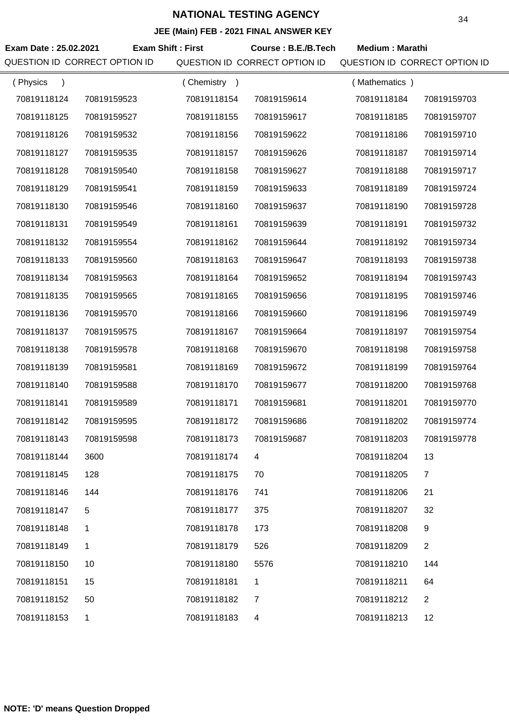| Exam Date: 25.02.2021 | <b>Exam Shift: First</b><br>QUESTION ID CORRECT OPTION ID |             | Course: B.E./B.Tech<br>QUESTION ID CORRECT OPTION ID | <b>Medium: Marathi</b><br>QUESTION ID CORRECT OPTION ID |                |
|-----------------------|-----------------------------------------------------------|-------------|------------------------------------------------------|---------------------------------------------------------|----------------|
| (Physics<br>$\lambda$ |                                                           | (Chemistry) |                                                      | (Mathematics)                                           |                |
| 70819118124           | 70819159523                                               | 70819118154 | 70819159614                                          | 70819118184                                             | 70819159703    |
| 70819118125           | 70819159527                                               | 70819118155 | 70819159617                                          | 70819118185                                             | 70819159707    |
| 70819118126           | 70819159532                                               | 70819118156 | 70819159622                                          | 70819118186                                             | 70819159710    |
| 70819118127           | 70819159535                                               | 70819118157 | 70819159626                                          | 70819118187                                             | 70819159714    |
| 70819118128           | 70819159540                                               | 70819118158 | 70819159627                                          | 70819118188                                             | 70819159717    |
| 70819118129           | 70819159541                                               | 70819118159 | 70819159633                                          | 70819118189                                             | 70819159724    |
| 70819118130           | 70819159546                                               | 70819118160 | 70819159637                                          | 70819118190                                             | 70819159728    |
| 70819118131           | 70819159549                                               | 70819118161 | 70819159639                                          | 70819118191                                             | 70819159732    |
| 70819118132           | 70819159554                                               | 70819118162 | 70819159644                                          | 70819118192                                             | 70819159734    |
| 70819118133           | 70819159560                                               | 70819118163 | 70819159647                                          | 70819118193                                             | 70819159738    |
| 70819118134           | 70819159563                                               | 70819118164 | 70819159652                                          | 70819118194                                             | 70819159743    |
| 70819118135           | 70819159565                                               | 70819118165 | 70819159656                                          | 70819118195                                             | 70819159746    |
| 70819118136           | 70819159570                                               | 70819118166 | 70819159660                                          | 70819118196                                             | 70819159749    |
| 70819118137           | 70819159575                                               | 70819118167 | 70819159664                                          | 70819118197                                             | 70819159754    |
| 70819118138           | 70819159578                                               | 70819118168 | 70819159670                                          | 70819118198                                             | 70819159758    |
| 70819118139           | 70819159581                                               | 70819118169 | 70819159672                                          | 70819118199                                             | 70819159764    |
| 70819118140           | 70819159588                                               | 70819118170 | 70819159677                                          | 70819118200                                             | 70819159768    |
| 70819118141           | 70819159589                                               | 70819118171 | 70819159681                                          | 70819118201                                             | 70819159770    |
| 70819118142           | 70819159595                                               | 70819118172 | 70819159686                                          | 70819118202                                             | 70819159774    |
| 70819118143           | 70819159598                                               | 70819118173 | 70819159687                                          | 70819118203                                             | 70819159778    |
| 70819118144           | 3600                                                      | 70819118174 | 4                                                    | 70819118204                                             | 13             |
| 70819118145           | 128                                                       | 70819118175 | 70                                                   | 70819118205                                             | $\overline{7}$ |
| 70819118146           | 144                                                       | 70819118176 | 741                                                  | 70819118206                                             | 21             |
| 70819118147           | 5                                                         | 70819118177 | 375                                                  | 70819118207                                             | 32             |
| 70819118148           | 1                                                         | 70819118178 | 173                                                  | 70819118208                                             | 9              |
| 70819118149           | 1                                                         | 70819118179 | 526                                                  | 70819118209                                             | $\overline{2}$ |
| 70819118150           | 10                                                        | 70819118180 | 5576                                                 | 70819118210                                             | 144            |
| 70819118151           | 15                                                        | 70819118181 | 1                                                    | 70819118211                                             | 64             |
| 70819118152           | 50                                                        | 70819118182 | $\overline{7}$                                       | 70819118212                                             | $\overline{2}$ |
| 70819118153           | 1                                                         | 70819118183 | 4                                                    | 70819118213                                             | 12             |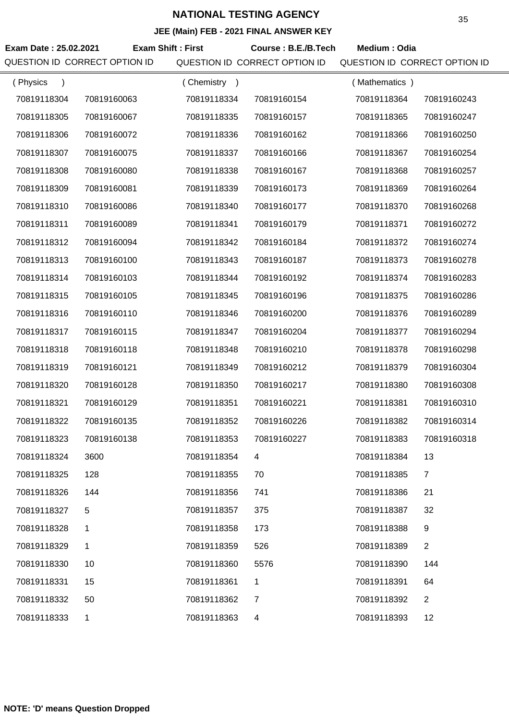| Exam Date: 25.02.2021 | QUESTION ID CORRECT OPTION ID | <b>Exam Shift: First</b> | Course: B.E./B.Tech<br>QUESTION ID CORRECT OPTION ID | Medium: Odia<br>QUESTION ID CORRECT OPTION ID |                |
|-----------------------|-------------------------------|--------------------------|------------------------------------------------------|-----------------------------------------------|----------------|
| (Physics<br>$\lambda$ |                               | (Chemistry)              |                                                      | (Mathematics)                                 |                |
| 70819118304           | 70819160063                   | 70819118334              | 70819160154                                          | 70819118364                                   | 70819160243    |
| 70819118305           | 70819160067                   | 70819118335              | 70819160157                                          | 70819118365                                   | 70819160247    |
| 70819118306           | 70819160072                   | 70819118336              | 70819160162                                          | 70819118366                                   | 70819160250    |
| 70819118307           | 70819160075                   | 70819118337              | 70819160166                                          | 70819118367                                   | 70819160254    |
| 70819118308           | 70819160080                   | 70819118338              | 70819160167                                          | 70819118368                                   | 70819160257    |
| 70819118309           | 70819160081                   | 70819118339              | 70819160173                                          | 70819118369                                   | 70819160264    |
| 70819118310           | 70819160086                   | 70819118340              | 70819160177                                          | 70819118370                                   | 70819160268    |
| 70819118311           | 70819160089                   | 70819118341              | 70819160179                                          | 70819118371                                   | 70819160272    |
| 70819118312           | 70819160094                   | 70819118342              | 70819160184                                          | 70819118372                                   | 70819160274    |
| 70819118313           | 70819160100                   | 70819118343              | 70819160187                                          | 70819118373                                   | 70819160278    |
| 70819118314           | 70819160103                   | 70819118344              | 70819160192                                          | 70819118374                                   | 70819160283    |
| 70819118315           | 70819160105                   | 70819118345              | 70819160196                                          | 70819118375                                   | 70819160286    |
| 70819118316           | 70819160110                   | 70819118346              | 70819160200                                          | 70819118376                                   | 70819160289    |
| 70819118317           | 70819160115                   | 70819118347              | 70819160204                                          | 70819118377                                   | 70819160294    |
| 70819118318           | 70819160118                   | 70819118348              | 70819160210                                          | 70819118378                                   | 70819160298    |
| 70819118319           | 70819160121                   | 70819118349              | 70819160212                                          | 70819118379                                   | 70819160304    |
| 70819118320           | 70819160128                   | 70819118350              | 70819160217                                          | 70819118380                                   | 70819160308    |
| 70819118321           | 70819160129                   | 70819118351              | 70819160221                                          | 70819118381                                   | 70819160310    |
| 70819118322           | 70819160135                   | 70819118352              | 70819160226                                          | 70819118382                                   | 70819160314    |
| 70819118323           | 70819160138                   | 70819118353              | 70819160227                                          | 70819118383                                   | 70819160318    |
| 70819118324           | 3600                          | 70819118354              | 4                                                    | 70819118384                                   | 13             |
| 70819118325           | 128                           | 70819118355              | 70                                                   | 70819118385                                   | 7              |
| 70819118326           | 144                           | 70819118356              | 741                                                  | 70819118386                                   | 21             |
| 70819118327           | 5                             | 70819118357              | 375                                                  | 70819118387                                   | 32             |
| 70819118328           | 1                             | 70819118358              | 173                                                  | 70819118388                                   | 9              |
| 70819118329           | 1                             | 70819118359              | 526                                                  | 70819118389                                   | $\overline{2}$ |
| 70819118330           | 10                            | 70819118360              | 5576                                                 | 70819118390                                   | 144            |
| 70819118331           | 15                            | 70819118361              | 1                                                    | 70819118391                                   | 64             |
| 70819118332           | 50                            | 70819118362              | $\overline{7}$                                       | 70819118392                                   | $\overline{2}$ |
| 70819118333           | $\mathbf 1$                   | 70819118363              | 4                                                    | 70819118393                                   | 12             |
|                       |                               |                          |                                                      |                                               |                |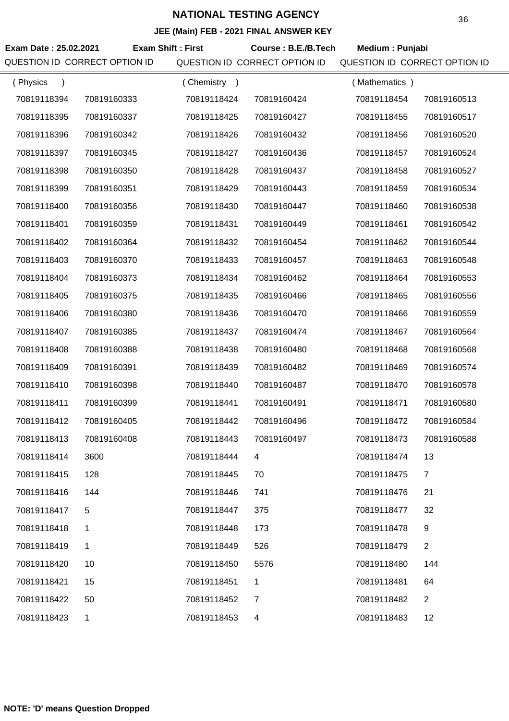| Exam Date: 25.02.2021<br>QUESTION ID CORRECT OPTION ID | <b>Exam Shift: First</b> |             | Course: B.E./B.Tech<br>QUESTION ID CORRECT OPTION ID | Medium: Punjabi<br>QUESTION ID CORRECT OPTION ID |                |
|--------------------------------------------------------|--------------------------|-------------|------------------------------------------------------|--------------------------------------------------|----------------|
| (Physics<br>$\lambda$                                  |                          | (Chemistry) |                                                      | (Mathematics)                                    |                |
| 70819118394                                            | 70819160333              | 70819118424 | 70819160424                                          | 70819118454                                      | 70819160513    |
| 70819118395                                            | 70819160337              | 70819118425 | 70819160427                                          | 70819118455                                      | 70819160517    |
| 70819118396                                            | 70819160342              | 70819118426 | 70819160432                                          | 70819118456                                      | 70819160520    |
| 70819118397                                            | 70819160345              | 70819118427 | 70819160436                                          | 70819118457                                      | 70819160524    |
| 70819118398                                            | 70819160350              | 70819118428 | 70819160437                                          | 70819118458                                      | 70819160527    |
| 70819118399                                            | 70819160351              | 70819118429 | 70819160443                                          | 70819118459                                      | 70819160534    |
| 70819118400                                            | 70819160356              | 70819118430 | 70819160447                                          | 70819118460                                      | 70819160538    |
| 70819118401                                            | 70819160359              | 70819118431 | 70819160449                                          | 70819118461                                      | 70819160542    |
| 70819118402                                            | 70819160364              | 70819118432 | 70819160454                                          | 70819118462                                      | 70819160544    |
| 70819118403                                            | 70819160370              | 70819118433 | 70819160457                                          | 70819118463                                      | 70819160548    |
| 70819118404                                            | 70819160373              | 70819118434 | 70819160462                                          | 70819118464                                      | 70819160553    |
| 70819118405                                            | 70819160375              | 70819118435 | 70819160466                                          | 70819118465                                      | 70819160556    |
| 70819118406                                            | 70819160380              | 70819118436 | 70819160470                                          | 70819118466                                      | 70819160559    |
| 70819118407                                            | 70819160385              | 70819118437 | 70819160474                                          | 70819118467                                      | 70819160564    |
| 70819118408                                            | 70819160388              | 70819118438 | 70819160480                                          | 70819118468                                      | 70819160568    |
| 70819118409                                            | 70819160391              | 70819118439 | 70819160482                                          | 70819118469                                      | 70819160574    |
| 70819118410                                            | 70819160398              | 70819118440 | 70819160487                                          | 70819118470                                      | 70819160578    |
| 70819118411                                            | 70819160399              | 70819118441 | 70819160491                                          | 70819118471                                      | 70819160580    |
| 70819118412                                            | 70819160405              | 70819118442 | 70819160496                                          | 70819118472                                      | 70819160584    |
| 70819118413                                            | 70819160408              | 70819118443 | 70819160497                                          | 70819118473                                      | 70819160588    |
| 70819118414                                            | 3600                     | 70819118444 | 4                                                    | 70819118474                                      | 13             |
| 70819118415                                            | 128                      | 70819118445 | 70                                                   | 70819118475                                      | $\overline{7}$ |
| 70819118416                                            | 144                      | 70819118446 | 741                                                  | 70819118476                                      | 21             |
| 70819118417                                            | 5                        | 70819118447 | 375                                                  | 70819118477                                      | 32             |
| 70819118418                                            | 1                        | 70819118448 | 173                                                  | 70819118478                                      | 9              |
| 70819118419                                            | 1                        | 70819118449 | 526                                                  | 70819118479                                      | $\overline{2}$ |
| 70819118420                                            | 10                       | 70819118450 | 5576                                                 | 70819118480                                      | 144            |
| 70819118421                                            | 15                       | 70819118451 | 1                                                    | 70819118481                                      | 64             |
| 70819118422                                            | 50                       | 70819118452 | $\overline{7}$                                       | 70819118482                                      | $\overline{2}$ |
| 70819118423                                            | $\mathbf 1$              | 70819118453 | 4                                                    | 70819118483                                      | 12             |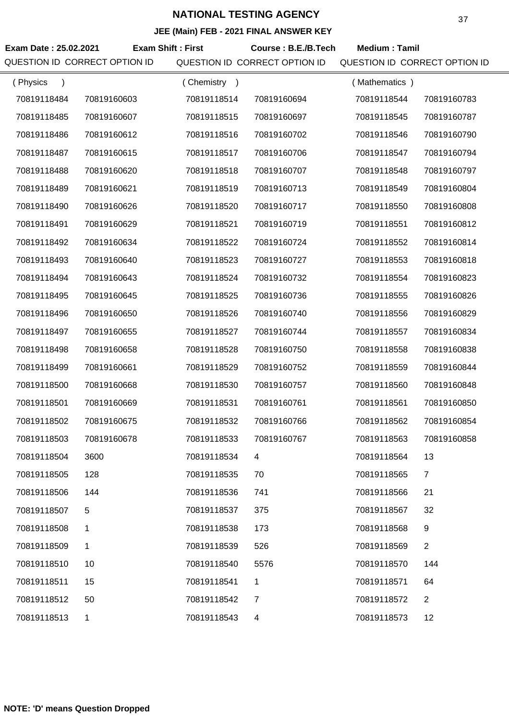| Exam Date: 25.02.2021     | QUESTION ID CORRECT OPTION ID | <b>Exam Shift: First</b> | Course: B.E./B.Tech<br>QUESTION ID CORRECT OPTION ID | <b>Medium: Tamil</b><br>QUESTION ID CORRECT OPTION ID |                |
|---------------------------|-------------------------------|--------------------------|------------------------------------------------------|-------------------------------------------------------|----------------|
| (Physics<br>$\rightarrow$ |                               | (Chemistry)              |                                                      | (Mathematics)                                         |                |
| 70819118484               | 70819160603                   | 70819118514              | 70819160694                                          | 70819118544                                           | 70819160783    |
| 70819118485               | 70819160607                   | 70819118515              | 70819160697                                          | 70819118545                                           | 70819160787    |
| 70819118486               | 70819160612                   | 70819118516              | 70819160702                                          | 70819118546                                           | 70819160790    |
| 70819118487               | 70819160615                   | 70819118517              | 70819160706                                          | 70819118547                                           | 70819160794    |
| 70819118488               | 70819160620                   | 70819118518              | 70819160707                                          | 70819118548                                           | 70819160797    |
| 70819118489               | 70819160621                   | 70819118519              | 70819160713                                          | 70819118549                                           | 70819160804    |
| 70819118490               | 70819160626                   | 70819118520              | 70819160717                                          | 70819118550                                           | 70819160808    |
| 70819118491               | 70819160629                   | 70819118521              | 70819160719                                          | 70819118551                                           | 70819160812    |
| 70819118492               | 70819160634                   | 70819118522              | 70819160724                                          | 70819118552                                           | 70819160814    |
| 70819118493               | 70819160640                   | 70819118523              | 70819160727                                          | 70819118553                                           | 70819160818    |
| 70819118494               | 70819160643                   | 70819118524              | 70819160732                                          | 70819118554                                           | 70819160823    |
| 70819118495               | 70819160645                   | 70819118525              | 70819160736                                          | 70819118555                                           | 70819160826    |
| 70819118496               | 70819160650                   | 70819118526              | 70819160740                                          | 70819118556                                           | 70819160829    |
| 70819118497               | 70819160655                   | 70819118527              | 70819160744                                          | 70819118557                                           | 70819160834    |
| 70819118498               | 70819160658                   | 70819118528              | 70819160750                                          | 70819118558                                           | 70819160838    |
| 70819118499               | 70819160661                   | 70819118529              | 70819160752                                          | 70819118559                                           | 70819160844    |
| 70819118500               | 70819160668                   | 70819118530              | 70819160757                                          | 70819118560                                           | 70819160848    |
| 70819118501               | 70819160669                   | 70819118531              | 70819160761                                          | 70819118561                                           | 70819160850    |
| 70819118502               | 70819160675                   | 70819118532              | 70819160766                                          | 70819118562                                           | 70819160854    |
| 70819118503               | 70819160678                   | 70819118533              | 70819160767                                          | 70819118563                                           | 70819160858    |
| 70819118504               | 3600                          | 70819118534              | 4                                                    | 70819118564                                           | 13             |
| 70819118505               | 128                           | 70819118535              | 70                                                   | 70819118565                                           | $\overline{7}$ |
| 70819118506               | 144                           | 70819118536              | 741                                                  | 70819118566                                           | 21             |
| 70819118507               | 5                             | 70819118537              | 375                                                  | 70819118567                                           | 32             |
| 70819118508               | 1                             | 70819118538              | 173                                                  | 70819118568                                           | 9              |
| 70819118509               | 1                             | 70819118539              | 526                                                  | 70819118569                                           | $\mathbf{2}$   |
| 70819118510               | 10                            | 70819118540              | 5576                                                 | 70819118570                                           | 144            |
| 70819118511               | 15                            | 70819118541              | 1                                                    | 70819118571                                           | 64             |
| 70819118512               | 50                            | 70819118542              | $\overline{7}$                                       | 70819118572                                           | $\overline{2}$ |
| 70819118513               | 1                             | 70819118543              | 4                                                    | 70819118573                                           | 12             |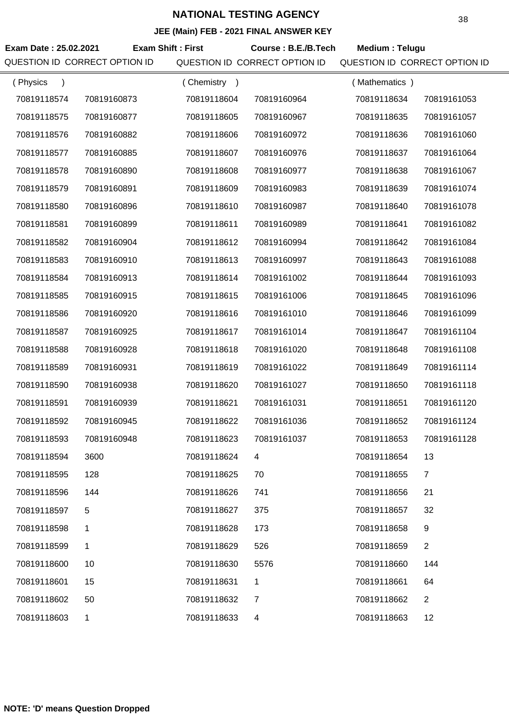| Exam Date: 25.02.2021 | QUESTION ID CORRECT OPTION ID | <b>Exam Shift: First</b> | Course: B.E./B.Tech<br>QUESTION ID CORRECT OPTION ID | Medium: Telugu<br>QUESTION ID CORRECT OPTION ID |                |
|-----------------------|-------------------------------|--------------------------|------------------------------------------------------|-------------------------------------------------|----------------|
| (Physics              |                               | (Chemistry)              |                                                      | (Mathematics)                                   |                |
| 70819118574           | 70819160873                   | 70819118604              | 70819160964                                          | 70819118634                                     | 70819161053    |
| 70819118575           | 70819160877                   | 70819118605              | 70819160967                                          | 70819118635                                     | 70819161057    |
| 70819118576           | 70819160882                   | 70819118606              | 70819160972                                          | 70819118636                                     | 70819161060    |
| 70819118577           | 70819160885                   | 70819118607              | 70819160976                                          | 70819118637                                     | 70819161064    |
| 70819118578           | 70819160890                   | 70819118608              | 70819160977                                          | 70819118638                                     | 70819161067    |
| 70819118579           | 70819160891                   | 70819118609              | 70819160983                                          | 70819118639                                     | 70819161074    |
| 70819118580           | 70819160896                   | 70819118610              | 70819160987                                          | 70819118640                                     | 70819161078    |
| 70819118581           | 70819160899                   | 70819118611              | 70819160989                                          | 70819118641                                     | 70819161082    |
| 70819118582           | 70819160904                   | 70819118612              | 70819160994                                          | 70819118642                                     | 70819161084    |
| 70819118583           | 70819160910                   | 70819118613              | 70819160997                                          | 70819118643                                     | 70819161088    |
| 70819118584           | 70819160913                   | 70819118614              | 70819161002                                          | 70819118644                                     | 70819161093    |
| 70819118585           | 70819160915                   | 70819118615              | 70819161006                                          | 70819118645                                     | 70819161096    |
| 70819118586           | 70819160920                   | 70819118616              | 70819161010                                          | 70819118646                                     | 70819161099    |
| 70819118587           | 70819160925                   | 70819118617              | 70819161014                                          | 70819118647                                     | 70819161104    |
| 70819118588           | 70819160928                   | 70819118618              | 70819161020                                          | 70819118648                                     | 70819161108    |
| 70819118589           | 70819160931                   | 70819118619              | 70819161022                                          | 70819118649                                     | 70819161114    |
| 70819118590           | 70819160938                   | 70819118620              | 70819161027                                          | 70819118650                                     | 70819161118    |
| 70819118591           | 70819160939                   | 70819118621              | 70819161031                                          | 70819118651                                     | 70819161120    |
| 70819118592           | 70819160945                   | 70819118622              | 70819161036                                          | 70819118652                                     | 70819161124    |
| 70819118593           | 70819160948                   | 70819118623              | 70819161037                                          | 70819118653                                     | 70819161128    |
| 70819118594           | 3600                          | 70819118624              | 4                                                    | 70819118654                                     | 13             |
| 70819118595           | 128                           | 70819118625              | 70                                                   | 70819118655                                     | $\overline{7}$ |
| 70819118596           | 144                           | 70819118626              | 741                                                  | 70819118656                                     | 21             |
| 70819118597           | 5                             | 70819118627              | 375                                                  | 70819118657                                     | 32             |
| 70819118598           | 1                             | 70819118628              | 173                                                  | 70819118658                                     | 9              |
| 70819118599           | 1                             | 70819118629              | 526                                                  | 70819118659                                     | $\mathbf{2}$   |
| 70819118600           | 10                            | 70819118630              | 5576                                                 | 70819118660                                     | 144            |
| 70819118601           | 15                            | 70819118631              | $\mathbf 1$                                          | 70819118661                                     | 64             |
| 70819118602           | 50                            | 70819118632              | $\overline{7}$                                       | 70819118662                                     | $\overline{2}$ |
| 70819118603           | 1                             | 70819118633              | 4                                                    | 70819118663                                     | 12             |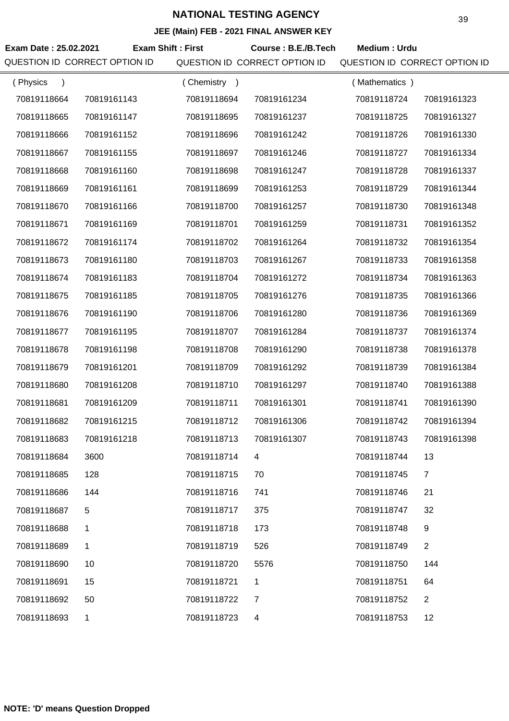| JEE (Main) FEB - 2021 FINAL ANSWER KEY |                          |             |                               |                               |                |  |
|----------------------------------------|--------------------------|-------------|-------------------------------|-------------------------------|----------------|--|
| Exam Date: 25.02.2021                  | <b>Exam Shift: First</b> |             | Course: B.E./B.Tech           | Medium: Urdu                  |                |  |
| QUESTION ID CORRECT OPTION ID          |                          |             | QUESTION ID CORRECT OPTION ID | QUESTION ID CORRECT OPTION ID |                |  |
| (Physics<br>$\lambda$                  |                          | (Chemistry) |                               | (Mathematics)                 |                |  |
| 70819118664                            | 70819161143              | 70819118694 | 70819161234                   | 70819118724                   | 70819161323    |  |
| 70819118665                            | 70819161147              | 70819118695 | 70819161237                   | 70819118725                   | 70819161327    |  |
| 70819118666                            | 70819161152              | 70819118696 | 70819161242                   | 70819118726                   | 70819161330    |  |
| 70819118667                            | 70819161155              | 70819118697 | 70819161246                   | 70819118727                   | 70819161334    |  |
| 70819118668                            | 70819161160              | 70819118698 | 70819161247                   | 70819118728                   | 70819161337    |  |
| 70819118669                            | 70819161161              | 70819118699 | 70819161253                   | 70819118729                   | 70819161344    |  |
| 70819118670                            | 70819161166              | 70819118700 | 70819161257                   | 70819118730                   | 70819161348    |  |
| 70819118671                            | 70819161169              | 70819118701 | 70819161259                   | 70819118731                   | 70819161352    |  |
| 70819118672                            | 70819161174              | 70819118702 | 70819161264                   | 70819118732                   | 70819161354    |  |
| 70819118673                            | 70819161180              | 70819118703 | 70819161267                   | 70819118733                   | 70819161358    |  |
| 70819118674                            | 70819161183              | 70819118704 | 70819161272                   | 70819118734                   | 70819161363    |  |
| 70819118675                            | 70819161185              | 70819118705 | 70819161276                   | 70819118735                   | 70819161366    |  |
| 70819118676                            | 70819161190              | 70819118706 | 70819161280                   | 70819118736                   | 70819161369    |  |
| 70819118677                            | 70819161195              | 70819118707 | 70819161284                   | 70819118737                   | 70819161374    |  |
| 70819118678                            | 70819161198              | 70819118708 | 70819161290                   | 70819118738                   | 70819161378    |  |
| 70819118679                            | 70819161201              | 70819118709 | 70819161292                   | 70819118739                   | 70819161384    |  |
| 70819118680                            | 70819161208              | 70819118710 | 70819161297                   | 70819118740                   | 70819161388    |  |
| 70819118681                            | 70819161209              | 70819118711 | 70819161301                   | 70819118741                   | 70819161390    |  |
| 70819118682                            | 70819161215              | 70819118712 | 70819161306                   | 70819118742                   | 70819161394    |  |
| 70819118683                            | 70819161218              | 70819118713 | 70819161307                   | 70819118743                   | 70819161398    |  |
| 70819118684                            | 3600                     | 70819118714 | 4                             | 70819118744                   | 13             |  |
| 70819118685                            | 128                      | 70819118715 | 70                            | 70819118745                   | $\overline{7}$ |  |
| 70819118686                            | 144                      | 70819118716 | 741                           | 70819118746                   | 21             |  |
| 70819118687                            | 5                        | 70819118717 | 375                           | 70819118747                   | 32             |  |
| 70819118688                            | 1                        | 70819118718 | 173                           | 70819118748                   | 9              |  |
| 70819118689                            | 1.                       | 70819118719 | 526                           | 70819118749                   | $\overline{2}$ |  |
| 70819118690                            | 10                       | 70819118720 | 5576                          | 70819118750                   | 144            |  |
| 70819118691                            | 15                       | 70819118721 | 1                             | 70819118751                   | 64             |  |
| 70819118692                            | 50                       | 70819118722 | $\overline{7}$                | 70819118752                   | $\overline{2}$ |  |
| 70819118693                            | 1                        | 70819118723 | 4                             | 70819118753                   | 12             |  |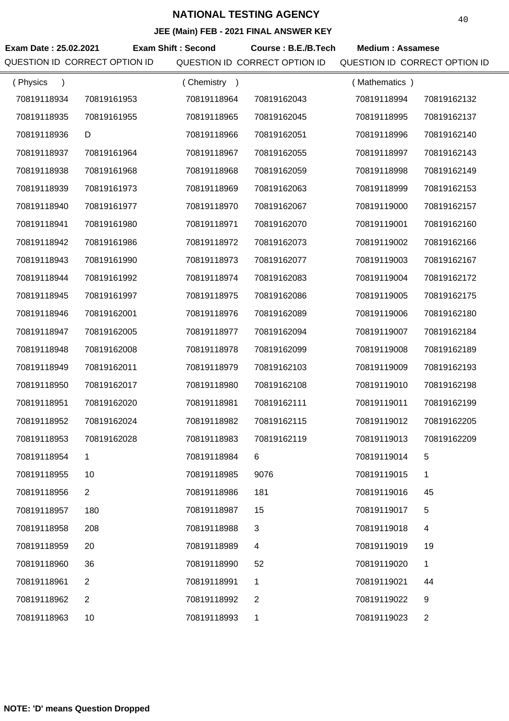|                       |                               |                           | JEE (Main) FEB - 2021 FINAL ANSWER KEY               |                                                          |                |
|-----------------------|-------------------------------|---------------------------|------------------------------------------------------|----------------------------------------------------------|----------------|
| Exam Date: 25.02.2021 | QUESTION ID CORRECT OPTION ID | <b>Exam Shift: Second</b> | Course: B.E./B.Tech<br>QUESTION ID CORRECT OPTION ID | <b>Medium: Assamese</b><br>QUESTION ID CORRECT OPTION ID |                |
| (Physics              |                               | (Chemistry)               |                                                      | (Mathematics)                                            |                |
| 70819118934           | 70819161953                   | 70819118964               | 70819162043                                          | 70819118994                                              | 70819162132    |
| 70819118935           | 70819161955                   | 70819118965               | 70819162045                                          | 70819118995                                              | 70819162137    |
| 70819118936           | D                             | 70819118966               | 70819162051                                          | 70819118996                                              | 70819162140    |
| 70819118937           | 70819161964                   | 70819118967               | 70819162055                                          | 70819118997                                              | 70819162143    |
| 70819118938           | 70819161968                   | 70819118968               | 70819162059                                          | 70819118998                                              | 70819162149    |
| 70819118939           | 70819161973                   | 70819118969               | 70819162063                                          | 70819118999                                              | 70819162153    |
| 70819118940           | 70819161977                   | 70819118970               | 70819162067                                          | 70819119000                                              | 70819162157    |
| 70819118941           | 70819161980                   | 70819118971               | 70819162070                                          | 70819119001                                              | 70819162160    |
| 70819118942           | 70819161986                   | 70819118972               | 70819162073                                          | 70819119002                                              | 70819162166    |
| 70819118943           | 70819161990                   | 70819118973               | 70819162077                                          | 70819119003                                              | 70819162167    |
| 70819118944           | 70819161992                   | 70819118974               | 70819162083                                          | 70819119004                                              | 70819162172    |
| 70819118945           | 70819161997                   | 70819118975               | 70819162086                                          | 70819119005                                              | 70819162175    |
| 70819118946           | 70819162001                   | 70819118976               | 70819162089                                          | 70819119006                                              | 70819162180    |
| 70819118947           | 70819162005                   | 70819118977               | 70819162094                                          | 70819119007                                              | 70819162184    |
| 70819118948           | 70819162008                   | 70819118978               | 70819162099                                          | 70819119008                                              | 70819162189    |
| 70819118949           | 70819162011                   | 70819118979               | 70819162103                                          | 70819119009                                              | 70819162193    |
| 70819118950           | 70819162017                   | 70819118980               | 70819162108                                          | 70819119010                                              | 70819162198    |
| 70819118951           | 70819162020                   | 70819118981               | 70819162111                                          | 70819119011                                              | 70819162199    |
| 70819118952           | 70819162024                   | 70819118982               | 70819162115                                          | 70819119012                                              | 70819162205    |
| 70819118953           | 70819162028                   | 70819118983               | 70819162119                                          | 70819119013                                              | 70819162209    |
| 70819118954           | $\mathbf 1$                   | 70819118984               | 6                                                    | 70819119014                                              | 5              |
| 70819118955           | 10                            | 70819118985               | 9076                                                 | 70819119015                                              | 1              |
| 70819118956           | $\overline{2}$                | 70819118986               | 181                                                  | 70819119016                                              | 45             |
| 70819118957           | 180                           | 70819118987               | 15                                                   | 70819119017                                              | 5              |
| 70819118958           | 208                           | 70819118988               | 3                                                    | 70819119018                                              | 4              |
| 70819118959           | 20                            | 70819118989               | 4                                                    | 70819119019                                              | 19             |
| 70819118960           | 36                            | 70819118990               | 52                                                   | 70819119020                                              | 1              |
| 70819118961           | 2                             | 70819118991               | 1                                                    | 70819119021                                              | 44             |
| 70819118962           | 2                             | 70819118992               | 2                                                    | 70819119022                                              | 9              |
| 70819118963           | 10                            | 70819118993               | 1                                                    | 70819119023                                              | $\overline{2}$ |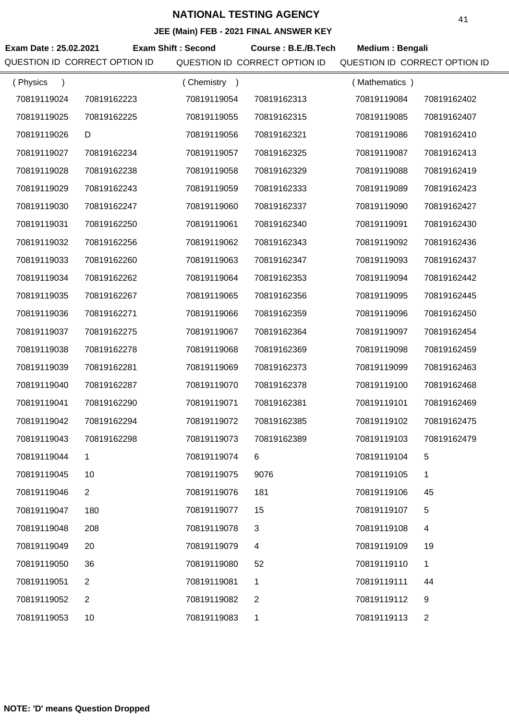|                               |                |                           | <b>JLL (Mail) LD - 2021 LINAL ANOWER RET</b> |                               |                |
|-------------------------------|----------------|---------------------------|----------------------------------------------|-------------------------------|----------------|
| Exam Date: 25.02.2021         |                | <b>Exam Shift: Second</b> | Course: B.E./B.Tech                          | Medium: Bengali               |                |
| QUESTION ID CORRECT OPTION ID |                |                           | QUESTION ID CORRECT OPTION ID                | QUESTION ID CORRECT OPTION ID |                |
| (Physics<br>$\lambda$         |                | (Chemistry)               |                                              | (Mathematics)                 |                |
| 70819119024                   | 70819162223    | 70819119054               | 70819162313                                  | 70819119084                   | 70819162402    |
| 70819119025                   | 70819162225    | 70819119055               | 70819162315                                  | 70819119085                   | 70819162407    |
| 70819119026                   | D              | 70819119056               | 70819162321                                  | 70819119086                   | 70819162410    |
| 70819119027                   | 70819162234    | 70819119057               | 70819162325                                  | 70819119087                   | 70819162413    |
| 70819119028                   | 70819162238    | 70819119058               | 70819162329                                  | 70819119088                   | 70819162419    |
| 70819119029                   | 70819162243    | 70819119059               | 70819162333                                  | 70819119089                   | 70819162423    |
| 70819119030                   | 70819162247    | 70819119060               | 70819162337                                  | 70819119090                   | 70819162427    |
| 70819119031                   | 70819162250    | 70819119061               | 70819162340                                  | 70819119091                   | 70819162430    |
| 70819119032                   | 70819162256    | 70819119062               | 70819162343                                  | 70819119092                   | 70819162436    |
| 70819119033                   | 70819162260    | 70819119063               | 70819162347                                  | 70819119093                   | 70819162437    |
| 70819119034                   | 70819162262    | 70819119064               | 70819162353                                  | 70819119094                   | 70819162442    |
| 70819119035                   | 70819162267    | 70819119065               | 70819162356                                  | 70819119095                   | 70819162445    |
| 70819119036                   | 70819162271    | 70819119066               | 70819162359                                  | 70819119096                   | 70819162450    |
| 70819119037                   | 70819162275    | 70819119067               | 70819162364                                  | 70819119097                   | 70819162454    |
| 70819119038                   | 70819162278    | 70819119068               | 70819162369                                  | 70819119098                   | 70819162459    |
| 70819119039                   | 70819162281    | 70819119069               | 70819162373                                  | 70819119099                   | 70819162463    |
| 70819119040                   | 70819162287    | 70819119070               | 70819162378                                  | 70819119100                   | 70819162468    |
| 70819119041                   | 70819162290    | 70819119071               | 70819162381                                  | 70819119101                   | 70819162469    |
| 70819119042                   | 70819162294    | 70819119072               | 70819162385                                  | 70819119102                   | 70819162475    |
| 70819119043                   | 70819162298    | 70819119073               | 70819162389                                  | 70819119103                   | 70819162479    |
| 70819119044                   | 1              | 70819119074               | 6                                            | 70819119104                   | 5              |
| 70819119045                   | 10             | 70819119075               | 9076                                         | 70819119105                   | 1              |
| 70819119046                   | $\overline{2}$ | 70819119076               | 181                                          | 70819119106                   | 45             |
| 70819119047                   | 180            | 70819119077               | 15                                           | 70819119107                   | 5              |
| 70819119048                   | 208            | 70819119078               | 3                                            | 70819119108                   | 4              |
| 70819119049                   | 20             | 70819119079               | 4                                            | 70819119109                   | 19             |
| 70819119050                   | 36             | 70819119080               | 52                                           | 70819119110                   | 1              |
| 70819119051                   | $\overline{2}$ | 70819119081               | 1                                            | 70819119111                   | 44             |
| 70819119052                   | $\overline{2}$ | 70819119082               | 2                                            | 70819119112                   | 9              |
| 70819119053                   | 10             | 70819119083               | 1                                            | 70819119113                   | $\overline{2}$ |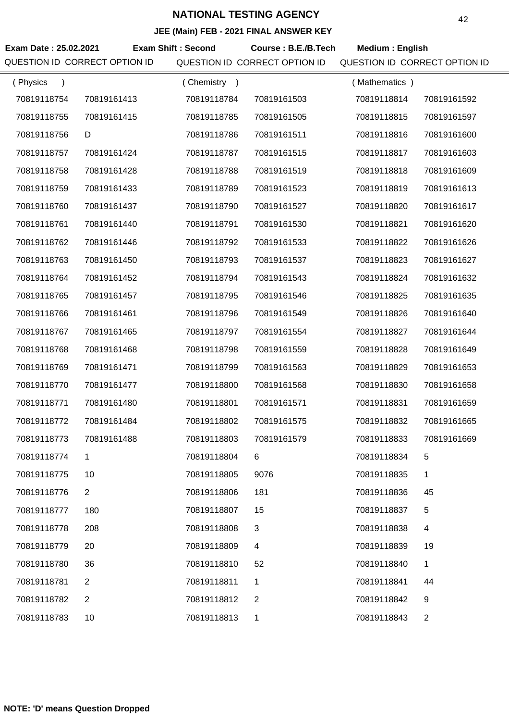|                               |                |                           | JEE (MAIN) FEB - 2021 FINAL ANSWER NET |                               |                |
|-------------------------------|----------------|---------------------------|----------------------------------------|-------------------------------|----------------|
| Exam Date: 25.02.2021         |                | <b>Exam Shift: Second</b> | Course: B.E./B.Tech                    | <b>Medium: English</b>        |                |
| QUESTION ID CORRECT OPTION ID |                |                           | QUESTION ID CORRECT OPTION ID          | QUESTION ID CORRECT OPTION ID |                |
| (Physics<br>$\lambda$         |                | (Chemistry)               |                                        | (Mathematics)                 |                |
| 70819118754                   | 70819161413    | 70819118784               | 70819161503                            | 70819118814                   | 70819161592    |
| 70819118755                   | 70819161415    | 70819118785               | 70819161505                            | 70819118815                   | 70819161597    |
| 70819118756                   | D              | 70819118786               | 70819161511                            | 70819118816                   | 70819161600    |
| 70819118757                   | 70819161424    | 70819118787               | 70819161515                            | 70819118817                   | 70819161603    |
| 70819118758                   | 70819161428    | 70819118788               | 70819161519                            | 70819118818                   | 70819161609    |
| 70819118759                   | 70819161433    | 70819118789               | 70819161523                            | 70819118819                   | 70819161613    |
| 70819118760                   | 70819161437    | 70819118790               | 70819161527                            | 70819118820                   | 70819161617    |
| 70819118761                   | 70819161440    | 70819118791               | 70819161530                            | 70819118821                   | 70819161620    |
| 70819118762                   | 70819161446    | 70819118792               | 70819161533                            | 70819118822                   | 70819161626    |
| 70819118763                   | 70819161450    | 70819118793               | 70819161537                            | 70819118823                   | 70819161627    |
| 70819118764                   | 70819161452    | 70819118794               | 70819161543                            | 70819118824                   | 70819161632    |
| 70819118765                   | 70819161457    | 70819118795               | 70819161546                            | 70819118825                   | 70819161635    |
| 70819118766                   | 70819161461    | 70819118796               | 70819161549                            | 70819118826                   | 70819161640    |
| 70819118767                   | 70819161465    | 70819118797               | 70819161554                            | 70819118827                   | 70819161644    |
| 70819118768                   | 70819161468    | 70819118798               | 70819161559                            | 70819118828                   | 70819161649    |
| 70819118769                   | 70819161471    | 70819118799               | 70819161563                            | 70819118829                   | 70819161653    |
| 70819118770                   | 70819161477    | 70819118800               | 70819161568                            | 70819118830                   | 70819161658    |
| 70819118771                   | 70819161480    | 70819118801               | 70819161571                            | 70819118831                   | 70819161659    |
| 70819118772                   | 70819161484    | 70819118802               | 70819161575                            | 70819118832                   | 70819161665    |
| 70819118773                   | 70819161488    | 70819118803               | 70819161579                            | 70819118833                   | 70819161669    |
| 70819118774                   | 1              | 70819118804               | 6                                      | 70819118834                   | 5              |
| 70819118775                   | 10             | 70819118805               | 9076                                   | 70819118835                   | 1              |
| 70819118776                   | $\overline{2}$ | 70819118806               | 181                                    | 70819118836                   | 45             |
| 70819118777                   | 180            | 70819118807               | 15                                     | 70819118837                   | 5              |
| 70819118778                   | 208            | 70819118808               | 3                                      | 70819118838                   | 4              |
| 70819118779                   | 20             | 70819118809               | 4                                      | 70819118839                   | 19             |
| 70819118780                   | 36             | 70819118810               | 52                                     | 70819118840                   | 1              |
| 70819118781                   | 2              | 70819118811               | 1                                      | 70819118841                   | 44             |
| 70819118782                   | $\overline{2}$ | 70819118812               | 2                                      | 70819118842                   | 9              |
| 70819118783                   | 10             | 70819118813               | 1                                      | 70819118843                   | $\overline{2}$ |
|                               |                |                           |                                        |                               |                |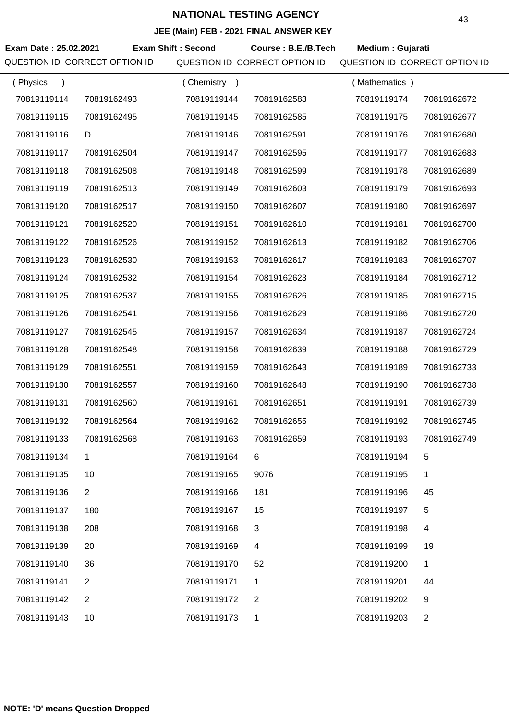| Exam Date: 25.02.2021         |                | <b>Exam Shift: Second</b> | Course: B.E./B.Tech           | Medium : Gujarati             |                |
|-------------------------------|----------------|---------------------------|-------------------------------|-------------------------------|----------------|
| QUESTION ID CORRECT OPTION ID |                |                           | QUESTION ID CORRECT OPTION ID | QUESTION ID CORRECT OPTION ID |                |
| (Physics<br>$\lambda$         |                | (Chemistry)               |                               | (Mathematics)                 |                |
| 70819119114                   | 70819162493    | 70819119144               | 70819162583                   | 70819119174                   | 70819162672    |
| 70819119115                   | 70819162495    | 70819119145               | 70819162585                   | 70819119175                   | 70819162677    |
| 70819119116                   | D              | 70819119146               | 70819162591                   | 70819119176                   | 70819162680    |
| 70819119117                   | 70819162504    | 70819119147               | 70819162595                   | 70819119177                   | 70819162683    |
| 70819119118                   | 70819162508    | 70819119148               | 70819162599                   | 70819119178                   | 70819162689    |
| 70819119119                   | 70819162513    | 70819119149               | 70819162603                   | 70819119179                   | 70819162693    |
| 70819119120                   | 70819162517    | 70819119150               | 70819162607                   | 70819119180                   | 70819162697    |
| 70819119121                   | 70819162520    | 70819119151               | 70819162610                   | 70819119181                   | 70819162700    |
| 70819119122                   | 70819162526    | 70819119152               | 70819162613                   | 70819119182                   | 70819162706    |
| 70819119123                   | 70819162530    | 70819119153               | 70819162617                   | 70819119183                   | 70819162707    |
| 70819119124                   | 70819162532    | 70819119154               | 70819162623                   | 70819119184                   | 70819162712    |
| 70819119125                   | 70819162537    | 70819119155               | 70819162626                   | 70819119185                   | 70819162715    |
| 70819119126                   | 70819162541    | 70819119156               | 70819162629                   | 70819119186                   | 70819162720    |
| 70819119127                   | 70819162545    | 70819119157               | 70819162634                   | 70819119187                   | 70819162724    |
| 70819119128                   | 70819162548    | 70819119158               | 70819162639                   | 70819119188                   | 70819162729    |
| 70819119129                   | 70819162551    | 70819119159               | 70819162643                   | 70819119189                   | 70819162733    |
| 70819119130                   | 70819162557    | 70819119160               | 70819162648                   | 70819119190                   | 70819162738    |
| 70819119131                   | 70819162560    | 70819119161               | 70819162651                   | 70819119191                   | 70819162739    |
| 70819119132                   | 70819162564    | 70819119162               | 70819162655                   | 70819119192                   | 70819162745    |
| 70819119133                   | 70819162568    | 70819119163               | 70819162659                   | 70819119193                   | 70819162749    |
| 70819119134                   | 1              | 70819119164               | 6                             | 70819119194                   | 5              |
| 70819119135                   | 10             | 70819119165               | 9076                          | 70819119195                   | 1              |
| 70819119136                   | $\overline{2}$ | 70819119166               | 181                           | 70819119196                   | 45             |
| 70819119137                   | 180            | 70819119167               | 15                            | 70819119197                   | 5              |
| 70819119138                   | 208            | 70819119168               | 3                             | 70819119198                   | 4              |
| 70819119139                   | 20             | 70819119169               | 4                             | 70819119199                   | 19             |
| 70819119140                   | 36             | 70819119170               | 52                            | 70819119200                   | 1              |
| 70819119141                   | 2              | 70819119171               | 1                             | 70819119201                   | 44             |
| 70819119142                   | $\overline{2}$ | 70819119172               | 2                             | 70819119202                   | 9              |
| 70819119143                   | 10             | 70819119173               | 1                             | 70819119203                   | $\overline{2}$ |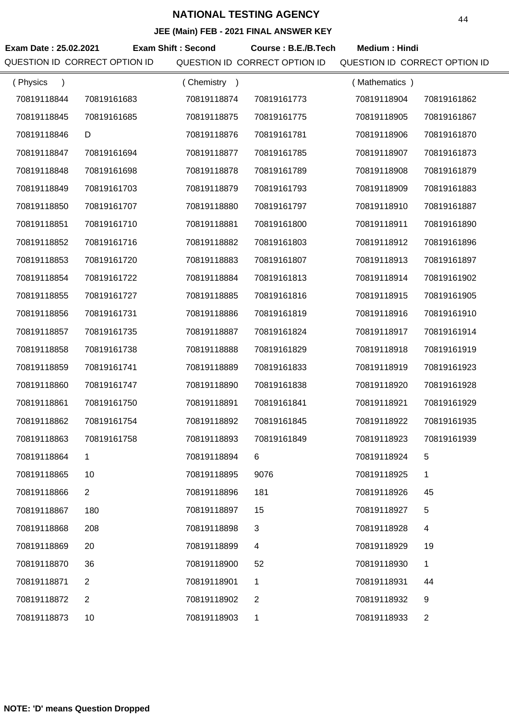|                       |                               |                           | $\overline{C}$ (main) $\overline{C}$ = 2021 The ANOWER KET |                               |                |
|-----------------------|-------------------------------|---------------------------|------------------------------------------------------------|-------------------------------|----------------|
| Exam Date: 25.02.2021 |                               | <b>Exam Shift: Second</b> | Course: B.E./B.Tech                                        | <b>Medium: Hindi</b>          |                |
|                       | QUESTION ID CORRECT OPTION ID |                           | QUESTION ID CORRECT OPTION ID                              | QUESTION ID CORRECT OPTION ID |                |
| (Physics<br>$\lambda$ |                               | (Chemistry)               |                                                            | (Mathematics)                 |                |
| 70819118844           | 70819161683                   | 70819118874               | 70819161773                                                | 70819118904                   | 70819161862    |
| 70819118845           | 70819161685                   | 70819118875               | 70819161775                                                | 70819118905                   | 70819161867    |
| 70819118846           | D                             | 70819118876               | 70819161781                                                | 70819118906                   | 70819161870    |
| 70819118847           | 70819161694                   | 70819118877               | 70819161785                                                | 70819118907                   | 70819161873    |
| 70819118848           | 70819161698                   | 70819118878               | 70819161789                                                | 70819118908                   | 70819161879    |
| 70819118849           | 70819161703                   | 70819118879               | 70819161793                                                | 70819118909                   | 70819161883    |
| 70819118850           | 70819161707                   | 70819118880               | 70819161797                                                | 70819118910                   | 70819161887    |
| 70819118851           | 70819161710                   | 70819118881               | 70819161800                                                | 70819118911                   | 70819161890    |
| 70819118852           | 70819161716                   | 70819118882               | 70819161803                                                | 70819118912                   | 70819161896    |
| 70819118853           | 70819161720                   | 70819118883               | 70819161807                                                | 70819118913                   | 70819161897    |
| 70819118854           | 70819161722                   | 70819118884               | 70819161813                                                | 70819118914                   | 70819161902    |
| 70819118855           | 70819161727                   | 70819118885               | 70819161816                                                | 70819118915                   | 70819161905    |
| 70819118856           | 70819161731                   | 70819118886               | 70819161819                                                | 70819118916                   | 70819161910    |
| 70819118857           | 70819161735                   | 70819118887               | 70819161824                                                | 70819118917                   | 70819161914    |
| 70819118858           | 70819161738                   | 70819118888               | 70819161829                                                | 70819118918                   | 70819161919    |
| 70819118859           | 70819161741                   | 70819118889               | 70819161833                                                | 70819118919                   | 70819161923    |
| 70819118860           | 70819161747                   | 70819118890               | 70819161838                                                | 70819118920                   | 70819161928    |
| 70819118861           | 70819161750                   | 70819118891               | 70819161841                                                | 70819118921                   | 70819161929    |
| 70819118862           | 70819161754                   | 70819118892               | 70819161845                                                | 70819118922                   | 70819161935    |
| 70819118863           | 70819161758                   | 70819118893               | 70819161849                                                | 70819118923                   | 70819161939    |
| 70819118864           | 1                             | 70819118894               | 6                                                          | 70819118924                   | 5              |
| 70819118865           | 10                            | 70819118895               | 9076                                                       | 70819118925                   | 1              |
| 70819118866           | $\overline{2}$                | 70819118896               | 181                                                        | 70819118926                   | 45             |
| 70819118867           | 180                           | 70819118897               | 15                                                         | 70819118927                   | 5              |
| 70819118868           | 208                           | 70819118898               | 3                                                          | 70819118928                   | 4              |
| 70819118869           | 20                            | 70819118899               | 4                                                          | 70819118929                   | 19             |
| 70819118870           | 36                            | 70819118900               | 52                                                         | 70819118930                   | 1              |
| 70819118871           | $\overline{2}$                | 70819118901               | 1                                                          | 70819118931                   | 44             |
| 70819118872           | $\overline{2}$                | 70819118902               | $\overline{2}$                                             | 70819118932                   | 9              |
| 70819118873           | 10                            | 70819118903               | 1                                                          | 70819118933                   | $\overline{2}$ |
|                       |                               |                           |                                                            |                               |                |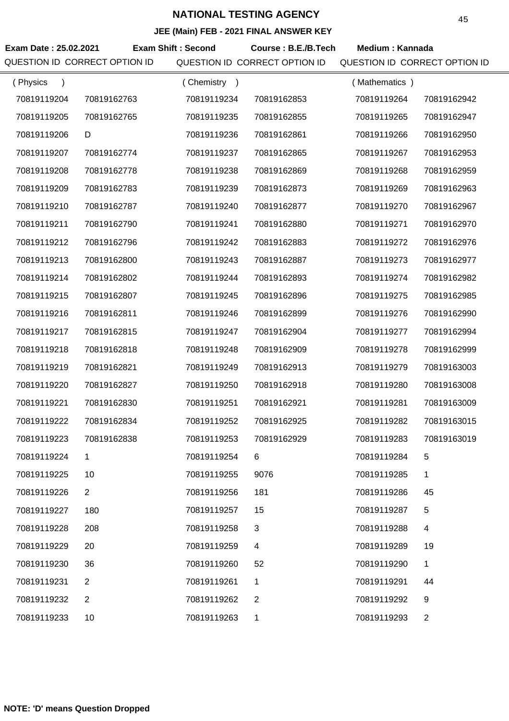|                               |                |                           | JEE (MAIN) FEB - 2021 FINAL ANSWER NET |                               |                |
|-------------------------------|----------------|---------------------------|----------------------------------------|-------------------------------|----------------|
| Exam Date: 25.02.2021         |                | <b>Exam Shift: Second</b> | Course: B.E./B.Tech                    | Medium: Kannada               |                |
| QUESTION ID CORRECT OPTION ID |                |                           | QUESTION ID CORRECT OPTION ID          | QUESTION ID CORRECT OPTION ID |                |
| (Physics<br>$\lambda$         |                | (Chemistry)               |                                        | (Mathematics)                 |                |
| 70819119204                   | 70819162763    | 70819119234               | 70819162853                            | 70819119264                   | 70819162942    |
| 70819119205                   | 70819162765    | 70819119235               | 70819162855                            | 70819119265                   | 70819162947    |
| 70819119206                   | D              | 70819119236               | 70819162861                            | 70819119266                   | 70819162950    |
| 70819119207                   | 70819162774    | 70819119237               | 70819162865                            | 70819119267                   | 70819162953    |
| 70819119208                   | 70819162778    | 70819119238               | 70819162869                            | 70819119268                   | 70819162959    |
| 70819119209                   | 70819162783    | 70819119239               | 70819162873                            | 70819119269                   | 70819162963    |
| 70819119210                   | 70819162787    | 70819119240               | 70819162877                            | 70819119270                   | 70819162967    |
| 70819119211                   | 70819162790    | 70819119241               | 70819162880                            | 70819119271                   | 70819162970    |
| 70819119212                   | 70819162796    | 70819119242               | 70819162883                            | 70819119272                   | 70819162976    |
| 70819119213                   | 70819162800    | 70819119243               | 70819162887                            | 70819119273                   | 70819162977    |
| 70819119214                   | 70819162802    | 70819119244               | 70819162893                            | 70819119274                   | 70819162982    |
| 70819119215                   | 70819162807    | 70819119245               | 70819162896                            | 70819119275                   | 70819162985    |
| 70819119216                   | 70819162811    | 70819119246               | 70819162899                            | 70819119276                   | 70819162990    |
| 70819119217                   | 70819162815    | 70819119247               | 70819162904                            | 70819119277                   | 70819162994    |
| 70819119218                   | 70819162818    | 70819119248               | 70819162909                            | 70819119278                   | 70819162999    |
| 70819119219                   | 70819162821    | 70819119249               | 70819162913                            | 70819119279                   | 70819163003    |
| 70819119220                   | 70819162827    | 70819119250               | 70819162918                            | 70819119280                   | 70819163008    |
| 70819119221                   | 70819162830    | 70819119251               | 70819162921                            | 70819119281                   | 70819163009    |
| 70819119222                   | 70819162834    | 70819119252               | 70819162925                            | 70819119282                   | 70819163015    |
| 70819119223                   | 70819162838    | 70819119253               | 70819162929                            | 70819119283                   | 70819163019    |
| 70819119224                   | 1.             | 70819119254               | 6                                      | 70819119284                   | 5              |
| 70819119225                   | 10             | 70819119255               | 9076                                   | 70819119285                   | 1              |
| 70819119226                   | $\overline{2}$ | 70819119256               | 181                                    | 70819119286                   | 45             |
| 70819119227                   | 180            | 70819119257               | 15                                     | 70819119287                   | 5              |
| 70819119228                   | 208            | 70819119258               | 3                                      | 70819119288                   | 4              |
| 70819119229                   | 20             | 70819119259               | 4                                      | 70819119289                   | 19             |
| 70819119230                   | 36             | 70819119260               | 52                                     | 70819119290                   | 1              |
| 70819119231                   | $\overline{2}$ | 70819119261               | 1                                      | 70819119291                   | 44             |
| 70819119232                   | $\overline{2}$ | 70819119262               | 2                                      | 70819119292                   | 9              |
| 70819119233                   | 10             | 70819119263               | 1                                      | 70819119293                   | $\overline{2}$ |
|                               |                |                           |                                        |                               |                |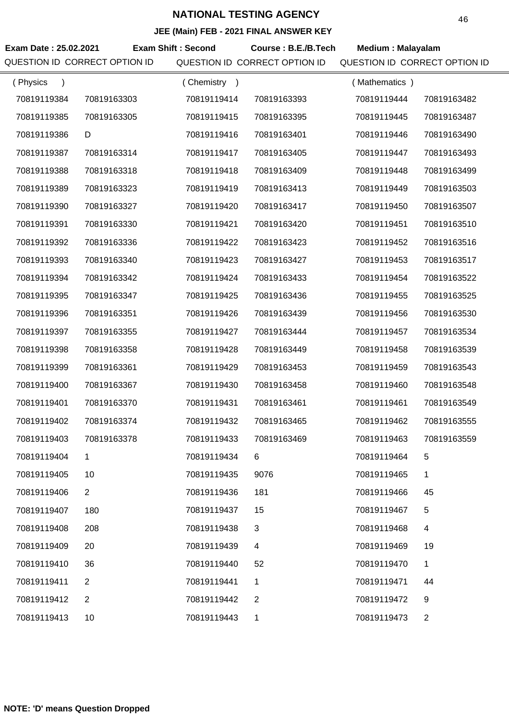|                       |                               |                           | JEE (MAIN) FEB - 2021 FINAL ANSWER RET |                               |                |
|-----------------------|-------------------------------|---------------------------|----------------------------------------|-------------------------------|----------------|
| Exam Date: 25.02.2021 |                               | <b>Exam Shift: Second</b> | Course: B.E./B.Tech                    | <b>Medium: Malayalam</b>      |                |
|                       | QUESTION ID CORRECT OPTION ID |                           | QUESTION ID CORRECT OPTION ID          | QUESTION ID CORRECT OPTION ID |                |
| (Physics<br>$\lambda$ |                               | (Chemistry)               |                                        | (Mathematics)                 |                |
| 70819119384           | 70819163303                   | 70819119414               | 70819163393                            | 70819119444                   | 70819163482    |
| 70819119385           | 70819163305                   | 70819119415               | 70819163395                            | 70819119445                   | 70819163487    |
| 70819119386           | D                             | 70819119416               | 70819163401                            | 70819119446                   | 70819163490    |
| 70819119387           | 70819163314                   | 70819119417               | 70819163405                            | 70819119447                   | 70819163493    |
| 70819119388           | 70819163318                   | 70819119418               | 70819163409                            | 70819119448                   | 70819163499    |
| 70819119389           | 70819163323                   | 70819119419               | 70819163413                            | 70819119449                   | 70819163503    |
| 70819119390           | 70819163327                   | 70819119420               | 70819163417                            | 70819119450                   | 70819163507    |
| 70819119391           | 70819163330                   | 70819119421               | 70819163420                            | 70819119451                   | 70819163510    |
| 70819119392           | 70819163336                   | 70819119422               | 70819163423                            | 70819119452                   | 70819163516    |
| 70819119393           | 70819163340                   | 70819119423               | 70819163427                            | 70819119453                   | 70819163517    |
| 70819119394           | 70819163342                   | 70819119424               | 70819163433                            | 70819119454                   | 70819163522    |
| 70819119395           | 70819163347                   | 70819119425               | 70819163436                            | 70819119455                   | 70819163525    |
| 70819119396           | 70819163351                   | 70819119426               | 70819163439                            | 70819119456                   | 70819163530    |
| 70819119397           | 70819163355                   | 70819119427               | 70819163444                            | 70819119457                   | 70819163534    |
| 70819119398           | 70819163358                   | 70819119428               | 70819163449                            | 70819119458                   | 70819163539    |
| 70819119399           | 70819163361                   | 70819119429               | 70819163453                            | 70819119459                   | 70819163543    |
| 70819119400           | 70819163367                   | 70819119430               | 70819163458                            | 70819119460                   | 70819163548    |
| 70819119401           | 70819163370                   | 70819119431               | 70819163461                            | 70819119461                   | 70819163549    |
| 70819119402           | 70819163374                   | 70819119432               | 70819163465                            | 70819119462                   | 70819163555    |
| 70819119403           | 70819163378                   | 70819119433               | 70819163469                            | 70819119463                   | 70819163559    |
| 70819119404           | $\mathbf 1$                   | 70819119434               | 6                                      | 70819119464                   | 5              |
| 70819119405           | 10                            | 70819119435               | 9076                                   | 70819119465                   | 1              |
| 70819119406           | 2                             | 70819119436               | 181                                    | 70819119466                   | 45             |
| 70819119407           | 180                           | 70819119437               | 15                                     | 70819119467                   | 5              |
| 70819119408           | 208                           | 70819119438               | 3                                      | 70819119468                   | 4              |
| 70819119409           | 20                            | 70819119439               | 4                                      | 70819119469                   | 19             |
| 70819119410           | 36                            | 70819119440               | 52                                     | 70819119470                   | 1              |
| 70819119411           | 2                             | 70819119441               | 1                                      | 70819119471                   | 44             |
| 70819119412           | 2                             | 70819119442               | $\overline{2}$                         | 70819119472                   | 9              |
| 70819119413           | 10                            | 70819119443               | 1                                      | 70819119473                   | $\overline{2}$ |
|                       |                               |                           |                                        |                               |                |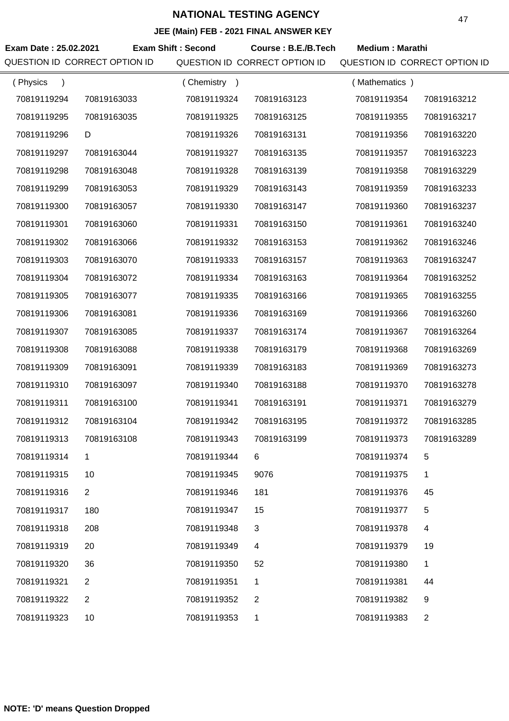**JEE (Main) FEB - 2021 FINAL ANSWER KEY**

|                       |                               |                             | JEE (Main) FEB - 2021 FINAL ANSWER KEY |                               |                |
|-----------------------|-------------------------------|-----------------------------|----------------------------------------|-------------------------------|----------------|
| Exam Date: 25.02.2021 |                               | <b>Exam Shift: Second</b>   | Course: B.E./B.Tech                    | <b>Medium: Marathi</b>        |                |
|                       | QUESTION ID CORRECT OPTION ID |                             | QUESTION ID CORRECT OPTION ID          | QUESTION ID CORRECT OPTION ID |                |
| (Physics              |                               | (Chemistry<br>$\rightarrow$ |                                        | (Mathematics)                 |                |
| 70819119294           | 70819163033                   | 70819119324                 | 70819163123                            | 70819119354                   | 70819163212    |
| 70819119295           | 70819163035                   | 70819119325                 | 70819163125                            | 70819119355                   | 70819163217    |
| 70819119296           | D                             | 70819119326                 | 70819163131                            | 70819119356                   | 70819163220    |
| 70819119297           | 70819163044                   | 70819119327                 | 70819163135                            | 70819119357                   | 70819163223    |
| 70819119298           | 70819163048                   | 70819119328                 | 70819163139                            | 70819119358                   | 70819163229    |
| 70819119299           | 70819163053                   | 70819119329                 | 70819163143                            | 70819119359                   | 70819163233    |
| 70819119300           | 70819163057                   | 70819119330                 | 70819163147                            | 70819119360                   | 70819163237    |
| 70819119301           | 70819163060                   | 70819119331                 | 70819163150                            | 70819119361                   | 70819163240    |
| 70819119302           | 70819163066                   | 70819119332                 | 70819163153                            | 70819119362                   | 70819163246    |
| 70819119303           | 70819163070                   | 70819119333                 | 70819163157                            | 70819119363                   | 70819163247    |
| 70819119304           | 70819163072                   | 70819119334                 | 70819163163                            | 70819119364                   | 70819163252    |
| 70819119305           | 70819163077                   | 70819119335                 | 70819163166                            | 70819119365                   | 70819163255    |
| 70819119306           | 70819163081                   | 70819119336                 | 70819163169                            | 70819119366                   | 70819163260    |
| 70819119307           | 70819163085                   | 70819119337                 | 70819163174                            | 70819119367                   | 70819163264    |
| 70819119308           | 70819163088                   | 70819119338                 | 70819163179                            | 70819119368                   | 70819163269    |
| 70819119309           | 70819163091                   | 70819119339                 | 70819163183                            | 70819119369                   | 70819163273    |
| 70819119310           | 70819163097                   | 70819119340                 | 70819163188                            | 70819119370                   | 70819163278    |
| 70819119311           | 70819163100                   | 70819119341                 | 70819163191                            | 70819119371                   | 70819163279    |
| 70819119312           | 70819163104                   | 70819119342                 | 70819163195                            | 70819119372                   | 70819163285    |
| 70819119313           | 70819163108                   | 70819119343                 | 70819163199                            | 70819119373                   | 70819163289    |
| 70819119314           | 1                             | 70819119344                 | 6                                      | 70819119374                   | 5              |
| 70819119315           | 10                            | 70819119345                 | 9076                                   | 70819119375                   | 1              |
| 70819119316           | 2                             | 70819119346                 | 181                                    | 70819119376                   | 45             |
| 70819119317           | 180                           | 70819119347                 | 15                                     | 70819119377                   | 5              |
| 70819119318           | 208                           | 70819119348                 | 3                                      | 70819119378                   | 4              |
| 70819119319           | 20                            | 70819119349                 | $\overline{4}$                         | 70819119379                   | 19             |
| 70819119320           | 36                            | 70819119350                 | 52                                     | 70819119380                   | 1              |
| 70819119321           | $\overline{2}$                | 70819119351                 | $\mathbf{1}$                           | 70819119381                   | 44             |
| 70819119322           | 2                             | 70819119352                 | $\overline{2}$                         | 70819119382                   | 9              |
| 70819119323           | 10                            | 70819119353                 | 1                                      | 70819119383                   | $\overline{2}$ |
|                       |                               |                             |                                        |                               |                |

÷,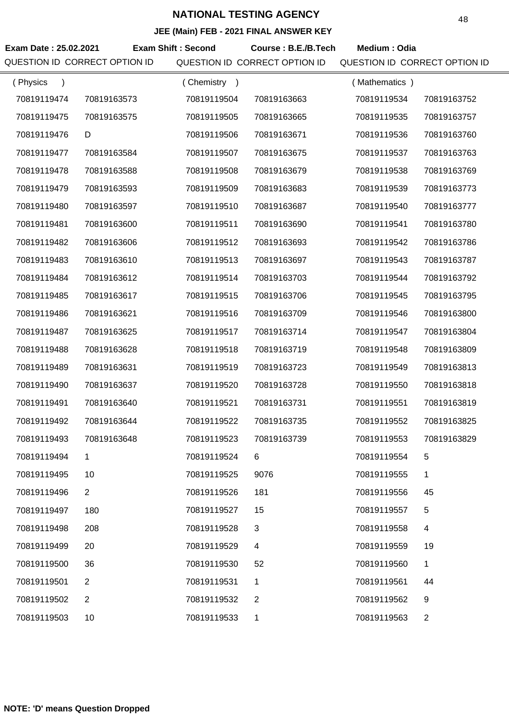|                       |                               |                           | JEE (Main) FEB - 2021 FINAL ANSWER KEY |                               |                |
|-----------------------|-------------------------------|---------------------------|----------------------------------------|-------------------------------|----------------|
| Exam Date: 25.02.2021 |                               | <b>Exam Shift: Second</b> | Course: B.E./B.Tech                    | Medium: Odia                  |                |
|                       | QUESTION ID CORRECT OPTION ID |                           | QUESTION ID CORRECT OPTION ID          | QUESTION ID CORRECT OPTION ID |                |
| (Physics              |                               | (Chemistry)               |                                        | (Mathematics)                 |                |
| 70819119474           | 70819163573                   | 70819119504               | 70819163663                            | 70819119534                   | 70819163752    |
| 70819119475           | 70819163575                   | 70819119505               | 70819163665                            | 70819119535                   | 70819163757    |
| 70819119476           | D                             | 70819119506               | 70819163671                            | 70819119536                   | 70819163760    |
| 70819119477           | 70819163584                   | 70819119507               | 70819163675                            | 70819119537                   | 70819163763    |
| 70819119478           | 70819163588                   | 70819119508               | 70819163679                            | 70819119538                   | 70819163769    |
| 70819119479           | 70819163593                   | 70819119509               | 70819163683                            | 70819119539                   | 70819163773    |
| 70819119480           | 70819163597                   | 70819119510               | 70819163687                            | 70819119540                   | 70819163777    |
| 70819119481           | 70819163600                   | 70819119511               | 70819163690                            | 70819119541                   | 70819163780    |
| 70819119482           | 70819163606                   | 70819119512               | 70819163693                            | 70819119542                   | 70819163786    |
| 70819119483           | 70819163610                   | 70819119513               | 70819163697                            | 70819119543                   | 70819163787    |
| 70819119484           | 70819163612                   | 70819119514               | 70819163703                            | 70819119544                   | 70819163792    |
| 70819119485           | 70819163617                   | 70819119515               | 70819163706                            | 70819119545                   | 70819163795    |
| 70819119486           | 70819163621                   | 70819119516               | 70819163709                            | 70819119546                   | 70819163800    |
| 70819119487           | 70819163625                   | 70819119517               | 70819163714                            | 70819119547                   | 70819163804    |
| 70819119488           | 70819163628                   | 70819119518               | 70819163719                            | 70819119548                   | 70819163809    |
| 70819119489           | 70819163631                   | 70819119519               | 70819163723                            | 70819119549                   | 70819163813    |
| 70819119490           | 70819163637                   | 70819119520               | 70819163728                            | 70819119550                   | 70819163818    |
| 70819119491           | 70819163640                   | 70819119521               | 70819163731                            | 70819119551                   | 70819163819    |
| 70819119492           | 70819163644                   | 70819119522               | 70819163735                            | 70819119552                   | 70819163825    |
| 70819119493           | 70819163648                   | 70819119523               | 70819163739                            | 70819119553                   | 70819163829    |
| 70819119494           | 1                             | 70819119524               | 6                                      | 70819119554                   | 5              |
| 70819119495           | 10                            | 70819119525               | 9076                                   | 70819119555                   | 1              |
| 70819119496           | $\overline{2}$                | 70819119526               | 181                                    | 70819119556                   | 45             |
| 70819119497           | 180                           | 70819119527               | 15                                     | 70819119557                   | 5              |
| 70819119498           | 208                           | 70819119528               | $\mathbf{3}$                           | 70819119558                   | $\overline{4}$ |
| 70819119499           | 20                            | 70819119529               | $\overline{4}$                         | 70819119559                   | 19             |
| 70819119500           | 36                            | 70819119530               | 52                                     | 70819119560                   | 1              |
| 70819119501           | 2                             | 70819119531               | 1                                      | 70819119561                   | 44             |
| 70819119502           | 2                             | 70819119532               | 2                                      | 70819119562                   | 9              |
| 70819119503           | 10                            | 70819119533               | 1                                      | 70819119563                   | 2              |

÷,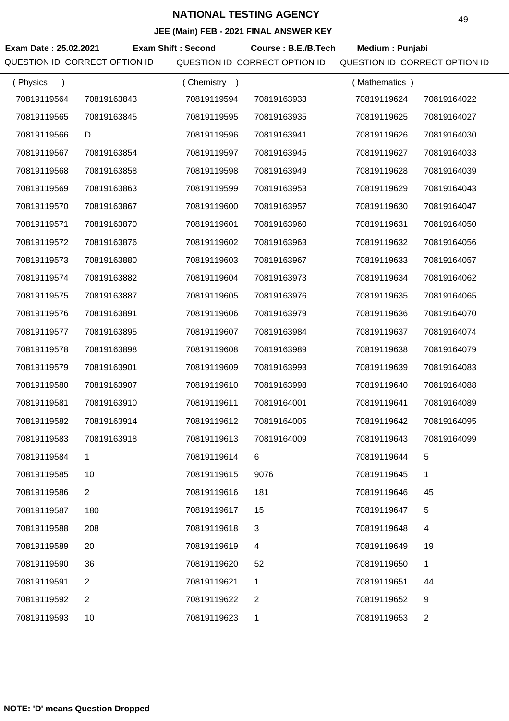**JEE (Main) FEB - 2021 FINAL ANSWER KEY**

|                       |                               |                           | $\overline{C}$ (mail) $\overline{C}$ = $\overline{C}$ = $\overline{C}$ = $\overline{C}$ = $\overline{C}$ = $\overline{C}$ = $\overline{C}$ = $\overline{C}$ = $\overline{C}$ = $\overline{C}$ = $\overline{C}$ = $\overline{C}$ = $\overline{C}$ = $\overline{C}$ = $\overline{C}$ = $\overline{C}$ = $\overline{C}$ = $\overline{C}$ = $\overline{C}$ |                               |                |
|-----------------------|-------------------------------|---------------------------|--------------------------------------------------------------------------------------------------------------------------------------------------------------------------------------------------------------------------------------------------------------------------------------------------------------------------------------------------------|-------------------------------|----------------|
| Exam Date: 25.02.2021 |                               | <b>Exam Shift: Second</b> | Course: B.E./B.Tech                                                                                                                                                                                                                                                                                                                                    | Medium: Punjabi               |                |
|                       | QUESTION ID CORRECT OPTION ID |                           | QUESTION ID CORRECT OPTION ID                                                                                                                                                                                                                                                                                                                          | QUESTION ID CORRECT OPTION ID |                |
| (Physics<br>$\lambda$ |                               | (Chemistry)               |                                                                                                                                                                                                                                                                                                                                                        | (Mathematics)                 |                |
| 70819119564           | 70819163843                   | 70819119594               | 70819163933                                                                                                                                                                                                                                                                                                                                            | 70819119624                   | 70819164022    |
| 70819119565           | 70819163845                   | 70819119595               | 70819163935                                                                                                                                                                                                                                                                                                                                            | 70819119625                   | 70819164027    |
| 70819119566           | D                             | 70819119596               | 70819163941                                                                                                                                                                                                                                                                                                                                            | 70819119626                   | 70819164030    |
| 70819119567           | 70819163854                   | 70819119597               | 70819163945                                                                                                                                                                                                                                                                                                                                            | 70819119627                   | 70819164033    |
| 70819119568           | 70819163858                   | 70819119598               | 70819163949                                                                                                                                                                                                                                                                                                                                            | 70819119628                   | 70819164039    |
| 70819119569           | 70819163863                   | 70819119599               | 70819163953                                                                                                                                                                                                                                                                                                                                            | 70819119629                   | 70819164043    |
| 70819119570           | 70819163867                   | 70819119600               | 70819163957                                                                                                                                                                                                                                                                                                                                            | 70819119630                   | 70819164047    |
| 70819119571           | 70819163870                   | 70819119601               | 70819163960                                                                                                                                                                                                                                                                                                                                            | 70819119631                   | 70819164050    |
| 70819119572           | 70819163876                   | 70819119602               | 70819163963                                                                                                                                                                                                                                                                                                                                            | 70819119632                   | 70819164056    |
| 70819119573           | 70819163880                   | 70819119603               | 70819163967                                                                                                                                                                                                                                                                                                                                            | 70819119633                   | 70819164057    |
| 70819119574           | 70819163882                   | 70819119604               | 70819163973                                                                                                                                                                                                                                                                                                                                            | 70819119634                   | 70819164062    |
| 70819119575           | 70819163887                   | 70819119605               | 70819163976                                                                                                                                                                                                                                                                                                                                            | 70819119635                   | 70819164065    |
| 70819119576           | 70819163891                   | 70819119606               | 70819163979                                                                                                                                                                                                                                                                                                                                            | 70819119636                   | 70819164070    |
| 70819119577           | 70819163895                   | 70819119607               | 70819163984                                                                                                                                                                                                                                                                                                                                            | 70819119637                   | 70819164074    |
| 70819119578           | 70819163898                   | 70819119608               | 70819163989                                                                                                                                                                                                                                                                                                                                            | 70819119638                   | 70819164079    |
| 70819119579           | 70819163901                   | 70819119609               | 70819163993                                                                                                                                                                                                                                                                                                                                            | 70819119639                   | 70819164083    |
| 70819119580           | 70819163907                   | 70819119610               | 70819163998                                                                                                                                                                                                                                                                                                                                            | 70819119640                   | 70819164088    |
| 70819119581           | 70819163910                   | 70819119611               | 70819164001                                                                                                                                                                                                                                                                                                                                            | 70819119641                   | 70819164089    |
| 70819119582           | 70819163914                   | 70819119612               | 70819164005                                                                                                                                                                                                                                                                                                                                            | 70819119642                   | 70819164095    |
| 70819119583           | 70819163918                   | 70819119613               | 70819164009                                                                                                                                                                                                                                                                                                                                            | 70819119643                   | 70819164099    |
| 70819119584           | 1                             | 70819119614               | 6                                                                                                                                                                                                                                                                                                                                                      | 70819119644                   | 5              |
| 70819119585           | 10                            | 70819119615               | 9076                                                                                                                                                                                                                                                                                                                                                   | 70819119645                   | 1              |
| 70819119586           | $\overline{2}$                | 70819119616               | 181                                                                                                                                                                                                                                                                                                                                                    | 70819119646                   | 45             |
| 70819119587           | 180                           | 70819119617               | 15                                                                                                                                                                                                                                                                                                                                                     | 70819119647                   | 5              |
| 70819119588           | 208                           | 70819119618               | 3                                                                                                                                                                                                                                                                                                                                                      | 70819119648                   | 4              |
| 70819119589           | 20                            | 70819119619               | 4                                                                                                                                                                                                                                                                                                                                                      | 70819119649                   | 19             |
| 70819119590           | 36                            | 70819119620               | 52                                                                                                                                                                                                                                                                                                                                                     | 70819119650                   | 1              |
| 70819119591           | $\overline{2}$                | 70819119621               | 1                                                                                                                                                                                                                                                                                                                                                      | 70819119651                   | 44             |
| 70819119592           | $\overline{2}$                | 70819119622               | $\overline{2}$                                                                                                                                                                                                                                                                                                                                         | 70819119652                   | 9              |
| 70819119593           | 10                            | 70819119623               | 1                                                                                                                                                                                                                                                                                                                                                      | 70819119653                   | $\overline{2}$ |
|                       |                               |                           |                                                                                                                                                                                                                                                                                                                                                        |                               |                |

**NOTE: 'D' means Question Dropped**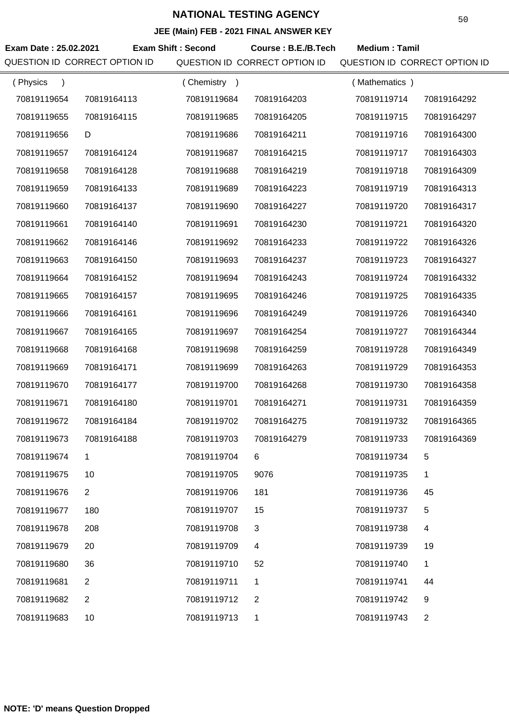|                       |                               |                           | <b>JLL (Maill) I LD - ZUZ I I INAL ANJWER RET</b> |                               |                |
|-----------------------|-------------------------------|---------------------------|---------------------------------------------------|-------------------------------|----------------|
| Exam Date: 25.02.2021 |                               | <b>Exam Shift: Second</b> | Course: B.E./B.Tech                               | <b>Medium: Tamil</b>          |                |
|                       | QUESTION ID CORRECT OPTION ID |                           | QUESTION ID CORRECT OPTION ID                     | QUESTION ID CORRECT OPTION ID |                |
| (Physics<br>$\lambda$ |                               | (Chemistry)               |                                                   | (Mathematics)                 |                |
| 70819119654           | 70819164113                   | 70819119684               | 70819164203                                       | 70819119714                   | 70819164292    |
| 70819119655           | 70819164115                   | 70819119685               | 70819164205                                       | 70819119715                   | 70819164297    |
| 70819119656           | D                             | 70819119686               | 70819164211                                       | 70819119716                   | 70819164300    |
| 70819119657           | 70819164124                   | 70819119687               | 70819164215                                       | 70819119717                   | 70819164303    |
| 70819119658           | 70819164128                   | 70819119688               | 70819164219                                       | 70819119718                   | 70819164309    |
| 70819119659           | 70819164133                   | 70819119689               | 70819164223                                       | 70819119719                   | 70819164313    |
| 70819119660           | 70819164137                   | 70819119690               | 70819164227                                       | 70819119720                   | 70819164317    |
| 70819119661           | 70819164140                   | 70819119691               | 70819164230                                       | 70819119721                   | 70819164320    |
| 70819119662           | 70819164146                   | 70819119692               | 70819164233                                       | 70819119722                   | 70819164326    |
| 70819119663           | 70819164150                   | 70819119693               | 70819164237                                       | 70819119723                   | 70819164327    |
| 70819119664           | 70819164152                   | 70819119694               | 70819164243                                       | 70819119724                   | 70819164332    |
| 70819119665           | 70819164157                   | 70819119695               | 70819164246                                       | 70819119725                   | 70819164335    |
| 70819119666           | 70819164161                   | 70819119696               | 70819164249                                       | 70819119726                   | 70819164340    |
| 70819119667           | 70819164165                   | 70819119697               | 70819164254                                       | 70819119727                   | 70819164344    |
| 70819119668           | 70819164168                   | 70819119698               | 70819164259                                       | 70819119728                   | 70819164349    |
| 70819119669           | 70819164171                   | 70819119699               | 70819164263                                       | 70819119729                   | 70819164353    |
| 70819119670           | 70819164177                   | 70819119700               | 70819164268                                       | 70819119730                   | 70819164358    |
| 70819119671           | 70819164180                   | 70819119701               | 70819164271                                       | 70819119731                   | 70819164359    |
| 70819119672           | 70819164184                   | 70819119702               | 70819164275                                       | 70819119732                   | 70819164365    |
| 70819119673           | 70819164188                   | 70819119703               | 70819164279                                       | 70819119733                   | 70819164369    |
| 70819119674           | 1.                            | 70819119704               | 6                                                 | 70819119734                   | 5              |
| 70819119675           | 10                            | 70819119705               | 9076                                              | 70819119735                   | 1              |
| 70819119676           | $\overline{2}$                | 70819119706               | 181                                               | 70819119736                   | 45             |
| 70819119677           | 180                           | 70819119707               | 15                                                | 70819119737                   | 5              |
| 70819119678           | 208                           | 70819119708               | 3                                                 | 70819119738                   | 4              |
| 70819119679           | 20                            | 70819119709               | 4                                                 | 70819119739                   | 19             |
| 70819119680           | 36                            | 70819119710               | 52                                                | 70819119740                   | 1              |
| 70819119681           | $\overline{2}$                | 70819119711               | 1                                                 | 70819119741                   | 44             |
| 70819119682           | 2                             | 70819119712               | 2                                                 | 70819119742                   | 9              |
| 70819119683           | 10                            | 70819119713               | 1                                                 | 70819119743                   | $\overline{2}$ |
|                       |                               |                           |                                                   |                               |                |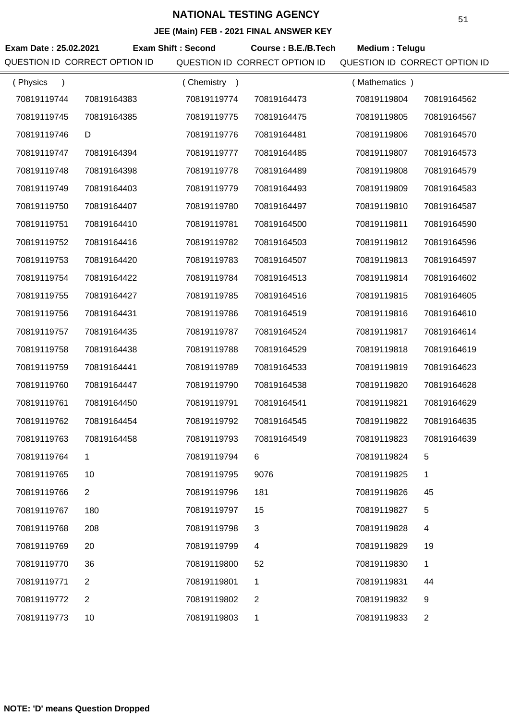**JEE (Main) FEB - 2021 FINAL ANSWER KEY**

| Exam Date: 25.02.2021<br>QUESTION ID CORRECT OPTION ID |                  | <b>Exam Shift: Second</b>  | Course: B.E./B.Tech<br>QUESTION ID CORRECT OPTION ID | Medium: Telugu<br>QUESTION ID CORRECT OPTION ID |                |
|--------------------------------------------------------|------------------|----------------------------|------------------------------------------------------|-------------------------------------------------|----------------|
|                                                        |                  |                            |                                                      |                                                 |                |
| (Physics<br>$\lambda$<br>70819119744                   | 70819164383      | (Chemistry)<br>70819119774 | 70819164473                                          | (Mathematics)<br>70819119804                    | 70819164562    |
| 70819119745                                            | 70819164385      | 70819119775                | 70819164475                                          | 70819119805                                     | 70819164567    |
| 70819119746                                            |                  | 70819119776                |                                                      | 70819119806                                     | 70819164570    |
| 70819119747                                            | D<br>70819164394 | 70819119777                | 70819164481<br>70819164485                           | 70819119807                                     | 70819164573    |
| 70819119748                                            | 70819164398      | 70819119778                | 70819164489                                          | 70819119808                                     | 70819164579    |
|                                                        |                  |                            |                                                      |                                                 |                |
| 70819119749                                            | 70819164403      | 70819119779                | 70819164493                                          | 70819119809                                     | 70819164583    |
| 70819119750                                            | 70819164407      | 70819119780                | 70819164497                                          | 70819119810                                     | 70819164587    |
| 70819119751                                            | 70819164410      | 70819119781                | 70819164500                                          | 70819119811                                     | 70819164590    |
| 70819119752                                            | 70819164416      | 70819119782                | 70819164503                                          | 70819119812                                     | 70819164596    |
| 70819119753                                            | 70819164420      | 70819119783                | 70819164507                                          | 70819119813                                     | 70819164597    |
| 70819119754                                            | 70819164422      | 70819119784                | 70819164513                                          | 70819119814                                     | 70819164602    |
| 70819119755                                            | 70819164427      | 70819119785                | 70819164516                                          | 70819119815                                     | 70819164605    |
| 70819119756                                            | 70819164431      | 70819119786                | 70819164519                                          | 70819119816                                     | 70819164610    |
| 70819119757                                            | 70819164435      | 70819119787                | 70819164524                                          | 70819119817                                     | 70819164614    |
| 70819119758                                            | 70819164438      | 70819119788                | 70819164529                                          | 70819119818                                     | 70819164619    |
| 70819119759                                            | 70819164441      | 70819119789                | 70819164533                                          | 70819119819                                     | 70819164623    |
| 70819119760                                            | 70819164447      | 70819119790                | 70819164538                                          | 70819119820                                     | 70819164628    |
| 70819119761                                            | 70819164450      | 70819119791                | 70819164541                                          | 70819119821                                     | 70819164629    |
| 70819119762                                            | 70819164454      | 70819119792                | 70819164545                                          | 70819119822                                     | 70819164635    |
| 70819119763                                            | 70819164458      | 70819119793                | 70819164549                                          | 70819119823                                     | 70819164639    |
| 70819119764                                            | 1                | 70819119794                | 6                                                    | 70819119824                                     | 5              |
| 70819119765                                            | 10               | 70819119795                | 9076                                                 | 70819119825                                     | 1              |
| 70819119766                                            | $\overline{2}$   | 70819119796                | 181                                                  | 70819119826                                     | 45             |
| 70819119767                                            | 180              | 70819119797                | 15                                                   | 70819119827                                     | 5              |
| 70819119768                                            | 208              | 70819119798                | 3                                                    | 70819119828                                     | 4              |
| 70819119769                                            | 20               | 70819119799                | 4                                                    | 70819119829                                     | 19             |
| 70819119770                                            | 36               | 70819119800                | 52                                                   | 70819119830                                     | 1              |
| 70819119771                                            | $\overline{2}$   | 70819119801                | 1                                                    | 70819119831                                     | 44             |
| 70819119772                                            | $\overline{2}$   | 70819119802                | 2                                                    | 70819119832                                     | 9              |
| 70819119773                                            | 10               | 70819119803                | 1                                                    | 70819119833                                     | $\overline{2}$ |
|                                                        |                  |                            |                                                      |                                                 |                |

**NOTE: 'D' means Question Dropped**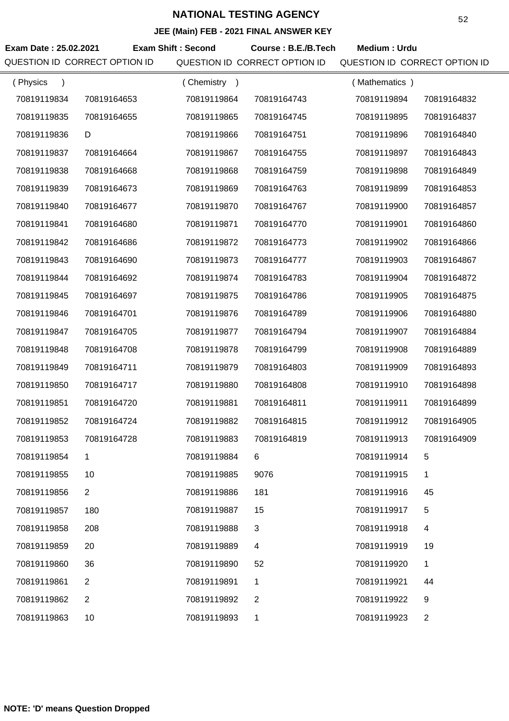|                       |                               |                           | <b>JLL (Maill) I LD - ZUZ I I INAL ANJWER RET</b> |                               |                |
|-----------------------|-------------------------------|---------------------------|---------------------------------------------------|-------------------------------|----------------|
| Exam Date: 25.02.2021 |                               | <b>Exam Shift: Second</b> | Course: B.E./B.Tech                               | Medium: Urdu                  |                |
|                       | QUESTION ID CORRECT OPTION ID |                           | QUESTION ID CORRECT OPTION ID                     | QUESTION ID CORRECT OPTION ID |                |
| (Physics<br>$\lambda$ |                               | (Chemistry)               |                                                   | (Mathematics)                 |                |
| 70819119834           | 70819164653                   | 70819119864               | 70819164743                                       | 70819119894                   | 70819164832    |
| 70819119835           | 70819164655                   | 70819119865               | 70819164745                                       | 70819119895                   | 70819164837    |
| 70819119836           | D                             | 70819119866               | 70819164751                                       | 70819119896                   | 70819164840    |
| 70819119837           | 70819164664                   | 70819119867               | 70819164755                                       | 70819119897                   | 70819164843    |
| 70819119838           | 70819164668                   | 70819119868               | 70819164759                                       | 70819119898                   | 70819164849    |
| 70819119839           | 70819164673                   | 70819119869               | 70819164763                                       | 70819119899                   | 70819164853    |
| 70819119840           | 70819164677                   | 70819119870               | 70819164767                                       | 70819119900                   | 70819164857    |
| 70819119841           | 70819164680                   | 70819119871               | 70819164770                                       | 70819119901                   | 70819164860    |
| 70819119842           | 70819164686                   | 70819119872               | 70819164773                                       | 70819119902                   | 70819164866    |
| 70819119843           | 70819164690                   | 70819119873               | 70819164777                                       | 70819119903                   | 70819164867    |
| 70819119844           | 70819164692                   | 70819119874               | 70819164783                                       | 70819119904                   | 70819164872    |
| 70819119845           | 70819164697                   | 70819119875               | 70819164786                                       | 70819119905                   | 70819164875    |
| 70819119846           | 70819164701                   | 70819119876               | 70819164789                                       | 70819119906                   | 70819164880    |
| 70819119847           | 70819164705                   | 70819119877               | 70819164794                                       | 70819119907                   | 70819164884    |
| 70819119848           | 70819164708                   | 70819119878               | 70819164799                                       | 70819119908                   | 70819164889    |
| 70819119849           | 70819164711                   | 70819119879               | 70819164803                                       | 70819119909                   | 70819164893    |
| 70819119850           | 70819164717                   | 70819119880               | 70819164808                                       | 70819119910                   | 70819164898    |
| 70819119851           | 70819164720                   | 70819119881               | 70819164811                                       | 70819119911                   | 70819164899    |
| 70819119852           | 70819164724                   | 70819119882               | 70819164815                                       | 70819119912                   | 70819164905    |
| 70819119853           | 70819164728                   | 70819119883               | 70819164819                                       | 70819119913                   | 70819164909    |
| 70819119854           | 1.                            | 70819119884               | 6                                                 | 70819119914                   | 5              |
| 70819119855           | 10                            | 70819119885               | 9076                                              | 70819119915                   | 1              |
| 70819119856           | $\overline{2}$                | 70819119886               | 181                                               | 70819119916                   | 45             |
| 70819119857           | 180                           | 70819119887               | 15                                                | 70819119917                   | 5              |
| 70819119858           | 208                           | 70819119888               | 3                                                 | 70819119918                   | 4              |
| 70819119859           | 20                            | 70819119889               | 4                                                 | 70819119919                   | 19             |
| 70819119860           | 36                            | 70819119890               | 52                                                | 70819119920                   | 1              |
| 70819119861           | $\overline{2}$                | 70819119891               | 1                                                 | 70819119921                   | 44             |
| 70819119862           | 2                             | 70819119892               | 2                                                 | 70819119922                   | 9              |
| 70819119863           | 10                            | 70819119893               | 1                                                 | 70819119923                   | $\overline{2}$ |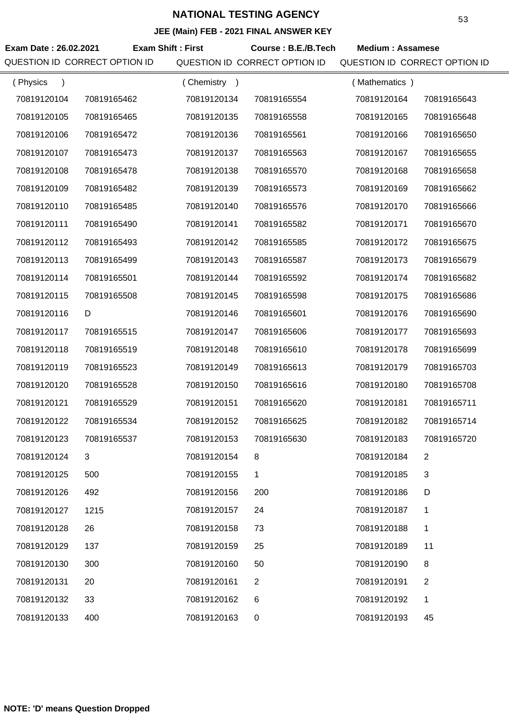| Exam Date: 26.02.2021<br>QUESTION ID CORRECT OPTION ID | <b>Exam Shift: First</b> |             | Course: B.E./B.Tech<br>QUESTION ID CORRECT OPTION ID | <b>Medium: Assamese</b><br>QUESTION ID CORRECT OPTION ID |                |
|--------------------------------------------------------|--------------------------|-------------|------------------------------------------------------|----------------------------------------------------------|----------------|
| (Physics<br>$\lambda$                                  |                          | (Chemistry) |                                                      | (Mathematics)                                            |                |
| 70819120104                                            | 70819165462              | 70819120134 | 70819165554                                          | 70819120164                                              | 70819165643    |
| 70819120105                                            | 70819165465              | 70819120135 | 70819165558                                          | 70819120165                                              | 70819165648    |
| 70819120106                                            | 70819165472              | 70819120136 | 70819165561                                          | 70819120166                                              | 70819165650    |
| 70819120107                                            | 70819165473              | 70819120137 | 70819165563                                          | 70819120167                                              | 70819165655    |
| 70819120108                                            | 70819165478              | 70819120138 | 70819165570                                          | 70819120168                                              | 70819165658    |
| 70819120109                                            | 70819165482              | 70819120139 | 70819165573                                          | 70819120169                                              | 70819165662    |
| 70819120110                                            | 70819165485              | 70819120140 | 70819165576                                          | 70819120170                                              | 70819165666    |
| 70819120111                                            | 70819165490              | 70819120141 | 70819165582                                          | 70819120171                                              | 70819165670    |
| 70819120112                                            | 70819165493              | 70819120142 | 70819165585                                          | 70819120172                                              | 70819165675    |
| 70819120113                                            | 70819165499              | 70819120143 | 70819165587                                          | 70819120173                                              | 70819165679    |
| 70819120114                                            | 70819165501              | 70819120144 | 70819165592                                          | 70819120174                                              | 70819165682    |
| 70819120115                                            | 70819165508              | 70819120145 | 70819165598                                          | 70819120175                                              | 70819165686    |
| 70819120116                                            | D                        | 70819120146 | 70819165601                                          | 70819120176                                              | 70819165690    |
| 70819120117                                            | 70819165515              | 70819120147 | 70819165606                                          | 70819120177                                              | 70819165693    |
| 70819120118                                            | 70819165519              | 70819120148 | 70819165610                                          | 70819120178                                              | 70819165699    |
| 70819120119                                            | 70819165523              | 70819120149 | 70819165613                                          | 70819120179                                              | 70819165703    |
| 70819120120                                            | 70819165528              | 70819120150 | 70819165616                                          | 70819120180                                              | 70819165708    |
| 70819120121                                            | 70819165529              | 70819120151 | 70819165620                                          | 70819120181                                              | 70819165711    |
| 70819120122                                            | 70819165534              | 70819120152 | 70819165625                                          | 70819120182                                              | 70819165714    |
| 70819120123                                            | 70819165537              | 70819120153 | 70819165630                                          | 70819120183                                              | 70819165720    |
| 70819120124                                            | 3                        | 70819120154 | 8                                                    | 70819120184                                              | $\overline{2}$ |
| 70819120125                                            | 500                      | 70819120155 | 1                                                    | 70819120185                                              | $\mathfrak{S}$ |
| 70819120126                                            | 492                      | 70819120156 | 200                                                  | 70819120186                                              | D              |
| 70819120127                                            | 1215                     | 70819120157 | 24                                                   | 70819120187                                              | 1              |
| 70819120128                                            | 26                       | 70819120158 | 73                                                   | 70819120188                                              | 1              |
| 70819120129                                            | 137                      | 70819120159 | 25                                                   | 70819120189                                              | 11             |
| 70819120130                                            | 300                      | 70819120160 | 50                                                   | 70819120190                                              | 8              |
| 70819120131                                            | 20                       | 70819120161 | $\overline{2}$                                       | 70819120191                                              | 2              |
| 70819120132                                            | 33                       | 70819120162 | 6                                                    | 70819120192                                              | 1              |
| 70819120133                                            | 400                      | 70819120163 | 0                                                    | 70819120193                                              | 45             |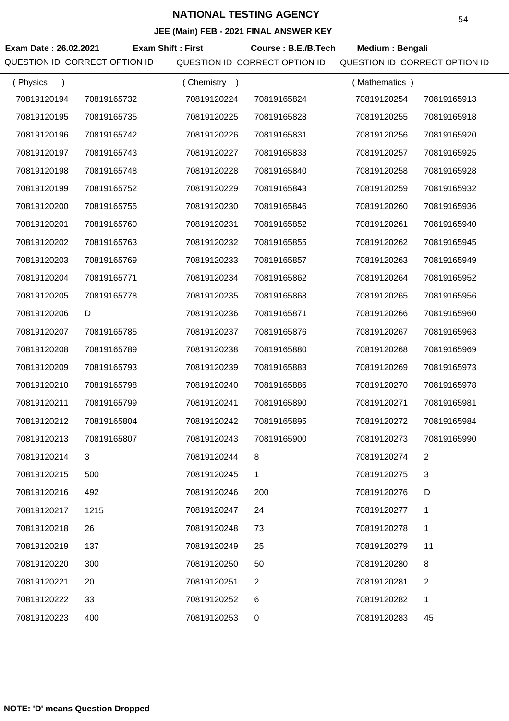| Exam Date: 26.02.2021<br>QUESTION ID CORRECT OPTION ID | <b>Exam Shift: First</b> |             | Course: B.E./B.Tech<br>QUESTION ID CORRECT OPTION ID | Medium: Bengali<br>QUESTION ID CORRECT OPTION ID |                |
|--------------------------------------------------------|--------------------------|-------------|------------------------------------------------------|--------------------------------------------------|----------------|
| (Physics<br>$\lambda$                                  |                          | (Chemistry) |                                                      | (Mathematics)                                    |                |
| 70819120194                                            | 70819165732              | 70819120224 | 70819165824                                          | 70819120254                                      | 70819165913    |
| 70819120195                                            | 70819165735              | 70819120225 | 70819165828                                          | 70819120255                                      | 70819165918    |
| 70819120196                                            | 70819165742              | 70819120226 | 70819165831                                          | 70819120256                                      | 70819165920    |
| 70819120197                                            | 70819165743              | 70819120227 | 70819165833                                          | 70819120257                                      | 70819165925    |
| 70819120198                                            | 70819165748              | 70819120228 | 70819165840                                          | 70819120258                                      | 70819165928    |
| 70819120199                                            | 70819165752              | 70819120229 | 70819165843                                          | 70819120259                                      | 70819165932    |
| 70819120200                                            | 70819165755              | 70819120230 | 70819165846                                          | 70819120260                                      | 70819165936    |
| 70819120201                                            | 70819165760              | 70819120231 | 70819165852                                          | 70819120261                                      | 70819165940    |
| 70819120202                                            | 70819165763              | 70819120232 | 70819165855                                          | 70819120262                                      | 70819165945    |
| 70819120203                                            | 70819165769              | 70819120233 | 70819165857                                          | 70819120263                                      | 70819165949    |
| 70819120204                                            | 70819165771              | 70819120234 | 70819165862                                          | 70819120264                                      | 70819165952    |
| 70819120205                                            | 70819165778              | 70819120235 | 70819165868                                          | 70819120265                                      | 70819165956    |
| 70819120206                                            | D                        | 70819120236 | 70819165871                                          | 70819120266                                      | 70819165960    |
| 70819120207                                            | 70819165785              | 70819120237 | 70819165876                                          | 70819120267                                      | 70819165963    |
| 70819120208                                            | 70819165789              | 70819120238 | 70819165880                                          | 70819120268                                      | 70819165969    |
| 70819120209                                            | 70819165793              | 70819120239 | 70819165883                                          | 70819120269                                      | 70819165973    |
| 70819120210                                            | 70819165798              | 70819120240 | 70819165886                                          | 70819120270                                      | 70819165978    |
| 70819120211                                            | 70819165799              | 70819120241 | 70819165890                                          | 70819120271                                      | 70819165981    |
| 70819120212                                            | 70819165804              | 70819120242 | 70819165895                                          | 70819120272                                      | 70819165984    |
| 70819120213                                            | 70819165807              | 70819120243 | 70819165900                                          | 70819120273                                      | 70819165990    |
| 70819120214                                            | 3                        | 70819120244 | 8                                                    | 70819120274                                      | 2              |
| 70819120215                                            | 500                      | 70819120245 | 1                                                    | 70819120275                                      | 3              |
| 70819120216                                            | 492                      | 70819120246 | 200                                                  | 70819120276                                      | D              |
| 70819120217                                            | 1215                     | 70819120247 | 24                                                   | 70819120277                                      | 1              |
| 70819120218                                            | 26                       | 70819120248 | 73                                                   | 70819120278                                      | 1              |
| 70819120219                                            | 137                      | 70819120249 | 25                                                   | 70819120279                                      | 11             |
| 70819120220                                            | 300                      | 70819120250 | 50                                                   | 70819120280                                      | 8              |
| 70819120221                                            | 20                       | 70819120251 | $\overline{2}$                                       | 70819120281                                      | $\overline{2}$ |
| 70819120222                                            | 33                       | 70819120252 | 6                                                    | 70819120282                                      | 1              |
| 70819120223                                            | 400                      | 70819120253 | 0                                                    | 70819120283                                      | 45             |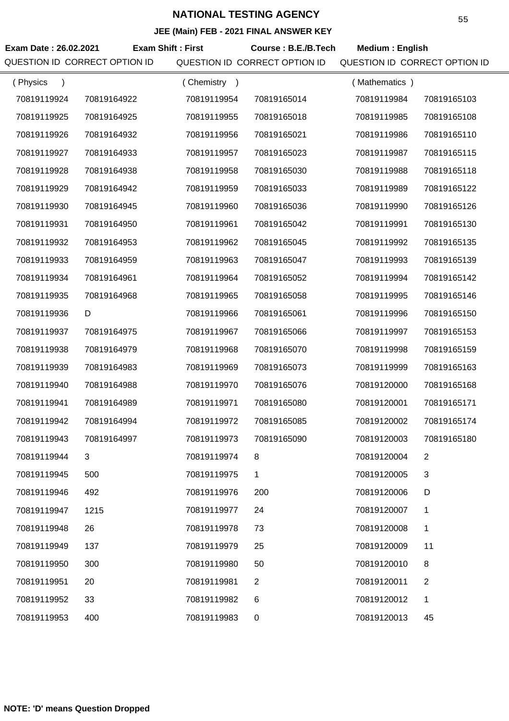| Exam Date: 26.02.2021<br>QUESTION ID CORRECT OPTION ID | <b>Exam Shift: First</b> |             | Course: B.E./B.Tech<br>QUESTION ID CORRECT OPTION ID | <b>Medium: English</b><br>QUESTION ID CORRECT OPTION ID |                |
|--------------------------------------------------------|--------------------------|-------------|------------------------------------------------------|---------------------------------------------------------|----------------|
| (Physics<br>$\lambda$                                  |                          | (Chemistry) |                                                      | (Mathematics)                                           |                |
| 70819119924                                            | 70819164922              | 70819119954 | 70819165014                                          | 70819119984                                             | 70819165103    |
| 70819119925                                            | 70819164925              | 70819119955 | 70819165018                                          | 70819119985                                             | 70819165108    |
| 70819119926                                            | 70819164932              | 70819119956 | 70819165021                                          | 70819119986                                             | 70819165110    |
| 70819119927                                            | 70819164933              | 70819119957 | 70819165023                                          | 70819119987                                             | 70819165115    |
| 70819119928                                            | 70819164938              | 70819119958 | 70819165030                                          | 70819119988                                             | 70819165118    |
| 70819119929                                            | 70819164942              | 70819119959 | 70819165033                                          | 70819119989                                             | 70819165122    |
| 70819119930                                            | 70819164945              | 70819119960 | 70819165036                                          | 70819119990                                             | 70819165126    |
| 70819119931                                            | 70819164950              | 70819119961 | 70819165042                                          | 70819119991                                             | 70819165130    |
| 70819119932                                            | 70819164953              | 70819119962 | 70819165045                                          | 70819119992                                             | 70819165135    |
| 70819119933                                            | 70819164959              | 70819119963 | 70819165047                                          | 70819119993                                             | 70819165139    |
| 70819119934                                            | 70819164961              | 70819119964 | 70819165052                                          | 70819119994                                             | 70819165142    |
| 70819119935                                            | 70819164968              | 70819119965 | 70819165058                                          | 70819119995                                             | 70819165146    |
| 70819119936                                            | D                        | 70819119966 | 70819165061                                          | 70819119996                                             | 70819165150    |
| 70819119937                                            | 70819164975              | 70819119967 | 70819165066                                          | 70819119997                                             | 70819165153    |
| 70819119938                                            | 70819164979              | 70819119968 | 70819165070                                          | 70819119998                                             | 70819165159    |
| 70819119939                                            | 70819164983              | 70819119969 | 70819165073                                          | 70819119999                                             | 70819165163    |
| 70819119940                                            | 70819164988              | 70819119970 | 70819165076                                          | 70819120000                                             | 70819165168    |
| 70819119941                                            | 70819164989              | 70819119971 | 70819165080                                          | 70819120001                                             | 70819165171    |
| 70819119942                                            | 70819164994              | 70819119972 | 70819165085                                          | 70819120002                                             | 70819165174    |
| 70819119943                                            | 70819164997              | 70819119973 | 70819165090                                          | 70819120003                                             | 70819165180    |
| 70819119944                                            | 3                        | 70819119974 | 8                                                    | 70819120004                                             | $\overline{2}$ |
| 70819119945                                            | 500                      | 70819119975 | 1                                                    | 70819120005                                             | 3              |
| 70819119946                                            | 492                      | 70819119976 | 200                                                  | 70819120006                                             | D              |
| 70819119947                                            | 1215                     | 70819119977 | 24                                                   | 70819120007                                             | 1              |
| 70819119948                                            | 26                       | 70819119978 | 73                                                   | 70819120008                                             | 1              |
| 70819119949                                            | 137                      | 70819119979 | 25                                                   | 70819120009                                             | 11             |
| 70819119950                                            | 300                      | 70819119980 | 50                                                   | 70819120010                                             | 8              |
| 70819119951                                            | 20                       | 70819119981 | $\overline{2}$                                       | 70819120011                                             | $\overline{2}$ |
| 70819119952                                            | 33                       | 70819119982 | 6                                                    | 70819120012                                             | 1              |
| 70819119953                                            | 400                      | 70819119983 | 0                                                    | 70819120013                                             | 45             |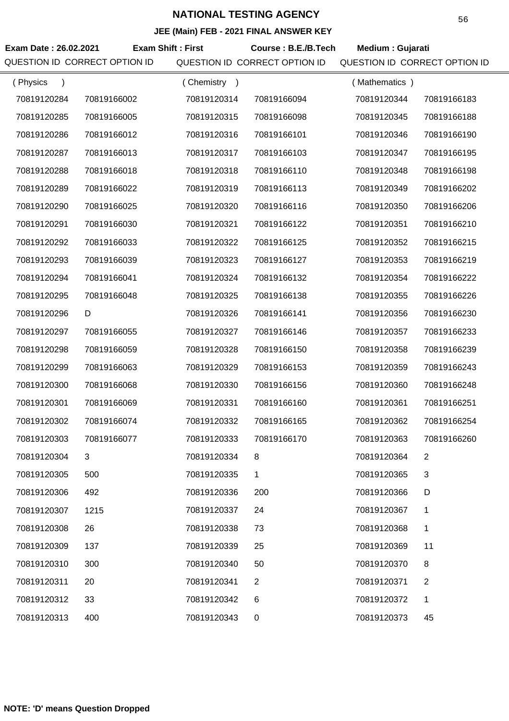| Exam Date: 26.02.2021     | QUESTION ID CORRECT OPTION ID | <b>Exam Shift: First</b> | Course: B.E./B.Tech<br>QUESTION ID CORRECT OPTION ID | Medium : Gujarati<br>QUESTION ID CORRECT OPTION ID |                |
|---------------------------|-------------------------------|--------------------------|------------------------------------------------------|----------------------------------------------------|----------------|
| (Physics<br>$\rightarrow$ |                               | (Chemistry)              |                                                      | (Mathematics)                                      |                |
| 70819120284               | 70819166002                   | 70819120314              | 70819166094                                          | 70819120344                                        | 70819166183    |
| 70819120285               | 70819166005                   | 70819120315              | 70819166098                                          | 70819120345                                        | 70819166188    |
| 70819120286               | 70819166012                   | 70819120316              | 70819166101                                          | 70819120346                                        | 70819166190    |
| 70819120287               | 70819166013                   | 70819120317              | 70819166103                                          | 70819120347                                        | 70819166195    |
| 70819120288               | 70819166018                   | 70819120318              | 70819166110                                          | 70819120348                                        | 70819166198    |
|                           |                               |                          |                                                      |                                                    |                |
| 70819120289               | 70819166022                   | 70819120319              | 70819166113                                          | 70819120349                                        | 70819166202    |
| 70819120290               | 70819166025                   | 70819120320              | 70819166116                                          | 70819120350                                        | 70819166206    |
| 70819120291               | 70819166030                   | 70819120321              | 70819166122                                          | 70819120351                                        | 70819166210    |
| 70819120292               | 70819166033                   | 70819120322              | 70819166125                                          | 70819120352                                        | 70819166215    |
| 70819120293               | 70819166039                   | 70819120323              | 70819166127                                          | 70819120353                                        | 70819166219    |
| 70819120294               | 70819166041                   | 70819120324              | 70819166132                                          | 70819120354                                        | 70819166222    |
| 70819120295               | 70819166048                   | 70819120325              | 70819166138                                          | 70819120355                                        | 70819166226    |
| 70819120296               | D                             | 70819120326              | 70819166141                                          | 70819120356                                        | 70819166230    |
| 70819120297               | 70819166055                   | 70819120327              | 70819166146                                          | 70819120357                                        | 70819166233    |
| 70819120298               | 70819166059                   | 70819120328              | 70819166150                                          | 70819120358                                        | 70819166239    |
| 70819120299               | 70819166063                   | 70819120329              | 70819166153                                          | 70819120359                                        | 70819166243    |
| 70819120300               | 70819166068                   | 70819120330              | 70819166156                                          | 70819120360                                        | 70819166248    |
| 70819120301               | 70819166069                   | 70819120331              | 70819166160                                          | 70819120361                                        | 70819166251    |
| 70819120302               | 70819166074                   | 70819120332              | 70819166165                                          | 70819120362                                        | 70819166254    |
| 70819120303               | 70819166077                   | 70819120333              | 70819166170                                          | 70819120363                                        | 70819166260    |
| 70819120304               | 3                             | 70819120334              | 8                                                    | 70819120364                                        | $\overline{2}$ |
| 70819120305               | 500                           | 70819120335              | 1                                                    | 70819120365                                        | $\mathbf{3}$   |
| 70819120306               | 492                           | 70819120336              | 200                                                  | 70819120366                                        | D              |
| 70819120307               | 1215                          | 70819120337              | 24                                                   | 70819120367                                        | 1              |
| 70819120308               | 26                            | 70819120338              | 73                                                   | 70819120368                                        | 1              |
| 70819120309               | 137                           | 70819120339              | 25                                                   | 70819120369                                        | 11             |
| 70819120310               | 300                           | 70819120340              | 50                                                   | 70819120370                                        | 8              |
| 70819120311               | 20                            | 70819120341              | 2                                                    | 70819120371                                        | 2              |
| 70819120312               | 33                            | 70819120342              | 6                                                    | 70819120372                                        | 1              |
| 70819120313               | 400                           | 70819120343              | 0                                                    | 70819120373                                        | 45             |
|                           |                               |                          |                                                      |                                                    |                |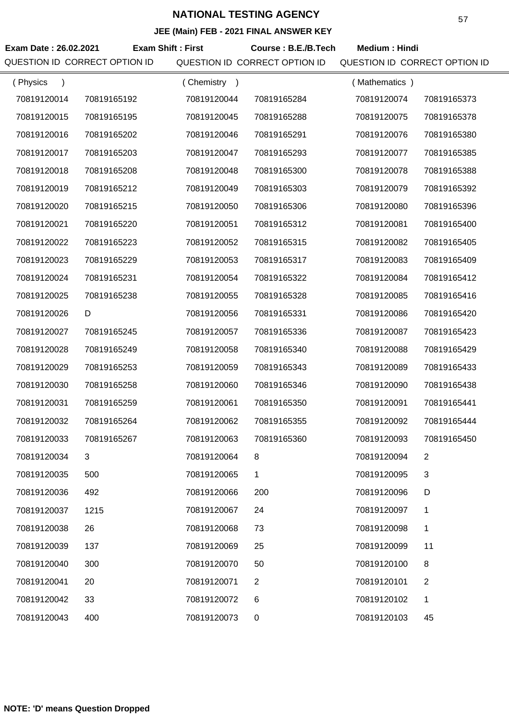### **JEE (Main) FEB - 2021 FINAL ANSWER KEY**

| Exam Date: 26.02.2021<br>QUESTION ID CORRECT OPTION ID | <b>Exam Shift: First</b> |             | Course: B.E./B.Tech<br>QUESTION ID CORRECT OPTION ID | <b>Medium: Hindi</b><br>QUESTION ID CORRECT OPTION ID |                |
|--------------------------------------------------------|--------------------------|-------------|------------------------------------------------------|-------------------------------------------------------|----------------|
| (Physics<br>$\lambda$                                  |                          | (Chemistry) |                                                      | (Mathematics)                                         |                |
| 70819120014                                            | 70819165192              | 70819120044 | 70819165284                                          | 70819120074                                           | 70819165373    |
| 70819120015                                            | 70819165195              | 70819120045 | 70819165288                                          | 70819120075                                           | 70819165378    |
| 70819120016                                            | 70819165202              | 70819120046 | 70819165291                                          | 70819120076                                           | 70819165380    |
| 70819120017                                            | 70819165203              | 70819120047 | 70819165293                                          | 70819120077                                           | 70819165385    |
| 70819120018                                            | 70819165208              | 70819120048 | 70819165300                                          | 70819120078                                           | 70819165388    |
| 70819120019                                            | 70819165212              | 70819120049 | 70819165303                                          | 70819120079                                           | 70819165392    |
| 70819120020                                            | 70819165215              | 70819120050 | 70819165306                                          | 70819120080                                           | 70819165396    |
| 70819120021                                            | 70819165220              | 70819120051 | 70819165312                                          | 70819120081                                           | 70819165400    |
| 70819120022                                            | 70819165223              | 70819120052 | 70819165315                                          | 70819120082                                           | 70819165405    |
| 70819120023                                            | 70819165229              | 70819120053 | 70819165317                                          | 70819120083                                           | 70819165409    |
| 70819120024                                            | 70819165231              | 70819120054 | 70819165322                                          | 70819120084                                           | 70819165412    |
| 70819120025                                            | 70819165238              | 70819120055 | 70819165328                                          | 70819120085                                           | 70819165416    |
| 70819120026                                            | D                        | 70819120056 | 70819165331                                          | 70819120086                                           | 70819165420    |
| 70819120027                                            | 70819165245              | 70819120057 | 70819165336                                          | 70819120087                                           | 70819165423    |
| 70819120028                                            | 70819165249              | 70819120058 | 70819165340                                          | 70819120088                                           | 70819165429    |
| 70819120029                                            | 70819165253              | 70819120059 | 70819165343                                          | 70819120089                                           | 70819165433    |
| 70819120030                                            | 70819165258              | 70819120060 | 70819165346                                          | 70819120090                                           | 70819165438    |
| 70819120031                                            | 70819165259              | 70819120061 | 70819165350                                          | 70819120091                                           | 70819165441    |
| 70819120032                                            | 70819165264              | 70819120062 | 70819165355                                          | 70819120092                                           | 70819165444    |
| 70819120033                                            | 70819165267              | 70819120063 | 70819165360                                          | 70819120093                                           | 70819165450    |
| 70819120034                                            | 3                        | 70819120064 | 8                                                    | 70819120094                                           | $\overline{2}$ |
| 70819120035                                            | 500                      | 70819120065 | 1                                                    | 70819120095                                           | 3              |
| 70819120036                                            | 492                      | 70819120066 | 200                                                  | 70819120096                                           | D              |
| 70819120037                                            | 1215                     | 70819120067 | 24                                                   | 70819120097                                           | 1              |
| 70819120038                                            | 26                       | 70819120068 | 73                                                   | 70819120098                                           | $\mathbf{1}$   |
| 70819120039                                            | 137                      | 70819120069 | 25                                                   | 70819120099                                           | 11             |
| 70819120040                                            | 300                      | 70819120070 | 50                                                   | 70819120100                                           | 8              |
| 70819120041                                            | 20                       | 70819120071 | 2                                                    | 70819120101                                           | 2              |
| 70819120042                                            | 33                       | 70819120072 | 6                                                    | 70819120102                                           | 1              |
| 70819120043                                            | 400                      | 70819120073 | 0                                                    | 70819120103                                           | 45             |

**NOTE: 'D' means Question Dropped**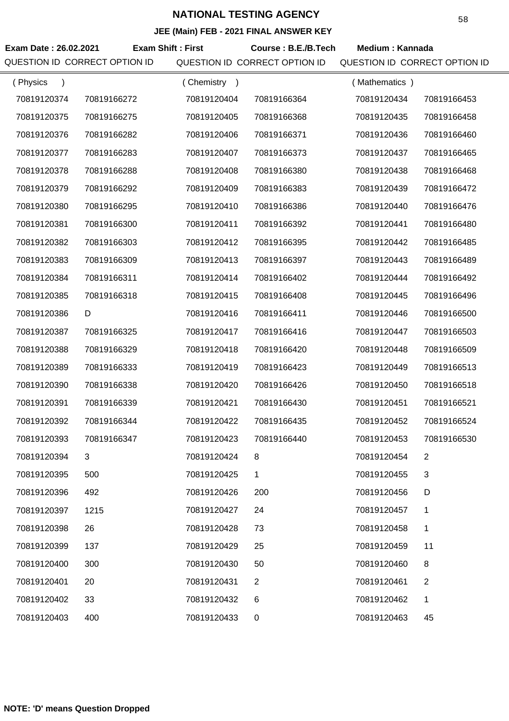| Exam Date: 26.02.2021<br>QUESTION ID CORRECT OPTION ID | <b>Exam Shift: First</b> |             | Course: B.E./B.Tech<br>QUESTION ID CORRECT OPTION ID | <b>Medium: Kannada</b><br>QUESTION ID CORRECT OPTION ID |                |
|--------------------------------------------------------|--------------------------|-------------|------------------------------------------------------|---------------------------------------------------------|----------------|
| (Physics<br>$\lambda$                                  |                          | (Chemistry) |                                                      | (Mathematics)                                           |                |
| 70819120374                                            | 70819166272              | 70819120404 | 70819166364                                          | 70819120434                                             | 70819166453    |
| 70819120375                                            | 70819166275              | 70819120405 | 70819166368                                          | 70819120435                                             | 70819166458    |
| 70819120376                                            | 70819166282              | 70819120406 | 70819166371                                          | 70819120436                                             | 70819166460    |
| 70819120377                                            | 70819166283              | 70819120407 | 70819166373                                          | 70819120437                                             | 70819166465    |
| 70819120378                                            | 70819166288              | 70819120408 | 70819166380                                          | 70819120438                                             | 70819166468    |
| 70819120379                                            | 70819166292              | 70819120409 | 70819166383                                          | 70819120439                                             | 70819166472    |
| 70819120380                                            | 70819166295              | 70819120410 | 70819166386                                          | 70819120440                                             | 70819166476    |
| 70819120381                                            | 70819166300              | 70819120411 | 70819166392                                          | 70819120441                                             | 70819166480    |
| 70819120382                                            | 70819166303              | 70819120412 | 70819166395                                          | 70819120442                                             | 70819166485    |
| 70819120383                                            | 70819166309              | 70819120413 | 70819166397                                          | 70819120443                                             | 70819166489    |
| 70819120384                                            | 70819166311              | 70819120414 | 70819166402                                          | 70819120444                                             | 70819166492    |
| 70819120385                                            | 70819166318              | 70819120415 | 70819166408                                          | 70819120445                                             | 70819166496    |
| 70819120386                                            | D                        | 70819120416 | 70819166411                                          | 70819120446                                             | 70819166500    |
| 70819120387                                            | 70819166325              | 70819120417 | 70819166416                                          | 70819120447                                             | 70819166503    |
| 70819120388                                            | 70819166329              | 70819120418 | 70819166420                                          | 70819120448                                             | 70819166509    |
| 70819120389                                            | 70819166333              | 70819120419 | 70819166423                                          | 70819120449                                             | 70819166513    |
| 70819120390                                            | 70819166338              | 70819120420 | 70819166426                                          | 70819120450                                             | 70819166518    |
| 70819120391                                            | 70819166339              | 70819120421 | 70819166430                                          | 70819120451                                             | 70819166521    |
| 70819120392                                            | 70819166344              | 70819120422 | 70819166435                                          | 70819120452                                             | 70819166524    |
| 70819120393                                            | 70819166347              | 70819120423 | 70819166440                                          | 70819120453                                             | 70819166530    |
| 70819120394                                            | 3                        | 70819120424 | 8                                                    | 70819120454                                             | 2              |
| 70819120395                                            | 500                      | 70819120425 | 1                                                    | 70819120455                                             | 3              |
| 70819120396                                            | 492                      | 70819120426 | 200                                                  | 70819120456                                             | D              |
| 70819120397                                            | 1215                     | 70819120427 | 24                                                   | 70819120457                                             | 1              |
| 70819120398                                            | 26                       | 70819120428 | 73                                                   | 70819120458                                             | 1              |
| 70819120399                                            | 137                      | 70819120429 | 25                                                   | 70819120459                                             | 11             |
| 70819120400                                            | 300                      | 70819120430 | 50                                                   | 70819120460                                             | 8              |
| 70819120401                                            | 20                       | 70819120431 | $\overline{2}$                                       | 70819120461                                             | $\overline{2}$ |
| 70819120402                                            | 33                       | 70819120432 | 6                                                    | 70819120462                                             | 1              |
| 70819120403                                            | 400                      | 70819120433 | 0                                                    | 70819120463                                             | 45             |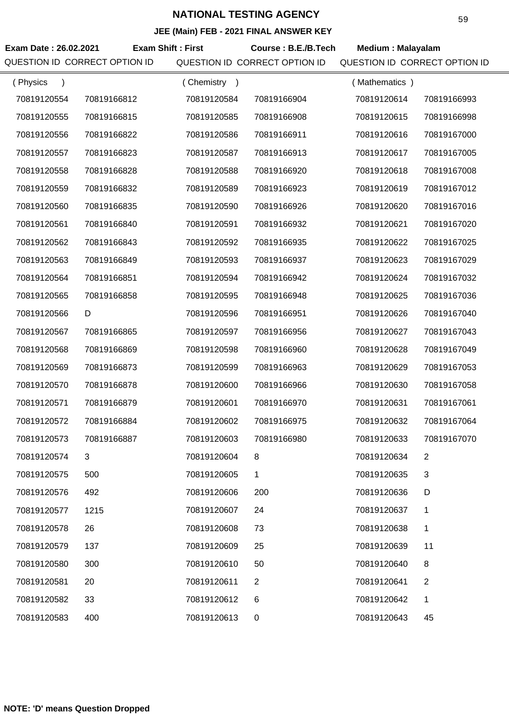| Exam Date: 26.02.2021 | QUESTION ID CORRECT OPTION ID | <b>Exam Shift: First</b> | Course: B.E./B.Tech<br>QUESTION ID CORRECT OPTION ID | <b>Medium: Malayalam</b><br>QUESTION ID CORRECT OPTION ID |                |
|-----------------------|-------------------------------|--------------------------|------------------------------------------------------|-----------------------------------------------------------|----------------|
| (Physics              |                               | (Chemistry)              |                                                      | (Mathematics)                                             |                |
| 70819120554           | 70819166812                   | 70819120584              | 70819166904                                          | 70819120614                                               | 70819166993    |
| 70819120555           | 70819166815                   | 70819120585              | 70819166908                                          | 70819120615                                               | 70819166998    |
| 70819120556           | 70819166822                   | 70819120586              | 70819166911                                          | 70819120616                                               | 70819167000    |
| 70819120557           | 70819166823                   | 70819120587              | 70819166913                                          | 70819120617                                               | 70819167005    |
| 70819120558           | 70819166828                   | 70819120588              | 70819166920                                          | 70819120618                                               | 70819167008    |
| 70819120559           | 70819166832                   | 70819120589              | 70819166923                                          | 70819120619                                               | 70819167012    |
| 70819120560           | 70819166835                   | 70819120590              | 70819166926                                          | 70819120620                                               | 70819167016    |
| 70819120561           | 70819166840                   | 70819120591              | 70819166932                                          | 70819120621                                               | 70819167020    |
| 70819120562           | 70819166843                   | 70819120592              | 70819166935                                          | 70819120622                                               | 70819167025    |
| 70819120563           | 70819166849                   | 70819120593              | 70819166937                                          | 70819120623                                               | 70819167029    |
| 70819120564           | 70819166851                   | 70819120594              | 70819166942                                          | 70819120624                                               | 70819167032    |
| 70819120565           | 70819166858                   | 70819120595              | 70819166948                                          | 70819120625                                               | 70819167036    |
| 70819120566           | D                             | 70819120596              | 70819166951                                          | 70819120626                                               | 70819167040    |
| 70819120567           | 70819166865                   | 70819120597              | 70819166956                                          | 70819120627                                               | 70819167043    |
| 70819120568           | 70819166869                   | 70819120598              | 70819166960                                          | 70819120628                                               | 70819167049    |
| 70819120569           | 70819166873                   | 70819120599              | 70819166963                                          | 70819120629                                               | 70819167053    |
| 70819120570           | 70819166878                   | 70819120600              | 70819166966                                          | 70819120630                                               | 70819167058    |
| 70819120571           | 70819166879                   | 70819120601              | 70819166970                                          | 70819120631                                               | 70819167061    |
| 70819120572           | 70819166884                   | 70819120602              | 70819166975                                          | 70819120632                                               | 70819167064    |
| 70819120573           | 70819166887                   | 70819120603              | 70819166980                                          | 70819120633                                               | 70819167070    |
| 70819120574           | 3                             | 70819120604              | 8                                                    | 70819120634                                               | $\overline{2}$ |
| 70819120575           | 500                           | 70819120605              | 1                                                    | 70819120635                                               | 3              |
| 70819120576           | 492                           | 70819120606              | 200                                                  | 70819120636                                               | D              |
| 70819120577           | 1215                          | 70819120607              | 24                                                   | 70819120637                                               | 1              |
| 70819120578           | 26                            | 70819120608              | 73                                                   | 70819120638                                               | 1              |
| 70819120579           | 137                           | 70819120609              | 25                                                   | 70819120639                                               | 11             |
| 70819120580           | 300                           | 70819120610              | 50                                                   | 70819120640                                               | 8              |
| 70819120581           | 20                            | 70819120611              | $\overline{2}$                                       | 70819120641                                               | $\overline{2}$ |
| 70819120582           | 33                            | 70819120612              | 6                                                    | 70819120642                                               | $\mathbf 1$    |
| 70819120583           | 400                           | 70819120613              | $\mathbf 0$                                          | 70819120643                                               | 45             |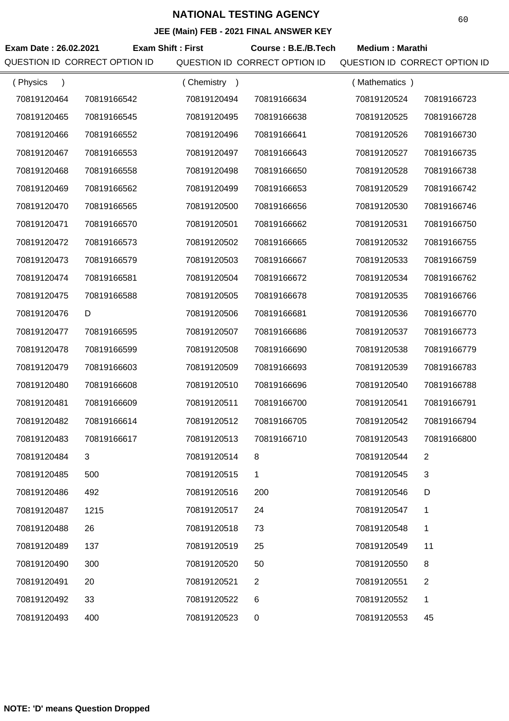| Exam Date: 26.02.2021<br>QUESTION ID CORRECT OPTION ID |             | <b>Exam Shift: First</b> | Course: B.E./B.Tech<br>QUESTION ID CORRECT OPTION ID | <b>Medium: Marathi</b><br>QUESTION ID CORRECT OPTION ID |                |
|--------------------------------------------------------|-------------|--------------------------|------------------------------------------------------|---------------------------------------------------------|----------------|
| (Physics<br>$\lambda$                                  |             | (Chemistry)              |                                                      | (Mathematics)                                           |                |
| 70819120464                                            | 70819166542 | 70819120494              | 70819166634                                          | 70819120524                                             | 70819166723    |
| 70819120465                                            | 70819166545 | 70819120495              | 70819166638                                          | 70819120525                                             | 70819166728    |
| 70819120466                                            | 70819166552 | 70819120496              | 70819166641                                          | 70819120526                                             | 70819166730    |
| 70819120467                                            | 70819166553 | 70819120497              | 70819166643                                          | 70819120527                                             | 70819166735    |
| 70819120468                                            | 70819166558 | 70819120498              | 70819166650                                          | 70819120528                                             | 70819166738    |
| 70819120469                                            | 70819166562 | 70819120499              | 70819166653                                          | 70819120529                                             | 70819166742    |
| 70819120470                                            | 70819166565 | 70819120500              | 70819166656                                          | 70819120530                                             | 70819166746    |
| 70819120471                                            | 70819166570 | 70819120501              | 70819166662                                          | 70819120531                                             | 70819166750    |
| 70819120472                                            | 70819166573 | 70819120502              | 70819166665                                          | 70819120532                                             | 70819166755    |
| 70819120473                                            | 70819166579 | 70819120503              | 70819166667                                          | 70819120533                                             | 70819166759    |
| 70819120474                                            | 70819166581 | 70819120504              | 70819166672                                          | 70819120534                                             | 70819166762    |
| 70819120475                                            | 70819166588 | 70819120505              | 70819166678                                          | 70819120535                                             | 70819166766    |
| 70819120476                                            | D           | 70819120506              | 70819166681                                          | 70819120536                                             | 70819166770    |
| 70819120477                                            | 70819166595 | 70819120507              | 70819166686                                          | 70819120537                                             | 70819166773    |
| 70819120478                                            | 70819166599 | 70819120508              | 70819166690                                          | 70819120538                                             | 70819166779    |
| 70819120479                                            | 70819166603 | 70819120509              | 70819166693                                          | 70819120539                                             | 70819166783    |
| 70819120480                                            | 70819166608 | 70819120510              | 70819166696                                          | 70819120540                                             | 70819166788    |
| 70819120481                                            | 70819166609 | 70819120511              | 70819166700                                          | 70819120541                                             | 70819166791    |
| 70819120482                                            | 70819166614 | 70819120512              | 70819166705                                          | 70819120542                                             | 70819166794    |
| 70819120483                                            | 70819166617 | 70819120513              | 70819166710                                          | 70819120543                                             | 70819166800    |
| 70819120484                                            | 3           | 70819120514              | 8                                                    | 70819120544                                             | $\overline{2}$ |
| 70819120485                                            | 500         | 70819120515              | 1                                                    | 70819120545                                             | 3              |
| 70819120486                                            | 492         | 70819120516              | 200                                                  | 70819120546                                             | D              |
| 70819120487                                            | 1215        | 70819120517              | 24                                                   | 70819120547                                             | 1              |
| 70819120488                                            | 26          | 70819120518              | 73                                                   | 70819120548                                             | 1              |
| 70819120489                                            | 137         | 70819120519              | 25                                                   | 70819120549                                             | 11             |
| 70819120490                                            | 300         | 70819120520              | 50                                                   | 70819120550                                             | 8              |
| 70819120491                                            | 20          | 70819120521              | 2                                                    | 70819120551                                             | $\overline{2}$ |
| 70819120492                                            | 33          | 70819120522              | 6                                                    | 70819120552                                             | 1              |
| 70819120493                                            | 400         | 70819120523              | 0                                                    | 70819120553                                             | 45             |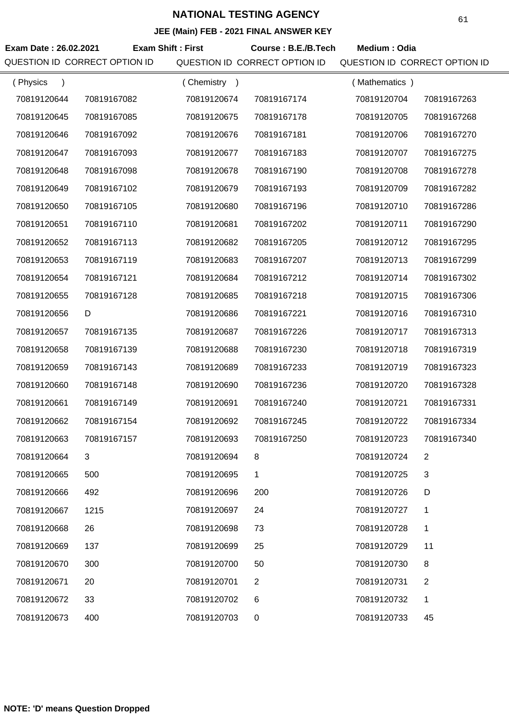| Exam Date: 26.02.2021    | QUESTION ID CORRECT OPTION ID | <b>Exam Shift: First</b> | Course: B.E./B.Tech<br>QUESTION ID CORRECT OPTION ID | Medium: Odia<br>QUESTION ID CORRECT OPTION ID |                |
|--------------------------|-------------------------------|--------------------------|------------------------------------------------------|-----------------------------------------------|----------------|
| (Physics                 |                               | (Chemistry)              |                                                      | (Mathematics)                                 |                |
| $\lambda$<br>70819120644 | 70819167082                   | 70819120674              | 70819167174                                          | 70819120704                                   | 70819167263    |
| 70819120645              | 70819167085                   | 70819120675              | 70819167178                                          | 70819120705                                   | 70819167268    |
| 70819120646              | 70819167092                   | 70819120676              | 70819167181                                          | 70819120706                                   | 70819167270    |
| 70819120647              | 70819167093                   | 70819120677              | 70819167183                                          | 70819120707                                   | 70819167275    |
| 70819120648              | 70819167098                   | 70819120678              | 70819167190                                          | 70819120708                                   | 70819167278    |
| 70819120649              | 70819167102                   | 70819120679              | 70819167193                                          | 70819120709                                   | 70819167282    |
|                          |                               |                          |                                                      |                                               |                |
| 70819120650              | 70819167105                   | 70819120680              | 70819167196                                          | 70819120710                                   | 70819167286    |
| 70819120651              | 70819167110                   | 70819120681              | 70819167202                                          | 70819120711                                   | 70819167290    |
| 70819120652              | 70819167113                   | 70819120682              | 70819167205                                          | 70819120712                                   | 70819167295    |
| 70819120653              | 70819167119                   | 70819120683              | 70819167207                                          | 70819120713                                   | 70819167299    |
| 70819120654              | 70819167121                   | 70819120684              | 70819167212                                          | 70819120714                                   | 70819167302    |
| 70819120655              | 70819167128                   | 70819120685              | 70819167218                                          | 70819120715                                   | 70819167306    |
| 70819120656              | D                             | 70819120686              | 70819167221                                          | 70819120716                                   | 70819167310    |
| 70819120657              | 70819167135                   | 70819120687              | 70819167226                                          | 70819120717                                   | 70819167313    |
| 70819120658              | 70819167139                   | 70819120688              | 70819167230                                          | 70819120718                                   | 70819167319    |
| 70819120659              | 70819167143                   | 70819120689              | 70819167233                                          | 70819120719                                   | 70819167323    |
| 70819120660              | 70819167148                   | 70819120690              | 70819167236                                          | 70819120720                                   | 70819167328    |
| 70819120661              | 70819167149                   | 70819120691              | 70819167240                                          | 70819120721                                   | 70819167331    |
| 70819120662              | 70819167154                   | 70819120692              | 70819167245                                          | 70819120722                                   | 70819167334    |
| 70819120663              | 70819167157                   | 70819120693              | 70819167250                                          | 70819120723                                   | 70819167340    |
| 70819120664              | 3                             | 70819120694              | 8                                                    | 70819120724                                   | $\overline{2}$ |
| 70819120665              | 500                           | 70819120695              | 1                                                    | 70819120725                                   | 3              |
| 70819120666              | 492                           | 70819120696              | 200                                                  | 70819120726                                   | D              |
| 70819120667              | 1215                          | 70819120697              | 24                                                   | 70819120727                                   | 1              |
| 70819120668              | 26                            | 70819120698              | 73                                                   | 70819120728                                   | 1              |
| 70819120669              | 137                           | 70819120699              | 25                                                   | 70819120729                                   | 11             |
| 70819120670              | 300                           | 70819120700              | 50                                                   | 70819120730                                   | 8              |
| 70819120671              | 20                            | 70819120701              | 2                                                    | 70819120731                                   | 2              |
| 70819120672              | 33                            | 70819120702              | 6                                                    | 70819120732                                   | 1              |
| 70819120673              | 400                           | 70819120703              | 0                                                    | 70819120733                                   | 45             |
|                          |                               |                          |                                                      |                                               |                |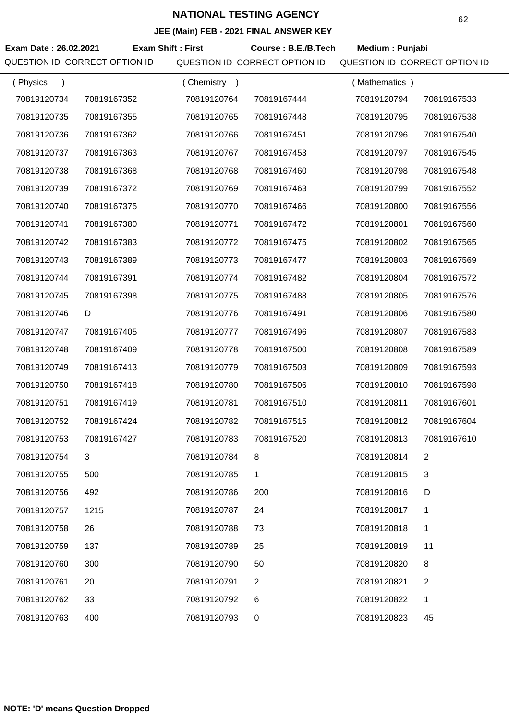| Exam Date: 26.02.2021 | <b>Exam Shift: First</b>      |             | _____________________<br>Course: B.E./B.Tech | Medium: Punjabi               |                |
|-----------------------|-------------------------------|-------------|----------------------------------------------|-------------------------------|----------------|
|                       | QUESTION ID CORRECT OPTION ID |             | QUESTION ID CORRECT OPTION ID                | QUESTION ID CORRECT OPTION ID |                |
| (Physics<br>$\lambda$ |                               | (Chemistry) |                                              | (Mathematics)                 |                |
| 70819120734           | 70819167352                   | 70819120764 | 70819167444                                  | 70819120794                   | 70819167533    |
| 70819120735           | 70819167355                   | 70819120765 | 70819167448                                  | 70819120795                   | 70819167538    |
| 70819120736           | 70819167362                   | 70819120766 | 70819167451                                  | 70819120796                   | 70819167540    |
| 70819120737           | 70819167363                   | 70819120767 | 70819167453                                  | 70819120797                   | 70819167545    |
| 70819120738           | 70819167368                   | 70819120768 | 70819167460                                  | 70819120798                   | 70819167548    |
| 70819120739           | 70819167372                   | 70819120769 | 70819167463                                  | 70819120799                   | 70819167552    |
| 70819120740           | 70819167375                   | 70819120770 | 70819167466                                  | 70819120800                   | 70819167556    |
| 70819120741           | 70819167380                   | 70819120771 | 70819167472                                  | 70819120801                   | 70819167560    |
| 70819120742           | 70819167383                   | 70819120772 | 70819167475                                  | 70819120802                   | 70819167565    |
| 70819120743           | 70819167389                   | 70819120773 | 70819167477                                  | 70819120803                   | 70819167569    |
| 70819120744           | 70819167391                   | 70819120774 | 70819167482                                  | 70819120804                   | 70819167572    |
| 70819120745           | 70819167398                   | 70819120775 | 70819167488                                  | 70819120805                   | 70819167576    |
| 70819120746           | D                             | 70819120776 | 70819167491                                  | 70819120806                   | 70819167580    |
| 70819120747           | 70819167405                   | 70819120777 | 70819167496                                  | 70819120807                   | 70819167583    |
| 70819120748           | 70819167409                   | 70819120778 | 70819167500                                  | 70819120808                   | 70819167589    |
| 70819120749           | 70819167413                   | 70819120779 | 70819167503                                  | 70819120809                   | 70819167593    |
| 70819120750           | 70819167418                   | 70819120780 | 70819167506                                  | 70819120810                   | 70819167598    |
| 70819120751           | 70819167419                   | 70819120781 | 70819167510                                  | 70819120811                   | 70819167601    |
| 70819120752           | 70819167424                   | 70819120782 | 70819167515                                  | 70819120812                   | 70819167604    |
| 70819120753           | 70819167427                   | 70819120783 | 70819167520                                  | 70819120813                   | 70819167610    |
| 70819120754           | 3                             | 70819120784 | 8                                            | 70819120814                   | $\overline{2}$ |
| 70819120755           | 500                           | 70819120785 | 1                                            | 70819120815                   | 3              |
| 70819120756           | 492                           | 70819120786 | 200                                          | 70819120816                   | D              |
| 70819120757           | 1215                          | 70819120787 | 24                                           | 70819120817                   | 1              |
| 70819120758           | 26                            | 70819120788 | 73                                           | 70819120818                   | 1              |
| 70819120759           | 137                           | 70819120789 | 25                                           | 70819120819                   | 11             |
| 70819120760           | 300                           | 70819120790 | 50                                           | 70819120820                   | 8              |
| 70819120761           | 20                            | 70819120791 | 2                                            | 70819120821                   | $\overline{2}$ |
| 70819120762           | 33                            | 70819120792 | 6                                            | 70819120822                   | 1              |
| 70819120763           | 400                           | 70819120793 | 0                                            | 70819120823                   | 45             |
|                       |                               |             |                                              |                               |                |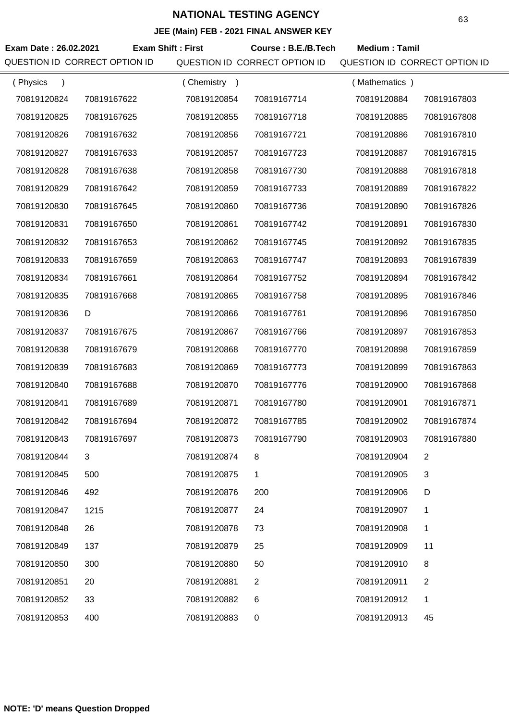#### **JEE (Main) FEB - 2021 FINAL ANSWER KEY**

| Exam Date: 26.02.2021<br>QUESTION ID CORRECT OPTION ID | <b>Exam Shift: First</b> |             | Course: B.E./B.Tech<br>QUESTION ID CORRECT OPTION ID | <b>Medium: Tamil</b><br>QUESTION ID CORRECT OPTION ID |                |
|--------------------------------------------------------|--------------------------|-------------|------------------------------------------------------|-------------------------------------------------------|----------------|
| (Physics<br>$\lambda$                                  |                          | (Chemistry) |                                                      | (Mathematics)                                         |                |
| 70819120824                                            | 70819167622              | 70819120854 | 70819167714                                          | 70819120884                                           | 70819167803    |
| 70819120825                                            | 70819167625              | 70819120855 | 70819167718                                          | 70819120885                                           | 70819167808    |
| 70819120826                                            | 70819167632              | 70819120856 | 70819167721                                          | 70819120886                                           | 70819167810    |
| 70819120827                                            | 70819167633              | 70819120857 | 70819167723                                          | 70819120887                                           | 70819167815    |
| 70819120828                                            | 70819167638              | 70819120858 | 70819167730                                          | 70819120888                                           | 70819167818    |
| 70819120829                                            | 70819167642              | 70819120859 | 70819167733                                          | 70819120889                                           | 70819167822    |
| 70819120830                                            | 70819167645              | 70819120860 | 70819167736                                          | 70819120890                                           | 70819167826    |
| 70819120831                                            | 70819167650              | 70819120861 | 70819167742                                          | 70819120891                                           | 70819167830    |
| 70819120832                                            | 70819167653              | 70819120862 | 70819167745                                          | 70819120892                                           | 70819167835    |
| 70819120833                                            | 70819167659              | 70819120863 | 70819167747                                          | 70819120893                                           | 70819167839    |
| 70819120834                                            | 70819167661              | 70819120864 | 70819167752                                          | 70819120894                                           | 70819167842    |
| 70819120835                                            | 70819167668              | 70819120865 | 70819167758                                          | 70819120895                                           | 70819167846    |
| 70819120836                                            | D                        | 70819120866 | 70819167761                                          | 70819120896                                           | 70819167850    |
| 70819120837                                            | 70819167675              | 70819120867 | 70819167766                                          | 70819120897                                           | 70819167853    |
| 70819120838                                            | 70819167679              | 70819120868 | 70819167770                                          | 70819120898                                           | 70819167859    |
| 70819120839                                            | 70819167683              | 70819120869 | 70819167773                                          | 70819120899                                           | 70819167863    |
| 70819120840                                            | 70819167688              | 70819120870 | 70819167776                                          | 70819120900                                           | 70819167868    |
| 70819120841                                            | 70819167689              | 70819120871 | 70819167780                                          | 70819120901                                           | 70819167871    |
| 70819120842                                            | 70819167694              | 70819120872 | 70819167785                                          | 70819120902                                           | 70819167874    |
| 70819120843                                            | 70819167697              | 70819120873 | 70819167790                                          | 70819120903                                           | 70819167880    |
| 70819120844                                            | 3                        | 70819120874 | 8                                                    | 70819120904                                           | 2              |
| 70819120845                                            | 500                      | 70819120875 | 1                                                    | 70819120905                                           | 3              |
| 70819120846                                            | 492                      | 70819120876 | 200                                                  | 70819120906                                           | D              |
| 70819120847                                            | 1215                     | 70819120877 | 24                                                   | 70819120907                                           | 1              |
| 70819120848                                            | 26                       | 70819120878 | 73                                                   | 70819120908                                           | 1              |
| 70819120849                                            | 137                      | 70819120879 | 25                                                   | 70819120909                                           | 11             |
| 70819120850                                            | 300                      | 70819120880 | 50                                                   | 70819120910                                           | 8              |
| 70819120851                                            | 20                       | 70819120881 | $\overline{2}$                                       | 70819120911                                           | $\overline{2}$ |
| 70819120852                                            | 33                       | 70819120882 | 6                                                    | 70819120912                                           | 1              |
| 70819120853                                            | 400                      | 70819120883 | 0                                                    | 70819120913                                           | 45             |

**NOTE: 'D' means Question Dropped**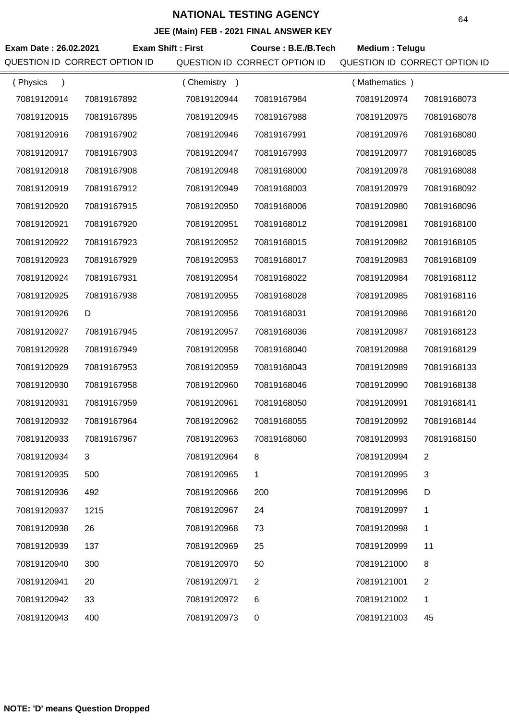| Exam Date: 26.02.2021<br>QUESTION ID CORRECT OPTION ID | <b>Exam Shift: First</b> |             | Course: B.E./B.Tech<br>QUESTION ID CORRECT OPTION ID | Medium: Telugu<br>QUESTION ID CORRECT OPTION ID |                |
|--------------------------------------------------------|--------------------------|-------------|------------------------------------------------------|-------------------------------------------------|----------------|
| (Physics<br>$\lambda$                                  |                          | (Chemistry) |                                                      | (Mathematics)                                   |                |
| 70819120914                                            | 70819167892              | 70819120944 | 70819167984                                          | 70819120974                                     | 70819168073    |
| 70819120915                                            | 70819167895              | 70819120945 | 70819167988                                          | 70819120975                                     | 70819168078    |
| 70819120916                                            | 70819167902              | 70819120946 | 70819167991                                          | 70819120976                                     | 70819168080    |
| 70819120917                                            | 70819167903              | 70819120947 | 70819167993                                          | 70819120977                                     | 70819168085    |
| 70819120918                                            | 70819167908              | 70819120948 | 70819168000                                          | 70819120978                                     | 70819168088    |
| 70819120919                                            | 70819167912              | 70819120949 | 70819168003                                          | 70819120979                                     | 70819168092    |
| 70819120920                                            | 70819167915              | 70819120950 | 70819168006                                          | 70819120980                                     | 70819168096    |
| 70819120921                                            | 70819167920              | 70819120951 | 70819168012                                          | 70819120981                                     | 70819168100    |
| 70819120922                                            | 70819167923              | 70819120952 | 70819168015                                          | 70819120982                                     | 70819168105    |
| 70819120923                                            | 70819167929              | 70819120953 | 70819168017                                          | 70819120983                                     | 70819168109    |
| 70819120924                                            | 70819167931              | 70819120954 | 70819168022                                          | 70819120984                                     | 70819168112    |
| 70819120925                                            | 70819167938              | 70819120955 | 70819168028                                          | 70819120985                                     | 70819168116    |
| 70819120926                                            | D                        | 70819120956 | 70819168031                                          | 70819120986                                     | 70819168120    |
| 70819120927                                            | 70819167945              | 70819120957 | 70819168036                                          | 70819120987                                     | 70819168123    |
| 70819120928                                            | 70819167949              | 70819120958 | 70819168040                                          | 70819120988                                     | 70819168129    |
| 70819120929                                            | 70819167953              | 70819120959 | 70819168043                                          | 70819120989                                     | 70819168133    |
| 70819120930                                            | 70819167958              | 70819120960 | 70819168046                                          | 70819120990                                     | 70819168138    |
| 70819120931                                            | 70819167959              | 70819120961 | 70819168050                                          | 70819120991                                     | 70819168141    |
| 70819120932                                            | 70819167964              | 70819120962 | 70819168055                                          | 70819120992                                     | 70819168144    |
| 70819120933                                            | 70819167967              | 70819120963 | 70819168060                                          | 70819120993                                     | 70819168150    |
| 70819120934                                            | 3                        | 70819120964 | 8                                                    | 70819120994                                     | $\overline{2}$ |
| 70819120935                                            | 500                      | 70819120965 | 1                                                    | 70819120995                                     | 3              |
| 70819120936                                            | 492                      | 70819120966 | 200                                                  | 70819120996                                     | D              |
| 70819120937                                            | 1215                     | 70819120967 | 24                                                   | 70819120997                                     | 1              |
| 70819120938                                            | 26                       | 70819120968 | 73                                                   | 70819120998                                     | $\mathbf{1}$   |
| 70819120939                                            | 137                      | 70819120969 | 25                                                   | 70819120999                                     | 11             |
| 70819120940                                            | 300                      | 70819120970 | 50                                                   | 70819121000                                     | 8              |
| 70819120941                                            | 20                       | 70819120971 | $\overline{2}$                                       | 70819121001                                     | $\overline{2}$ |
| 70819120942                                            | 33                       | 70819120972 | 6                                                    | 70819121002                                     | 1              |
| 70819120943                                            | 400                      | 70819120973 | 0                                                    | 70819121003                                     | 45             |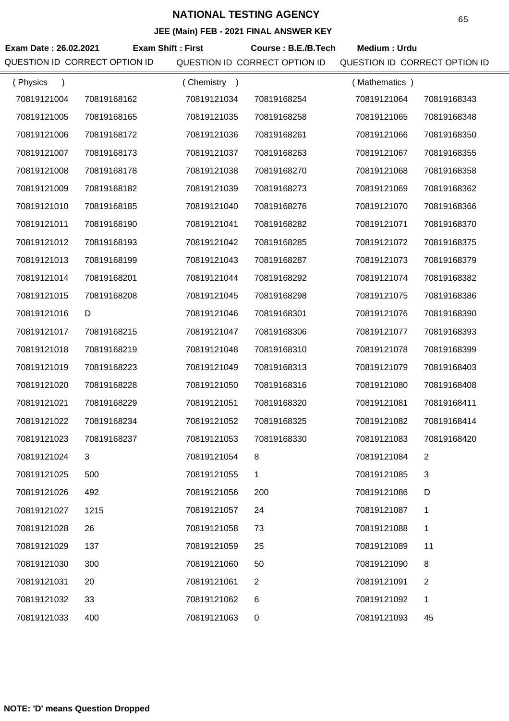| Exam Date: 26.02.2021<br>QUESTION ID CORRECT OPTION ID | <b>Exam Shift: First</b> |             | Course: B.E./B.Tech<br>QUESTION ID CORRECT OPTION ID | Medium: Urdu<br>QUESTION ID CORRECT OPTION ID |                |
|--------------------------------------------------------|--------------------------|-------------|------------------------------------------------------|-----------------------------------------------|----------------|
| (Physics<br>$\lambda$                                  |                          | (Chemistry) |                                                      | (Mathematics)                                 |                |
| 70819121004                                            | 70819168162              | 70819121034 | 70819168254                                          | 70819121064                                   | 70819168343    |
| 70819121005                                            | 70819168165              | 70819121035 | 70819168258                                          | 70819121065                                   | 70819168348    |
| 70819121006                                            | 70819168172              | 70819121036 | 70819168261                                          | 70819121066                                   | 70819168350    |
| 70819121007                                            | 70819168173              | 70819121037 | 70819168263                                          | 70819121067                                   | 70819168355    |
| 70819121008                                            | 70819168178              | 70819121038 | 70819168270                                          | 70819121068                                   | 70819168358    |
| 70819121009                                            | 70819168182              | 70819121039 | 70819168273                                          | 70819121069                                   | 70819168362    |
| 70819121010                                            | 70819168185              | 70819121040 | 70819168276                                          | 70819121070                                   | 70819168366    |
| 70819121011                                            | 70819168190              | 70819121041 | 70819168282                                          | 70819121071                                   | 70819168370    |
| 70819121012                                            | 70819168193              | 70819121042 | 70819168285                                          | 70819121072                                   | 70819168375    |
| 70819121013                                            | 70819168199              | 70819121043 | 70819168287                                          | 70819121073                                   | 70819168379    |
| 70819121014                                            | 70819168201              | 70819121044 | 70819168292                                          | 70819121074                                   | 70819168382    |
| 70819121015                                            | 70819168208              | 70819121045 | 70819168298                                          | 70819121075                                   | 70819168386    |
| 70819121016                                            | D                        | 70819121046 | 70819168301                                          | 70819121076                                   | 70819168390    |
| 70819121017                                            | 70819168215              | 70819121047 | 70819168306                                          | 70819121077                                   | 70819168393    |
| 70819121018                                            | 70819168219              | 70819121048 | 70819168310                                          | 70819121078                                   | 70819168399    |
| 70819121019                                            | 70819168223              | 70819121049 | 70819168313                                          | 70819121079                                   | 70819168403    |
| 70819121020                                            | 70819168228              | 70819121050 | 70819168316                                          | 70819121080                                   | 70819168408    |
| 70819121021                                            | 70819168229              | 70819121051 | 70819168320                                          | 70819121081                                   | 70819168411    |
| 70819121022                                            | 70819168234              | 70819121052 | 70819168325                                          | 70819121082                                   | 70819168414    |
| 70819121023                                            | 70819168237              | 70819121053 | 70819168330                                          | 70819121083                                   | 70819168420    |
| 70819121024                                            | 3                        | 70819121054 | 8                                                    | 70819121084                                   | 2              |
| 70819121025                                            | 500                      | 70819121055 | 1                                                    | 70819121085                                   | 3              |
| 70819121026                                            | 492                      | 70819121056 | 200                                                  | 70819121086                                   | D              |
| 70819121027                                            | 1215                     | 70819121057 | 24                                                   | 70819121087                                   | 1              |
| 70819121028                                            | 26                       | 70819121058 | 73                                                   | 70819121088                                   | $\mathbf{1}$   |
| 70819121029                                            | 137                      | 70819121059 | 25                                                   | 70819121089                                   | 11             |
| 70819121030                                            | 300                      | 70819121060 | 50                                                   | 70819121090                                   | 8              |
| 70819121031                                            | 20                       | 70819121061 | 2                                                    | 70819121091                                   | $\overline{2}$ |
| 70819121032                                            | 33                       | 70819121062 | 6                                                    | 70819121092                                   | 1              |
| 70819121033                                            | 400                      | 70819121063 | 0                                                    | 70819121093                                   | 45             |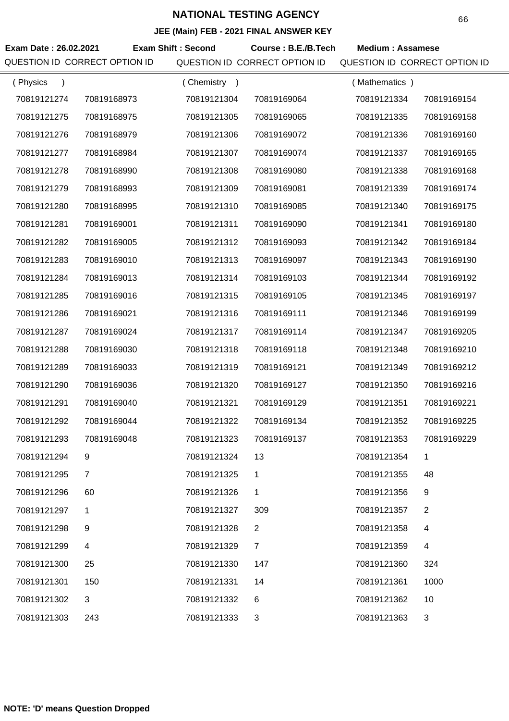| JEE (Main) FEB - 2021 FINAL ANSWER KEY |                               |                           |                                                      |                                                          |                |  |  |
|----------------------------------------|-------------------------------|---------------------------|------------------------------------------------------|----------------------------------------------------------|----------------|--|--|
| Exam Date: 26.02.2021                  | QUESTION ID CORRECT OPTION ID | <b>Exam Shift: Second</b> | Course: B.E./B.Tech<br>QUESTION ID CORRECT OPTION ID | <b>Medium: Assamese</b><br>QUESTION ID CORRECT OPTION ID |                |  |  |
| (Physics                               |                               | (Chemistry                |                                                      | (Mathematics)                                            |                |  |  |
| 70819121274                            | 70819168973                   | 70819121304               | 70819169064                                          | 70819121334                                              | 70819169154    |  |  |
| 70819121275                            | 70819168975                   | 70819121305               | 70819169065                                          | 70819121335                                              | 70819169158    |  |  |
| 70819121276                            | 70819168979                   | 70819121306               | 70819169072                                          | 70819121336                                              | 70819169160    |  |  |
| 70819121277                            | 70819168984                   | 70819121307               | 70819169074                                          | 70819121337                                              | 70819169165    |  |  |
| 70819121278                            | 70819168990                   | 70819121308               | 70819169080                                          | 70819121338                                              | 70819169168    |  |  |
| 70819121279                            | 70819168993                   | 70819121309               | 70819169081                                          | 70819121339                                              | 70819169174    |  |  |
| 70819121280                            | 70819168995                   | 70819121310               | 70819169085                                          | 70819121340                                              | 70819169175    |  |  |
| 70819121281                            | 70819169001                   | 70819121311               | 70819169090                                          | 70819121341                                              | 70819169180    |  |  |
| 70819121282                            | 70819169005                   | 70819121312               | 70819169093                                          | 70819121342                                              | 70819169184    |  |  |
| 70819121283                            | 70819169010                   | 70819121313               | 70819169097                                          | 70819121343                                              | 70819169190    |  |  |
| 70819121284                            | 70819169013                   | 70819121314               | 70819169103                                          | 70819121344                                              | 70819169192    |  |  |
| 70819121285                            | 70819169016                   | 70819121315               | 70819169105                                          | 70819121345                                              | 70819169197    |  |  |
| 70819121286                            | 70819169021                   | 70819121316               | 70819169111                                          | 70819121346                                              | 70819169199    |  |  |
| 70819121287                            | 70819169024                   | 70819121317               | 70819169114                                          | 70819121347                                              | 70819169205    |  |  |
| 70819121288                            | 70819169030                   | 70819121318               | 70819169118                                          | 70819121348                                              | 70819169210    |  |  |
| 70819121289                            | 70819169033                   | 70819121319               | 70819169121                                          | 70819121349                                              | 70819169212    |  |  |
| 70819121290                            | 70819169036                   | 70819121320               | 70819169127                                          | 70819121350                                              | 70819169216    |  |  |
| 70819121291                            | 70819169040                   | 70819121321               | 70819169129                                          | 70819121351                                              | 70819169221    |  |  |
| 70819121292                            | 70819169044                   | 70819121322               | 70819169134                                          | 70819121352                                              | 70819169225    |  |  |
| 70819121293                            | 70819169048                   | 70819121323               | 70819169137                                          | 70819121353                                              | 70819169229    |  |  |
| 70819121294                            | 9                             | 70819121324               | 13                                                   | 70819121354                                              | 1              |  |  |
| 70819121295                            | $\overline{7}$                | 70819121325               | $\mathbf 1$                                          | 70819121355                                              | 48             |  |  |
| 70819121296                            | 60                            | 70819121326               | $\mathbf{1}$                                         | 70819121356                                              | 9              |  |  |
| 70819121297                            | $\mathbf 1$                   | 70819121327               | 309                                                  | 70819121357                                              | $\overline{2}$ |  |  |
| 70819121298                            | 9                             | 70819121328               | $\overline{2}$                                       | 70819121358                                              | 4              |  |  |
| 70819121299                            | 4                             | 70819121329               | $\overline{7}$                                       | 70819121359                                              | 4              |  |  |
| 70819121300                            | 25                            | 70819121330               | 147                                                  | 70819121360                                              | 324            |  |  |
| 70819121301                            | 150                           | 70819121331               | 14                                                   | 70819121361                                              | 1000           |  |  |
| 70819121302                            | 3                             | 70819121332               | 6                                                    | 70819121362                                              | 10             |  |  |
| 70819121303                            | 243                           | 70819121333               | 3                                                    | 70819121363                                              | 3              |  |  |

÷,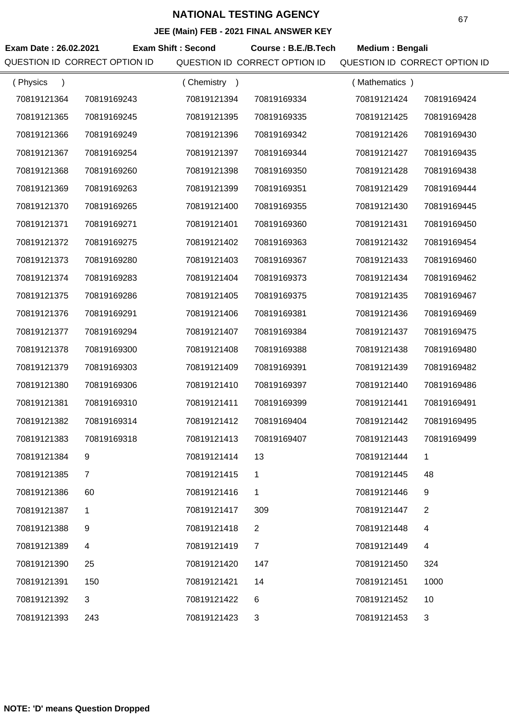| JEE (Main) FEB - 2021 FINAL ANSWER KEY |                               |                           |                               |                               |                |  |  |
|----------------------------------------|-------------------------------|---------------------------|-------------------------------|-------------------------------|----------------|--|--|
| Exam Date: 26.02.2021                  |                               | <b>Exam Shift: Second</b> | Course: B.E./B.Tech           | Medium: Bengali               |                |  |  |
|                                        | QUESTION ID CORRECT OPTION ID |                           | QUESTION ID CORRECT OPTION ID | QUESTION ID CORRECT OPTION ID |                |  |  |
| (Physics<br>$\lambda$                  |                               | (Chemistry)               |                               | (Mathematics)                 |                |  |  |
| 70819121364                            | 70819169243                   | 70819121394               | 70819169334                   | 70819121424                   | 70819169424    |  |  |
| 70819121365                            | 70819169245                   | 70819121395               | 70819169335                   | 70819121425                   | 70819169428    |  |  |
| 70819121366                            | 70819169249                   | 70819121396               | 70819169342                   | 70819121426                   | 70819169430    |  |  |
| 70819121367                            | 70819169254                   | 70819121397               | 70819169344                   | 70819121427                   | 70819169435    |  |  |
| 70819121368                            | 70819169260                   | 70819121398               | 70819169350                   | 70819121428                   | 70819169438    |  |  |
| 70819121369                            | 70819169263                   | 70819121399               | 70819169351                   | 70819121429                   | 70819169444    |  |  |
| 70819121370                            | 70819169265                   | 70819121400               | 70819169355                   | 70819121430                   | 70819169445    |  |  |
| 70819121371                            | 70819169271                   | 70819121401               | 70819169360                   | 70819121431                   | 70819169450    |  |  |
| 70819121372                            | 70819169275                   | 70819121402               | 70819169363                   | 70819121432                   | 70819169454    |  |  |
| 70819121373                            | 70819169280                   | 70819121403               | 70819169367                   | 70819121433                   | 70819169460    |  |  |
| 70819121374                            | 70819169283                   | 70819121404               | 70819169373                   | 70819121434                   | 70819169462    |  |  |
| 70819121375                            | 70819169286                   | 70819121405               | 70819169375                   | 70819121435                   | 70819169467    |  |  |
| 70819121376                            | 70819169291                   | 70819121406               | 70819169381                   | 70819121436                   | 70819169469    |  |  |
| 70819121377                            | 70819169294                   | 70819121407               | 70819169384                   | 70819121437                   | 70819169475    |  |  |
| 70819121378                            | 70819169300                   | 70819121408               | 70819169388                   | 70819121438                   | 70819169480    |  |  |
| 70819121379                            | 70819169303                   | 70819121409               | 70819169391                   | 70819121439                   | 70819169482    |  |  |
| 70819121380                            | 70819169306                   | 70819121410               | 70819169397                   | 70819121440                   | 70819169486    |  |  |
| 70819121381                            | 70819169310                   | 70819121411               | 70819169399                   | 70819121441                   | 70819169491    |  |  |
| 70819121382                            | 70819169314                   | 70819121412               | 70819169404                   | 70819121442                   | 70819169495    |  |  |
| 70819121383                            | 70819169318                   | 70819121413               | 70819169407                   | 70819121443                   | 70819169499    |  |  |
| 70819121384                            | 9                             | 70819121414               | 13                            | 70819121444                   | 1              |  |  |
| 70819121385                            | $\overline{7}$                | 70819121415               | 1                             | 70819121445                   | 48             |  |  |
| 70819121386                            | 60                            | 70819121416               | 1                             | 70819121446                   | 9              |  |  |
| 70819121387                            | 1                             | 70819121417               | 309                           | 70819121447                   | $\overline{2}$ |  |  |
| 70819121388                            | 9                             | 70819121418               | $\overline{2}$                | 70819121448                   | 4              |  |  |
| 70819121389                            | 4                             | 70819121419               | $\overline{7}$                | 70819121449                   | 4              |  |  |
| 70819121390                            | 25                            | 70819121420               | 147                           | 70819121450                   | 324            |  |  |
| 70819121391                            | 150                           | 70819121421               | 14                            | 70819121451                   | 1000           |  |  |
| 70819121392                            | 3                             | 70819121422               | 6                             | 70819121452                   | 10             |  |  |
| 70819121393                            | 243                           | 70819121423               | 3                             | 70819121453                   | 3              |  |  |
|                                        |                               |                           |                               |                               |                |  |  |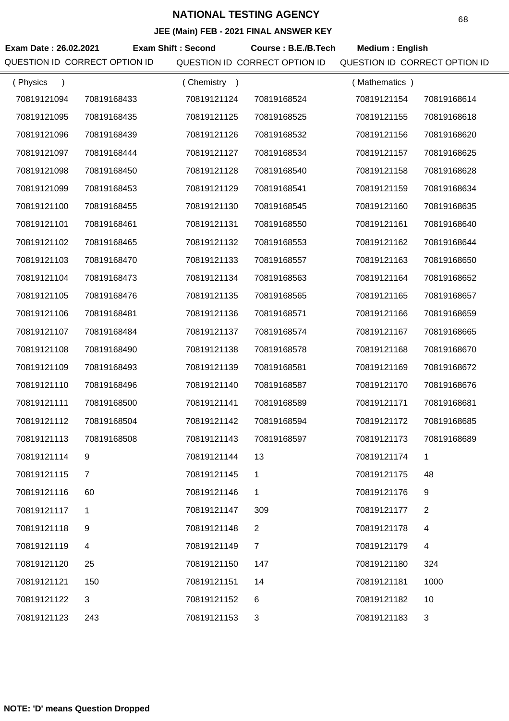| JEE (MAIN) FEB - 2021 FINAL ANSWER KEY |                |                           |                               |                               |                |  |  |
|----------------------------------------|----------------|---------------------------|-------------------------------|-------------------------------|----------------|--|--|
| Exam Date: 26.02.2021                  |                | <b>Exam Shift: Second</b> | Course: B.E./B.Tech           | <b>Medium: English</b>        |                |  |  |
| QUESTION ID CORRECT OPTION ID          |                |                           | QUESTION ID CORRECT OPTION ID | QUESTION ID CORRECT OPTION ID |                |  |  |
| (Physics<br>$\lambda$                  |                | (Chemistry)               |                               | (Mathematics)                 |                |  |  |
| 70819121094                            | 70819168433    | 70819121124               | 70819168524                   | 70819121154                   | 70819168614    |  |  |
| 70819121095                            | 70819168435    | 70819121125               | 70819168525                   | 70819121155                   | 70819168618    |  |  |
| 70819121096                            | 70819168439    | 70819121126               | 70819168532                   | 70819121156                   | 70819168620    |  |  |
| 70819121097                            | 70819168444    | 70819121127               | 70819168534                   | 70819121157                   | 70819168625    |  |  |
| 70819121098                            | 70819168450    | 70819121128               | 70819168540                   | 70819121158                   | 70819168628    |  |  |
| 70819121099                            | 70819168453    | 70819121129               | 70819168541                   | 70819121159                   | 70819168634    |  |  |
| 70819121100                            | 70819168455    | 70819121130               | 70819168545                   | 70819121160                   | 70819168635    |  |  |
| 70819121101                            | 70819168461    | 70819121131               | 70819168550                   | 70819121161                   | 70819168640    |  |  |
| 70819121102                            | 70819168465    | 70819121132               | 70819168553                   | 70819121162                   | 70819168644    |  |  |
| 70819121103                            | 70819168470    | 70819121133               | 70819168557                   | 70819121163                   | 70819168650    |  |  |
| 70819121104                            | 70819168473    | 70819121134               | 70819168563                   | 70819121164                   | 70819168652    |  |  |
| 70819121105                            | 70819168476    | 70819121135               | 70819168565                   | 70819121165                   | 70819168657    |  |  |
| 70819121106                            | 70819168481    | 70819121136               | 70819168571                   | 70819121166                   | 70819168659    |  |  |
| 70819121107                            | 70819168484    | 70819121137               | 70819168574                   | 70819121167                   | 70819168665    |  |  |
| 70819121108                            | 70819168490    | 70819121138               | 70819168578                   | 70819121168                   | 70819168670    |  |  |
| 70819121109                            | 70819168493    | 70819121139               | 70819168581                   | 70819121169                   | 70819168672    |  |  |
| 70819121110                            | 70819168496    | 70819121140               | 70819168587                   | 70819121170                   | 70819168676    |  |  |
| 70819121111                            | 70819168500    | 70819121141               | 70819168589                   | 70819121171                   | 70819168681    |  |  |
| 70819121112                            | 70819168504    | 70819121142               | 70819168594                   | 70819121172                   | 70819168685    |  |  |
| 70819121113                            | 70819168508    | 70819121143               | 70819168597                   | 70819121173                   | 70819168689    |  |  |
| 70819121114                            | 9              | 70819121144               | 13                            | 70819121174                   | 1              |  |  |
| 70819121115                            | $\overline{7}$ | 70819121145               | 1                             | 70819121175                   | 48             |  |  |
| 70819121116                            | 60             | 70819121146               | 1                             | 70819121176                   | 9              |  |  |
| 70819121117                            | 1              | 70819121147               | 309                           | 70819121177                   | $\overline{2}$ |  |  |
| 70819121118                            | 9              | 70819121148               | $\overline{2}$                | 70819121178                   | 4              |  |  |
| 70819121119                            | 4              | 70819121149               | $\overline{7}$                | 70819121179                   | 4              |  |  |
| 70819121120                            | 25             | 70819121150               | 147                           | 70819121180                   | 324            |  |  |
| 70819121121                            | 150            | 70819121151               | 14                            | 70819121181                   | 1000           |  |  |
| 70819121122                            | 3              | 70819121152               | 6                             | 70819121182                   | 10             |  |  |
| 70819121123                            | 243            | 70819121153               | 3                             | 70819121183                   | 3              |  |  |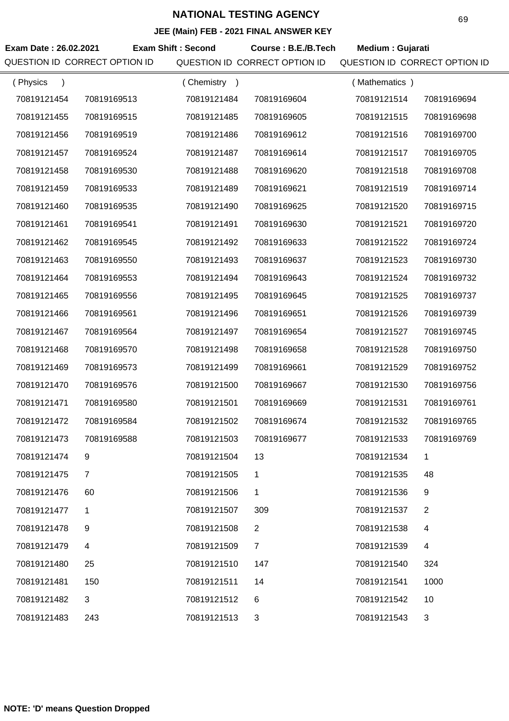|                               |                |                           | JEE (MAIN) FEB - 2021 FINAL ANSWER KEY |                               |                |
|-------------------------------|----------------|---------------------------|----------------------------------------|-------------------------------|----------------|
| Exam Date: 26.02.2021         |                | <b>Exam Shift: Second</b> | Course: B.E./B.Tech                    | Medium: Gujarati              |                |
| QUESTION ID CORRECT OPTION ID |                |                           | QUESTION ID CORRECT OPTION ID          | QUESTION ID CORRECT OPTION ID |                |
| (Physics<br>$\lambda$         |                | (Chemistry)               |                                        | (Mathematics)                 |                |
| 70819121454                   | 70819169513    | 70819121484               | 70819169604                            | 70819121514                   | 70819169694    |
| 70819121455                   | 70819169515    | 70819121485               | 70819169605                            | 70819121515                   | 70819169698    |
| 70819121456                   | 70819169519    | 70819121486               | 70819169612                            | 70819121516                   | 70819169700    |
| 70819121457                   | 70819169524    | 70819121487               | 70819169614                            | 70819121517                   | 70819169705    |
| 70819121458                   | 70819169530    | 70819121488               | 70819169620                            | 70819121518                   | 70819169708    |
| 70819121459                   | 70819169533    | 70819121489               | 70819169621                            | 70819121519                   | 70819169714    |
| 70819121460                   | 70819169535    | 70819121490               | 70819169625                            | 70819121520                   | 70819169715    |
| 70819121461                   | 70819169541    | 70819121491               | 70819169630                            | 70819121521                   | 70819169720    |
| 70819121462                   | 70819169545    | 70819121492               | 70819169633                            | 70819121522                   | 70819169724    |
| 70819121463                   | 70819169550    | 70819121493               | 70819169637                            | 70819121523                   | 70819169730    |
| 70819121464                   | 70819169553    | 70819121494               | 70819169643                            | 70819121524                   | 70819169732    |
| 70819121465                   | 70819169556    | 70819121495               | 70819169645                            | 70819121525                   | 70819169737    |
| 70819121466                   | 70819169561    | 70819121496               | 70819169651                            | 70819121526                   | 70819169739    |
| 70819121467                   | 70819169564    | 70819121497               | 70819169654                            | 70819121527                   | 70819169745    |
| 70819121468                   | 70819169570    | 70819121498               | 70819169658                            | 70819121528                   | 70819169750    |
| 70819121469                   | 70819169573    | 70819121499               | 70819169661                            | 70819121529                   | 70819169752    |
| 70819121470                   | 70819169576    | 70819121500               | 70819169667                            | 70819121530                   | 70819169756    |
| 70819121471                   | 70819169580    | 70819121501               | 70819169669                            | 70819121531                   | 70819169761    |
| 70819121472                   | 70819169584    | 70819121502               | 70819169674                            | 70819121532                   | 70819169765    |
| 70819121473                   | 70819169588    | 70819121503               | 70819169677                            | 70819121533                   | 70819169769    |
| 70819121474                   | 9              | 70819121504               | 13                                     | 70819121534                   | 1              |
| 70819121475                   | $\overline{7}$ | 70819121505               | 1                                      | 70819121535                   | 48             |
| 70819121476                   | 60             | 70819121506               | 1                                      | 70819121536                   | 9              |
| 70819121477                   | 1              | 70819121507               | 309                                    | 70819121537                   | $\overline{2}$ |
| 70819121478                   | 9              | 70819121508               | $\overline{2}$                         | 70819121538                   | 4              |
| 70819121479                   | 4              | 70819121509               | $\overline{7}$                         | 70819121539                   | 4              |
| 70819121480                   | 25             | 70819121510               | 147                                    | 70819121540                   | 324            |
| 70819121481                   | 150            | 70819121511               | 14                                     | 70819121541                   | 1000           |
| 70819121482                   | 3              | 70819121512               | 6                                      | 70819121542                   | 10             |
| 70819121483                   | 243            | 70819121513               | 3                                      | 70819121543                   | 3              |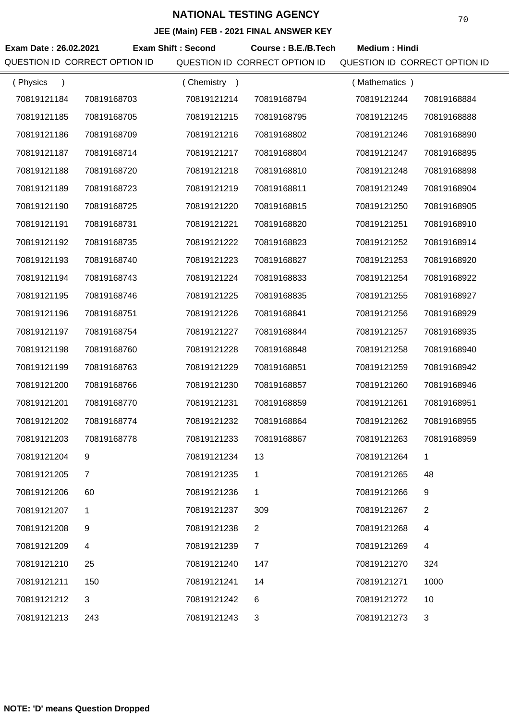| Exam Date: 26.02.2021 | QUESTION ID CORRECT OPTION ID | <b>Exam Shift: Second</b> | Course: B.E./B.Tech<br>QUESTION ID CORRECT OPTION ID | <b>Medium: Hindi</b><br>QUESTION ID CORRECT OPTION ID |                |
|-----------------------|-------------------------------|---------------------------|------------------------------------------------------|-------------------------------------------------------|----------------|
| (Physics              |                               | (Chemistry)               |                                                      | (Mathematics)                                         |                |
| 70819121184           | 70819168703                   | 70819121214               | 70819168794                                          | 70819121244                                           | 70819168884    |
| 70819121185           | 70819168705                   | 70819121215               | 70819168795                                          | 70819121245                                           | 70819168888    |
| 70819121186           | 70819168709                   | 70819121216               | 70819168802                                          | 70819121246                                           | 70819168890    |
| 70819121187           | 70819168714                   | 70819121217               | 70819168804                                          | 70819121247                                           | 70819168895    |
| 70819121188           | 70819168720                   | 70819121218               | 70819168810                                          | 70819121248                                           | 70819168898    |
| 70819121189           | 70819168723                   | 70819121219               | 70819168811                                          | 70819121249                                           | 70819168904    |
| 70819121190           | 70819168725                   | 70819121220               | 70819168815                                          | 70819121250                                           | 70819168905    |
| 70819121191           | 70819168731                   | 70819121221               | 70819168820                                          | 70819121251                                           | 70819168910    |
| 70819121192           | 70819168735                   | 70819121222               | 70819168823                                          | 70819121252                                           | 70819168914    |
| 70819121193           | 70819168740                   | 70819121223               | 70819168827                                          | 70819121253                                           | 70819168920    |
| 70819121194           | 70819168743                   | 70819121224               | 70819168833                                          | 70819121254                                           | 70819168922    |
| 70819121195           | 70819168746                   | 70819121225               | 70819168835                                          | 70819121255                                           | 70819168927    |
| 70819121196           | 70819168751                   | 70819121226               | 70819168841                                          | 70819121256                                           | 70819168929    |
| 70819121197           | 70819168754                   | 70819121227               | 70819168844                                          | 70819121257                                           | 70819168935    |
| 70819121198           | 70819168760                   | 70819121228               | 70819168848                                          | 70819121258                                           | 70819168940    |
| 70819121199           | 70819168763                   | 70819121229               | 70819168851                                          | 70819121259                                           | 70819168942    |
| 70819121200           | 70819168766                   | 70819121230               | 70819168857                                          | 70819121260                                           | 70819168946    |
| 70819121201           | 70819168770                   | 70819121231               | 70819168859                                          | 70819121261                                           | 70819168951    |
| 70819121202           | 70819168774                   | 70819121232               | 70819168864                                          | 70819121262                                           | 70819168955    |
| 70819121203           | 70819168778                   | 70819121233               | 70819168867                                          | 70819121263                                           | 70819168959    |
| 70819121204           | 9                             | 70819121234               | 13                                                   | 70819121264                                           | 1              |
| 70819121205           | $\overline{7}$                | 70819121235               | $\mathbf{1}$                                         | 70819121265                                           | 48             |
| 70819121206           | 60                            | 70819121236               | 1                                                    | 70819121266                                           | 9              |
| 70819121207           | 1                             | 70819121237               | 309                                                  | 70819121267                                           | $\overline{2}$ |
| 70819121208           | 9                             | 70819121238               | $\overline{2}$                                       | 70819121268                                           | 4              |
| 70819121209           | $\overline{4}$                | 70819121239               | $\overline{7}$                                       | 70819121269                                           | 4              |
| 70819121210           | 25                            | 70819121240               | 147                                                  | 70819121270                                           | 324            |
| 70819121211           | 150                           | 70819121241               | 14                                                   | 70819121271                                           | 1000           |
| 70819121212           | 3                             | 70819121242               | 6                                                    | 70819121272                                           | 10             |
| 70819121213           | 243                           | 70819121243               | 3                                                    | 70819121273                                           | 3              |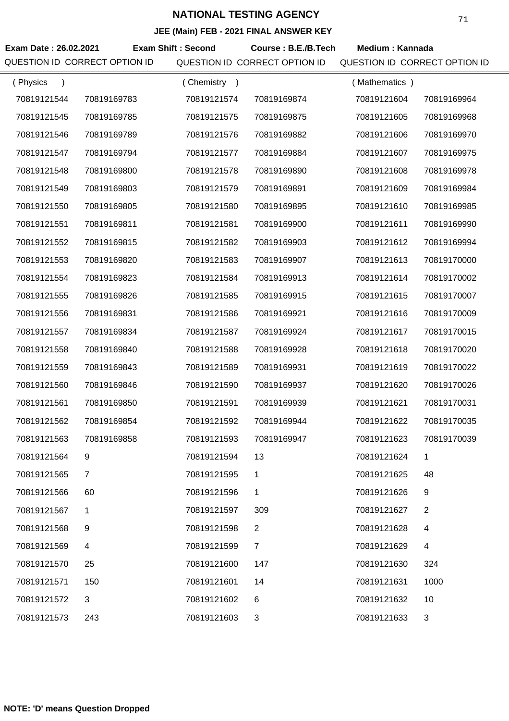|                               |                |                           | JEE (MAIN) FEB - 2021 FINAL ANSWER NET |                               |                |
|-------------------------------|----------------|---------------------------|----------------------------------------|-------------------------------|----------------|
| Exam Date: 26.02.2021         |                | <b>Exam Shift: Second</b> | Course: B.E./B.Tech                    | <b>Medium: Kannada</b>        |                |
| QUESTION ID CORRECT OPTION ID |                |                           | QUESTION ID CORRECT OPTION ID          | QUESTION ID CORRECT OPTION ID |                |
| (Physics<br>$\lambda$         |                | (Chemistry)               |                                        | (Mathematics)                 |                |
| 70819121544                   | 70819169783    | 70819121574               | 70819169874                            | 70819121604                   | 70819169964    |
| 70819121545                   | 70819169785    | 70819121575               | 70819169875                            | 70819121605                   | 70819169968    |
| 70819121546                   | 70819169789    | 70819121576               | 70819169882                            | 70819121606                   | 70819169970    |
| 70819121547                   | 70819169794    | 70819121577               | 70819169884                            | 70819121607                   | 70819169975    |
| 70819121548                   | 70819169800    | 70819121578               | 70819169890                            | 70819121608                   | 70819169978    |
| 70819121549                   | 70819169803    | 70819121579               | 70819169891                            | 70819121609                   | 70819169984    |
| 70819121550                   | 70819169805    | 70819121580               | 70819169895                            | 70819121610                   | 70819169985    |
| 70819121551                   | 70819169811    | 70819121581               | 70819169900                            | 70819121611                   | 70819169990    |
| 70819121552                   | 70819169815    | 70819121582               | 70819169903                            | 70819121612                   | 70819169994    |
| 70819121553                   | 70819169820    | 70819121583               | 70819169907                            | 70819121613                   | 70819170000    |
| 70819121554                   | 70819169823    | 70819121584               | 70819169913                            | 70819121614                   | 70819170002    |
| 70819121555                   | 70819169826    | 70819121585               | 70819169915                            | 70819121615                   | 70819170007    |
| 70819121556                   | 70819169831    | 70819121586               | 70819169921                            | 70819121616                   | 70819170009    |
| 70819121557                   | 70819169834    | 70819121587               | 70819169924                            | 70819121617                   | 70819170015    |
| 70819121558                   | 70819169840    | 70819121588               | 70819169928                            | 70819121618                   | 70819170020    |
| 70819121559                   | 70819169843    | 70819121589               | 70819169931                            | 70819121619                   | 70819170022    |
| 70819121560                   | 70819169846    | 70819121590               | 70819169937                            | 70819121620                   | 70819170026    |
| 70819121561                   | 70819169850    | 70819121591               | 70819169939                            | 70819121621                   | 70819170031    |
| 70819121562                   | 70819169854    | 70819121592               | 70819169944                            | 70819121622                   | 70819170035    |
| 70819121563                   | 70819169858    | 70819121593               | 70819169947                            | 70819121623                   | 70819170039    |
| 70819121564                   | 9              | 70819121594               | 13                                     | 70819121624                   | 1              |
| 70819121565                   | $\overline{7}$ | 70819121595               | 1                                      | 70819121625                   | 48             |
| 70819121566                   | 60             | 70819121596               | 1                                      | 70819121626                   | 9              |
| 70819121567                   | 1              | 70819121597               | 309                                    | 70819121627                   | $\overline{2}$ |
| 70819121568                   | 9              | 70819121598               | $\overline{2}$                         | 70819121628                   | 4              |
| 70819121569                   | 4              | 70819121599               | $\overline{7}$                         | 70819121629                   | 4              |
| 70819121570                   | 25             | 70819121600               | 147                                    | 70819121630                   | 324            |
| 70819121571                   | 150            | 70819121601               | 14                                     | 70819121631                   | 1000           |
| 70819121572                   | 3              | 70819121602               | 6                                      | 70819121632                   | 10             |
| 70819121573                   | 243            | 70819121603               | 3                                      | 70819121633                   | 3              |
|                               |                |                           |                                        |                               |                |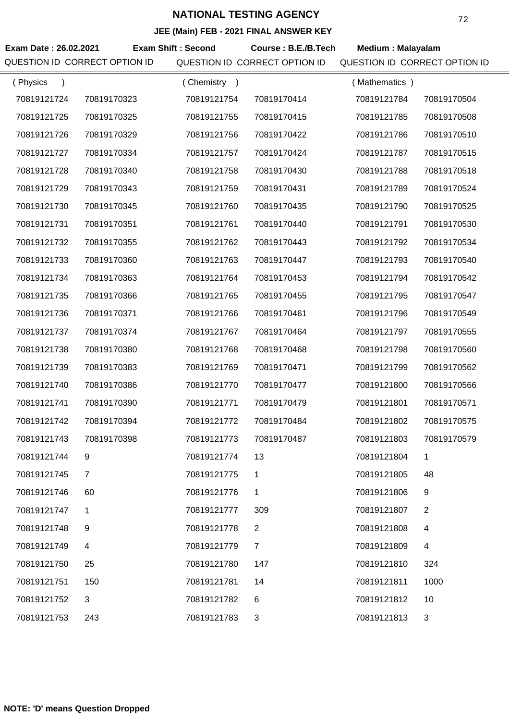|                       |                               |                           | JEE (MAIII) FED - 2021 FINAL ANSWER RET |                               |                |
|-----------------------|-------------------------------|---------------------------|-----------------------------------------|-------------------------------|----------------|
| Exam Date: 26.02.2021 | QUESTION ID CORRECT OPTION ID | <b>Exam Shift: Second</b> | Course: B.E./B.Tech                     | <b>Medium: Malayalam</b>      |                |
|                       |                               |                           | QUESTION ID CORRECT OPTION ID           | QUESTION ID CORRECT OPTION ID |                |
| (Physics              |                               | (Chemistry)               |                                         | (Mathematics)                 |                |
| 70819121724           | 70819170323                   | 70819121754               | 70819170414                             | 70819121784                   | 70819170504    |
| 70819121725           | 70819170325                   | 70819121755               | 70819170415                             | 70819121785                   | 70819170508    |
| 70819121726           | 70819170329                   | 70819121756               | 70819170422                             | 70819121786                   | 70819170510    |
| 70819121727           | 70819170334                   | 70819121757               | 70819170424                             | 70819121787                   | 70819170515    |
| 70819121728           | 70819170340                   | 70819121758               | 70819170430                             | 70819121788                   | 70819170518    |
| 70819121729           | 70819170343                   | 70819121759               | 70819170431                             | 70819121789                   | 70819170524    |
| 70819121730           | 70819170345                   | 70819121760               | 70819170435                             | 70819121790                   | 70819170525    |
| 70819121731           | 70819170351                   | 70819121761               | 70819170440                             | 70819121791                   | 70819170530    |
| 70819121732           | 70819170355                   | 70819121762               | 70819170443                             | 70819121792                   | 70819170534    |
| 70819121733           | 70819170360                   | 70819121763               | 70819170447                             | 70819121793                   | 70819170540    |
| 70819121734           | 70819170363                   | 70819121764               | 70819170453                             | 70819121794                   | 70819170542    |
| 70819121735           | 70819170366                   | 70819121765               | 70819170455                             | 70819121795                   | 70819170547    |
| 70819121736           | 70819170371                   | 70819121766               | 70819170461                             | 70819121796                   | 70819170549    |
| 70819121737           | 70819170374                   | 70819121767               | 70819170464                             | 70819121797                   | 70819170555    |
| 70819121738           | 70819170380                   | 70819121768               | 70819170468                             | 70819121798                   | 70819170560    |
| 70819121739           | 70819170383                   | 70819121769               | 70819170471                             | 70819121799                   | 70819170562    |
| 70819121740           | 70819170386                   | 70819121770               | 70819170477                             | 70819121800                   | 70819170566    |
| 70819121741           | 70819170390                   | 70819121771               | 70819170479                             | 70819121801                   | 70819170571    |
| 70819121742           | 70819170394                   | 70819121772               | 70819170484                             | 70819121802                   | 70819170575    |
| 70819121743           | 70819170398                   | 70819121773               | 70819170487                             | 70819121803                   | 70819170579    |
| 70819121744           | 9                             | 70819121774               | 13                                      | 70819121804                   | $\mathbf{1}$   |
| 70819121745           | $\overline{7}$                | 70819121775               | $\mathbf 1$                             | 70819121805                   | 48             |
| 70819121746           | 60                            | 70819121776               | 1                                       | 70819121806                   | 9              |
| 70819121747           | 1                             | 70819121777               | 309                                     | 70819121807                   | $\overline{2}$ |
| 70819121748           | 9                             | 70819121778               | 2                                       | 70819121808                   | 4              |
| 70819121749           | $\overline{4}$                | 70819121779               | $\overline{7}$                          | 70819121809                   | 4              |
| 70819121750           | 25                            | 70819121780               | 147                                     | 70819121810                   | 324            |
| 70819121751           | 150                           | 70819121781               | 14                                      | 70819121811                   | 1000           |
| 70819121752           | 3                             | 70819121782               | 6                                       | 70819121812                   | 10             |
| 70819121753           | 243                           | 70819121783               | 3                                       | 70819121813                   | 3              |
|                       |                               |                           |                                         |                               |                |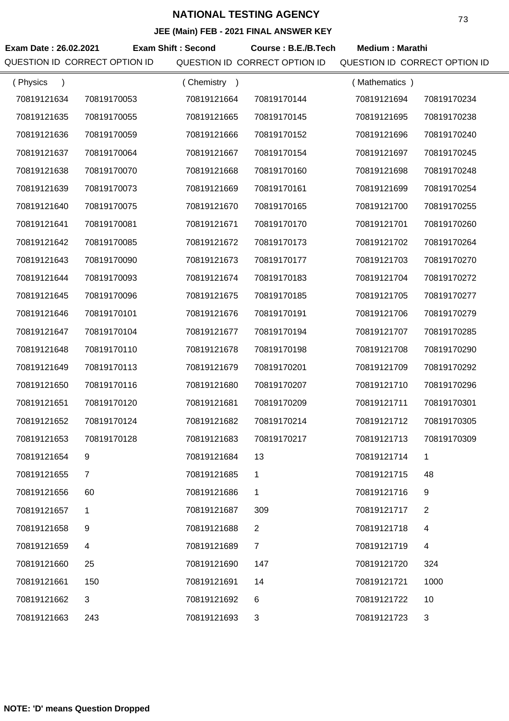| <b>JLL (Maill) I LD - 2021 I INAL ANOWLN RET</b> |                |                           |                               |                               |                |  |
|--------------------------------------------------|----------------|---------------------------|-------------------------------|-------------------------------|----------------|--|
| Exam Date: 26.02.2021                            |                | <b>Exam Shift: Second</b> | Course: B.E./B.Tech           | <b>Medium: Marathi</b>        |                |  |
| QUESTION ID CORRECT OPTION ID                    |                |                           | QUESTION ID CORRECT OPTION ID | QUESTION ID CORRECT OPTION ID |                |  |
| (Physics<br>$\lambda$                            |                | (Chemistry)               |                               | (Mathematics)                 |                |  |
| 70819121634                                      | 70819170053    | 70819121664               | 70819170144                   | 70819121694                   | 70819170234    |  |
| 70819121635                                      | 70819170055    | 70819121665               | 70819170145                   | 70819121695                   | 70819170238    |  |
| 70819121636                                      | 70819170059    | 70819121666               | 70819170152                   | 70819121696                   | 70819170240    |  |
| 70819121637                                      | 70819170064    | 70819121667               | 70819170154                   | 70819121697                   | 70819170245    |  |
| 70819121638                                      | 70819170070    | 70819121668               | 70819170160                   | 70819121698                   | 70819170248    |  |
| 70819121639                                      | 70819170073    | 70819121669               | 70819170161                   | 70819121699                   | 70819170254    |  |
| 70819121640                                      | 70819170075    | 70819121670               | 70819170165                   | 70819121700                   | 70819170255    |  |
| 70819121641                                      | 70819170081    | 70819121671               | 70819170170                   | 70819121701                   | 70819170260    |  |
| 70819121642                                      | 70819170085    | 70819121672               | 70819170173                   | 70819121702                   | 70819170264    |  |
| 70819121643                                      | 70819170090    | 70819121673               | 70819170177                   | 70819121703                   | 70819170270    |  |
| 70819121644                                      | 70819170093    | 70819121674               | 70819170183                   | 70819121704                   | 70819170272    |  |
| 70819121645                                      | 70819170096    | 70819121675               | 70819170185                   | 70819121705                   | 70819170277    |  |
| 70819121646                                      | 70819170101    | 70819121676               | 70819170191                   | 70819121706                   | 70819170279    |  |
| 70819121647                                      | 70819170104    | 70819121677               | 70819170194                   | 70819121707                   | 70819170285    |  |
| 70819121648                                      | 70819170110    | 70819121678               | 70819170198                   | 70819121708                   | 70819170290    |  |
| 70819121649                                      | 70819170113    | 70819121679               | 70819170201                   | 70819121709                   | 70819170292    |  |
| 70819121650                                      | 70819170116    | 70819121680               | 70819170207                   | 70819121710                   | 70819170296    |  |
| 70819121651                                      | 70819170120    | 70819121681               | 70819170209                   | 70819121711                   | 70819170301    |  |
| 70819121652                                      | 70819170124    | 70819121682               | 70819170214                   | 70819121712                   | 70819170305    |  |
| 70819121653                                      | 70819170128    | 70819121683               | 70819170217                   | 70819121713                   | 70819170309    |  |
| 70819121654                                      | 9              | 70819121684               | 13                            | 70819121714                   | 1              |  |
| 70819121655                                      | $\overline{7}$ | 70819121685               | 1                             | 70819121715                   | 48             |  |
| 70819121656                                      | 60             | 70819121686               | 1                             | 70819121716                   | 9              |  |
| 70819121657                                      | 1              | 70819121687               | 309                           | 70819121717                   | $\overline{2}$ |  |
| 70819121658                                      | 9              | 70819121688               | $\overline{2}$                | 70819121718                   | 4              |  |
| 70819121659                                      | 4              | 70819121689               | $\overline{7}$                | 70819121719                   | 4              |  |
| 70819121660                                      | 25             | 70819121690               | 147                           | 70819121720                   | 324            |  |
| 70819121661                                      | 150            | 70819121691               | 14                            | 70819121721                   | 1000           |  |
| 70819121662                                      | 3              | 70819121692               | 6                             | 70819121722                   | 10             |  |
| 70819121663                                      | 243            | 70819121693               | 3                             | 70819121723                   | 3              |  |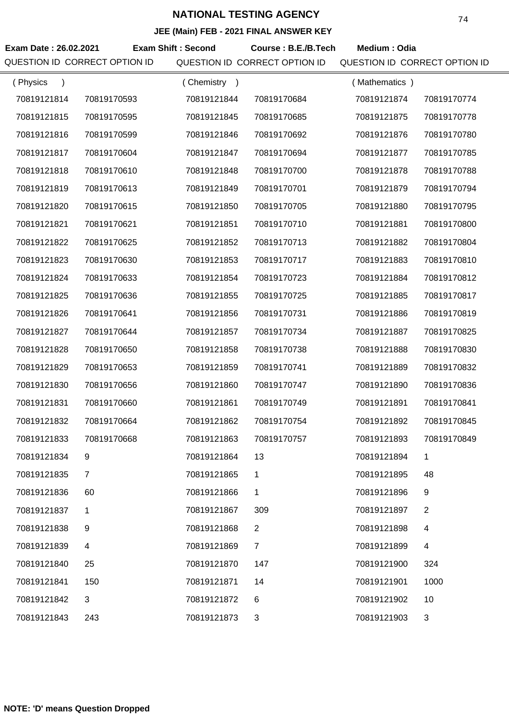| JEE (Main) FEB - 2021 FINAL ANSWER KEY |                               |                           |                               |                               |                |  |
|----------------------------------------|-------------------------------|---------------------------|-------------------------------|-------------------------------|----------------|--|
| Exam Date: 26.02.2021                  |                               | <b>Exam Shift: Second</b> | Course: B.E./B.Tech           | Medium: Odia                  |                |  |
|                                        | QUESTION ID CORRECT OPTION ID |                           | QUESTION ID CORRECT OPTION ID | QUESTION ID CORRECT OPTION ID |                |  |
| (Physics<br>$\lambda$                  |                               | (Chemistry)               |                               | (Mathematics)                 |                |  |
| 70819121814                            | 70819170593                   | 70819121844               | 70819170684                   | 70819121874                   | 70819170774    |  |
| 70819121815                            | 70819170595                   | 70819121845               | 70819170685                   | 70819121875                   | 70819170778    |  |
| 70819121816                            | 70819170599                   | 70819121846               | 70819170692                   | 70819121876                   | 70819170780    |  |
| 70819121817                            | 70819170604                   | 70819121847               | 70819170694                   | 70819121877                   | 70819170785    |  |
| 70819121818                            | 70819170610                   | 70819121848               | 70819170700                   | 70819121878                   | 70819170788    |  |
| 70819121819                            | 70819170613                   | 70819121849               | 70819170701                   | 70819121879                   | 70819170794    |  |
| 70819121820                            | 70819170615                   | 70819121850               | 70819170705                   | 70819121880                   | 70819170795    |  |
| 70819121821                            | 70819170621                   | 70819121851               | 70819170710                   | 70819121881                   | 70819170800    |  |
| 70819121822                            | 70819170625                   | 70819121852               | 70819170713                   | 70819121882                   | 70819170804    |  |
| 70819121823                            | 70819170630                   | 70819121853               | 70819170717                   | 70819121883                   | 70819170810    |  |
| 70819121824                            | 70819170633                   | 70819121854               | 70819170723                   | 70819121884                   | 70819170812    |  |
| 70819121825                            | 70819170636                   | 70819121855               | 70819170725                   | 70819121885                   | 70819170817    |  |
| 70819121826                            | 70819170641                   | 70819121856               | 70819170731                   | 70819121886                   | 70819170819    |  |
| 70819121827                            | 70819170644                   | 70819121857               | 70819170734                   | 70819121887                   | 70819170825    |  |
| 70819121828                            | 70819170650                   | 70819121858               | 70819170738                   | 70819121888                   | 70819170830    |  |
| 70819121829                            | 70819170653                   | 70819121859               | 70819170741                   | 70819121889                   | 70819170832    |  |
| 70819121830                            | 70819170656                   | 70819121860               | 70819170747                   | 70819121890                   | 70819170836    |  |
| 70819121831                            | 70819170660                   | 70819121861               | 70819170749                   | 70819121891                   | 70819170841    |  |
| 70819121832                            | 70819170664                   | 70819121862               | 70819170754                   | 70819121892                   | 70819170845    |  |
| 70819121833                            | 70819170668                   | 70819121863               | 70819170757                   | 70819121893                   | 70819170849    |  |
| 70819121834                            | 9                             | 70819121864               | 13                            | 70819121894                   | 1              |  |
| 70819121835                            | $\overline{7}$                | 70819121865               | 1                             | 70819121895                   | 48             |  |
| 70819121836                            | 60                            | 70819121866               | 1                             | 70819121896                   | 9              |  |
| 70819121837                            | 1                             | 70819121867               | 309                           | 70819121897                   | $\overline{2}$ |  |
| 70819121838                            | 9                             | 70819121868               | 2                             | 70819121898                   | $\overline{4}$ |  |
| 70819121839                            | 4                             | 70819121869               | $\overline{7}$                | 70819121899                   | 4              |  |
| 70819121840                            | 25                            | 70819121870               | 147                           | 70819121900                   | 324            |  |
| 70819121841                            | 150                           | 70819121871               | 14                            | 70819121901                   | 1000           |  |
| 70819121842                            | 3                             | 70819121872               | 6                             | 70819121902                   | 10             |  |
| 70819121843                            | 243                           | 70819121873               | 3                             | 70819121903                   | 3              |  |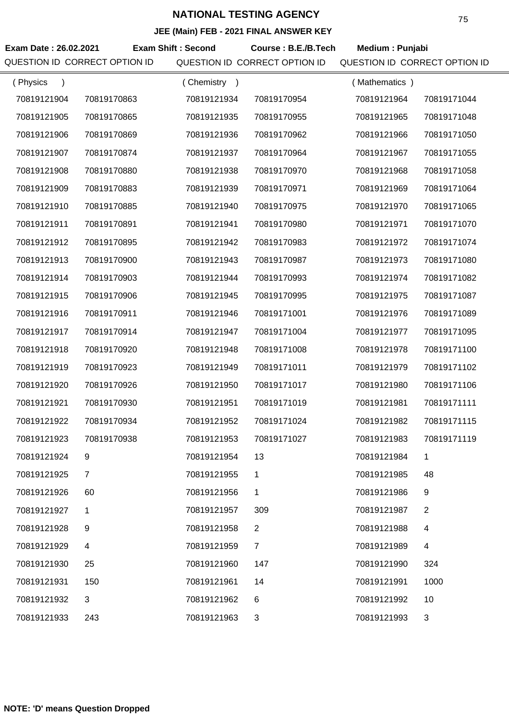|                               | JEE (MAIN) FEB - 2021 FINAL ANSWER NET |                           |                               |                               |                |  |  |
|-------------------------------|----------------------------------------|---------------------------|-------------------------------|-------------------------------|----------------|--|--|
| Exam Date: 26.02.2021         |                                        | <b>Exam Shift: Second</b> | Course: B.E./B.Tech           | Medium: Punjabi               |                |  |  |
| QUESTION ID CORRECT OPTION ID |                                        |                           | QUESTION ID CORRECT OPTION ID | QUESTION ID CORRECT OPTION ID |                |  |  |
| (Physics<br>$\lambda$         |                                        | (Chemistry)               |                               | (Mathematics)                 |                |  |  |
| 70819121904                   | 70819170863                            | 70819121934               | 70819170954                   | 70819121964                   | 70819171044    |  |  |
| 70819121905                   | 70819170865                            | 70819121935               | 70819170955                   | 70819121965                   | 70819171048    |  |  |
| 70819121906                   | 70819170869                            | 70819121936               | 70819170962                   | 70819121966                   | 70819171050    |  |  |
| 70819121907                   | 70819170874                            | 70819121937               | 70819170964                   | 70819121967                   | 70819171055    |  |  |
| 70819121908                   | 70819170880                            | 70819121938               | 70819170970                   | 70819121968                   | 70819171058    |  |  |
| 70819121909                   | 70819170883                            | 70819121939               | 70819170971                   | 70819121969                   | 70819171064    |  |  |
| 70819121910                   | 70819170885                            | 70819121940               | 70819170975                   | 70819121970                   | 70819171065    |  |  |
| 70819121911                   | 70819170891                            | 70819121941               | 70819170980                   | 70819121971                   | 70819171070    |  |  |
| 70819121912                   | 70819170895                            | 70819121942               | 70819170983                   | 70819121972                   | 70819171074    |  |  |
| 70819121913                   | 70819170900                            | 70819121943               | 70819170987                   | 70819121973                   | 70819171080    |  |  |
| 70819121914                   | 70819170903                            | 70819121944               | 70819170993                   | 70819121974                   | 70819171082    |  |  |
| 70819121915                   | 70819170906                            | 70819121945               | 70819170995                   | 70819121975                   | 70819171087    |  |  |
| 70819121916                   | 70819170911                            | 70819121946               | 70819171001                   | 70819121976                   | 70819171089    |  |  |
| 70819121917                   | 70819170914                            | 70819121947               | 70819171004                   | 70819121977                   | 70819171095    |  |  |
| 70819121918                   | 70819170920                            | 70819121948               | 70819171008                   | 70819121978                   | 70819171100    |  |  |
| 70819121919                   | 70819170923                            | 70819121949               | 70819171011                   | 70819121979                   | 70819171102    |  |  |
| 70819121920                   | 70819170926                            | 70819121950               | 70819171017                   | 70819121980                   | 70819171106    |  |  |
| 70819121921                   | 70819170930                            | 70819121951               | 70819171019                   | 70819121981                   | 70819171111    |  |  |
| 70819121922                   | 70819170934                            | 70819121952               | 70819171024                   | 70819121982                   | 70819171115    |  |  |
| 70819121923                   | 70819170938                            | 70819121953               | 70819171027                   | 70819121983                   | 70819171119    |  |  |
| 70819121924                   | 9                                      | 70819121954               | 13                            | 70819121984                   | 1              |  |  |
| 70819121925                   | $\overline{7}$                         | 70819121955               | 1                             | 70819121985                   | 48             |  |  |
| 70819121926                   | 60                                     | 70819121956               | 1                             | 70819121986                   | 9              |  |  |
| 70819121927                   | 1                                      | 70819121957               | 309                           | 70819121987                   | $\overline{2}$ |  |  |
| 70819121928                   | 9                                      | 70819121958               | $\overline{2}$                | 70819121988                   | 4              |  |  |
| 70819121929                   | 4                                      | 70819121959               | $\overline{7}$                | 70819121989                   | 4              |  |  |
| 70819121930                   | 25                                     | 70819121960               | 147                           | 70819121990                   | 324            |  |  |
| 70819121931                   | 150                                    | 70819121961               | 14                            | 70819121991                   | 1000           |  |  |
| 70819121932                   | 3                                      | 70819121962               | 6                             | 70819121992                   | 10             |  |  |
| 70819121933                   | 243                                    | 70819121963               | 3                             | 70819121993                   | 3              |  |  |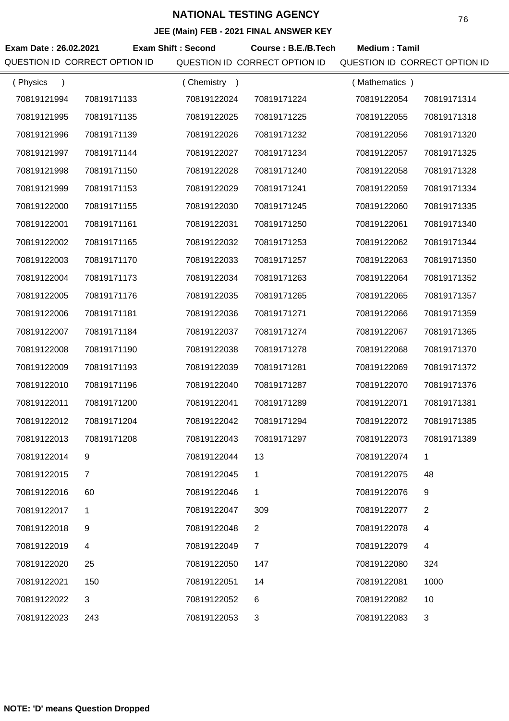| JEE (Main) FEB - 2021 FINAL ANSWER KEY                                                            |                               |             |                               |                               |                |
|---------------------------------------------------------------------------------------------------|-------------------------------|-------------|-------------------------------|-------------------------------|----------------|
| <b>Exam Shift: Second</b><br>Exam Date: 26.02.2021<br>Course: B.E./B.Tech<br><b>Medium: Tamil</b> |                               |             |                               |                               |                |
|                                                                                                   | QUESTION ID CORRECT OPTION ID |             | QUESTION ID CORRECT OPTION ID | QUESTION ID CORRECT OPTION ID |                |
| (Physics                                                                                          |                               | (Chemistry) |                               | (Mathematics)                 |                |
| 70819121994                                                                                       | 70819171133                   | 70819122024 | 70819171224                   | 70819122054                   | 70819171314    |
| 70819121995                                                                                       | 70819171135                   | 70819122025 | 70819171225                   | 70819122055                   | 70819171318    |
| 70819121996                                                                                       | 70819171139                   | 70819122026 | 70819171232                   | 70819122056                   | 70819171320    |
| 70819121997                                                                                       | 70819171144                   | 70819122027 | 70819171234                   | 70819122057                   | 70819171325    |
| 70819121998                                                                                       | 70819171150                   | 70819122028 | 70819171240                   | 70819122058                   | 70819171328    |
| 70819121999                                                                                       | 70819171153                   | 70819122029 | 70819171241                   | 70819122059                   | 70819171334    |
| 70819122000                                                                                       | 70819171155                   | 70819122030 | 70819171245                   | 70819122060                   | 70819171335    |
| 70819122001                                                                                       | 70819171161                   | 70819122031 | 70819171250                   | 70819122061                   | 70819171340    |
| 70819122002                                                                                       | 70819171165                   | 70819122032 | 70819171253                   | 70819122062                   | 70819171344    |
| 70819122003                                                                                       | 70819171170                   | 70819122033 | 70819171257                   | 70819122063                   | 70819171350    |
| 70819122004                                                                                       | 70819171173                   | 70819122034 | 70819171263                   | 70819122064                   | 70819171352    |
| 70819122005                                                                                       | 70819171176                   | 70819122035 | 70819171265                   | 70819122065                   | 70819171357    |
| 70819122006                                                                                       | 70819171181                   | 70819122036 | 70819171271                   | 70819122066                   | 70819171359    |
| 70819122007                                                                                       | 70819171184                   | 70819122037 | 70819171274                   | 70819122067                   | 70819171365    |
| 70819122008                                                                                       | 70819171190                   | 70819122038 | 70819171278                   | 70819122068                   | 70819171370    |
| 70819122009                                                                                       | 70819171193                   | 70819122039 | 70819171281                   | 70819122069                   | 70819171372    |
| 70819122010                                                                                       | 70819171196                   | 70819122040 | 70819171287                   | 70819122070                   | 70819171376    |
| 70819122011                                                                                       | 70819171200                   | 70819122041 | 70819171289                   | 70819122071                   | 70819171381    |
| 70819122012                                                                                       | 70819171204                   | 70819122042 | 70819171294                   | 70819122072                   | 70819171385    |
| 70819122013                                                                                       | 70819171208                   | 70819122043 | 70819171297                   | 70819122073                   | 70819171389    |
| 70819122014                                                                                       | 9                             | 70819122044 | 13                            | 70819122074                   | 1              |
| 70819122015                                                                                       | $\overline{7}$                | 70819122045 | 1                             | 70819122075                   | 48             |
| 70819122016                                                                                       | 60                            | 70819122046 | 1                             | 70819122076                   | 9              |
| 70819122017                                                                                       | 1                             | 70819122047 | 309                           | 70819122077                   | $\overline{2}$ |
| 70819122018                                                                                       | 9                             | 70819122048 | $\overline{2}$                | 70819122078                   | 4              |
| 70819122019                                                                                       | 4                             | 70819122049 | $\overline{7}$                | 70819122079                   | 4              |
| 70819122020                                                                                       | 25                            | 70819122050 | 147                           | 70819122080                   | 324            |
| 70819122021                                                                                       | 150                           | 70819122051 | 14                            | 70819122081                   | 1000           |
| 70819122022                                                                                       | 3                             | 70819122052 | 6                             | 70819122082                   | 10             |
| 70819122023                                                                                       | 243                           | 70819122053 | 3                             | 70819122083                   | 3              |
|                                                                                                   |                               |             |                               |                               |                |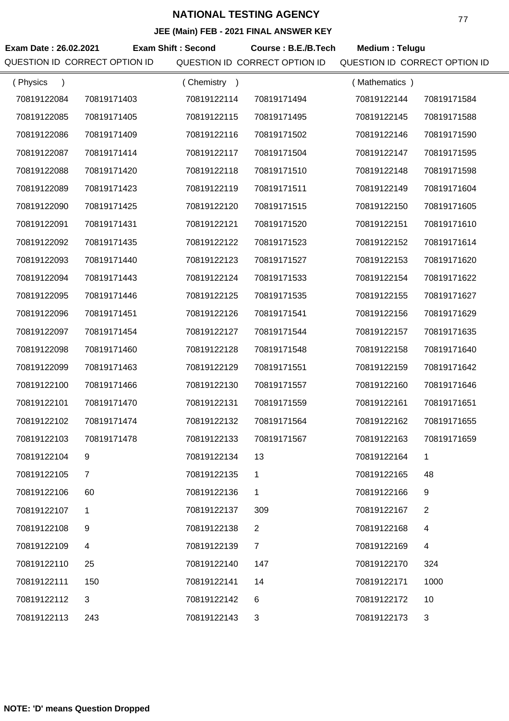| JEE (MAIN) FEB - 2021 FINAL ANSWER KEY |                               |                           |                               |                               |                |  |
|----------------------------------------|-------------------------------|---------------------------|-------------------------------|-------------------------------|----------------|--|
| Exam Date: 26.02.2021                  |                               | <b>Exam Shift: Second</b> | Course: B.E./B.Tech           | Medium: Telugu                |                |  |
|                                        | QUESTION ID CORRECT OPTION ID |                           | QUESTION ID CORRECT OPTION ID | QUESTION ID CORRECT OPTION ID |                |  |
| (Physics<br>$\lambda$                  |                               | (Chemistry)               |                               | (Mathematics)                 |                |  |
| 70819122084                            | 70819171403                   | 70819122114               | 70819171494                   | 70819122144                   | 70819171584    |  |
| 70819122085                            | 70819171405                   | 70819122115               | 70819171495                   | 70819122145                   | 70819171588    |  |
| 70819122086                            | 70819171409                   | 70819122116               | 70819171502                   | 70819122146                   | 70819171590    |  |
| 70819122087                            | 70819171414                   | 70819122117               | 70819171504                   | 70819122147                   | 70819171595    |  |
| 70819122088                            | 70819171420                   | 70819122118               | 70819171510                   | 70819122148                   | 70819171598    |  |
| 70819122089                            | 70819171423                   | 70819122119               | 70819171511                   | 70819122149                   | 70819171604    |  |
| 70819122090                            | 70819171425                   | 70819122120               | 70819171515                   | 70819122150                   | 70819171605    |  |
| 70819122091                            | 70819171431                   | 70819122121               | 70819171520                   | 70819122151                   | 70819171610    |  |
| 70819122092                            | 70819171435                   | 70819122122               | 70819171523                   | 70819122152                   | 70819171614    |  |
| 70819122093                            | 70819171440                   | 70819122123               | 70819171527                   | 70819122153                   | 70819171620    |  |
| 70819122094                            | 70819171443                   | 70819122124               | 70819171533                   | 70819122154                   | 70819171622    |  |
| 70819122095                            | 70819171446                   | 70819122125               | 70819171535                   | 70819122155                   | 70819171627    |  |
| 70819122096                            | 70819171451                   | 70819122126               | 70819171541                   | 70819122156                   | 70819171629    |  |
| 70819122097                            | 70819171454                   | 70819122127               | 70819171544                   | 70819122157                   | 70819171635    |  |
| 70819122098                            | 70819171460                   | 70819122128               | 70819171548                   | 70819122158                   | 70819171640    |  |
| 70819122099                            | 70819171463                   | 70819122129               | 70819171551                   | 70819122159                   | 70819171642    |  |
| 70819122100                            | 70819171466                   | 70819122130               | 70819171557                   | 70819122160                   | 70819171646    |  |
| 70819122101                            | 70819171470                   | 70819122131               | 70819171559                   | 70819122161                   | 70819171651    |  |
| 70819122102                            | 70819171474                   | 70819122132               | 70819171564                   | 70819122162                   | 70819171655    |  |
| 70819122103                            | 70819171478                   | 70819122133               | 70819171567                   | 70819122163                   | 70819171659    |  |
| 70819122104                            | 9                             | 70819122134               | 13                            | 70819122164                   | 1              |  |
| 70819122105                            | $\overline{7}$                | 70819122135               | 1                             | 70819122165                   | 48             |  |
| 70819122106                            | 60                            | 70819122136               | $\mathbf{1}$                  | 70819122166                   | 9              |  |
| 70819122107                            | 1                             | 70819122137               | 309                           | 70819122167                   | $\overline{2}$ |  |
| 70819122108                            | 9                             | 70819122138               | $\overline{2}$                | 70819122168                   | 4              |  |
| 70819122109                            | 4                             | 70819122139               | $\overline{7}$                | 70819122169                   | 4              |  |
| 70819122110                            | 25                            | 70819122140               | 147                           | 70819122170                   | 324            |  |
| 70819122111                            | 150                           | 70819122141               | 14                            | 70819122171                   | 1000           |  |
| 70819122112                            | 3                             | 70819122142               | 6                             | 70819122172                   | 10             |  |
| 70819122113                            | 243                           | 70819122143               | 3                             | 70819122173                   | 3              |  |
|                                        |                               |                           |                               |                               |                |  |